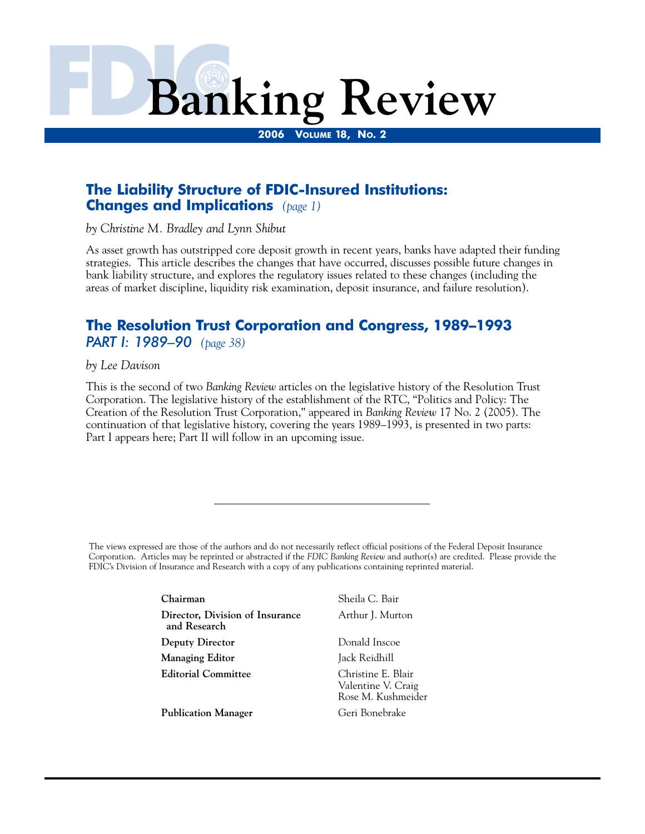# **Banking Review**

**2006 VOLUME 18, NO. 2** 

# **The Liability Structure of FDIC-Insured Institutions: Changes and Implications** *(page 1)*

*by Christine M. Bradley and Lynn Shibut* 

As asset growth has outstripped core deposit growth in recent years, banks have adapted their funding strategies. This article describes the changes that have occurred, discusses possible future changes in bank liability structure, and explores the regulatory issues related to these changes (including the areas of market discipline, liquidity risk examination, deposit insurance, and failure resolution).

# **The Resolution Trust Corporation and Congress, 1989–1993**  *PART I: 1989–90 (page 38)*

*by Lee Davison* 

This is the second of two *Banking Review* articles on the legislative history of the Resolution Trust Corporation. The legislative history of the establishment of the RTC, "Politics and Policy: The Creation of the Resolution Trust Corporation," appeared in *Banking Review* 17 No. 2 (2005). The continuation of that legislative history, covering the years 1989–1993, is presented in two parts: Part I appears here; Part II will follow in an upcoming issue.

The views expressed are those of the authors and do not necessarily reflect official positions of the Federal Deposit Insurance Corporation. Articles may be reprinted or abstracted if the *FDIC Banking Review* and author(s) are credited. Please provide the FDIC's Division of Insurance and Research with a copy of any publications containing reprinted material.

| Chairman                                        | Sheila C. Bair                                                 |
|-------------------------------------------------|----------------------------------------------------------------|
| Director, Division of Insurance<br>and Research | Arthur J. Murton                                               |
| <b>Deputy Director</b>                          | Donald Inscoe                                                  |
| Managing Editor                                 | Jack Reidhill                                                  |
| <b>Editorial Committee</b>                      | Christine E. Blair<br>Valentine V. Craig<br>Rose M. Kushmeider |
| <b>Publication Manager</b>                      | Geri Bonebrake                                                 |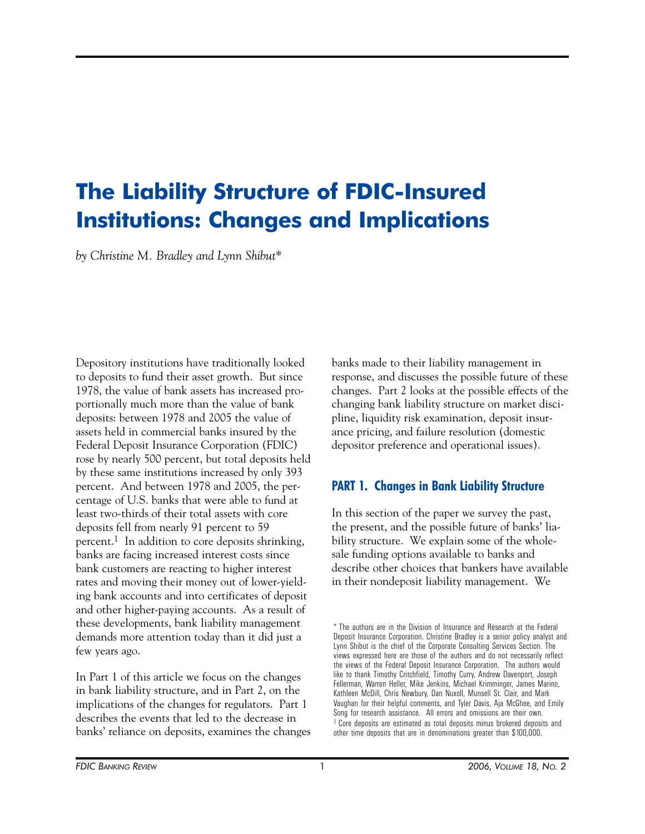# **The Liability Structure of FDIC-Insured Institutions: Changes and Implications**

*by Christine M. Bradley and Lynn Shibut\** 

Depository institutions have traditionally looked to deposits to fund their asset growth. But since 1978, the value of bank assets has increased proportionally much more than the value of bank deposits: between 1978 and 2005 the value of assets held in commercial banks insured by the Federal Deposit Insurance Corporation (FDIC) rose by nearly 500 percent, but total deposits held by these same institutions increased by only 393 percent. And between 1978 and 2005, the percentage of U.S. banks that were able to fund at least two-thirds of their total assets with core deposits fell from nearly 91 percent to 59 percent.1 In addition to core deposits shrinking, banks are facing increased interest costs since bank customers are reacting to higher interest rates and moving their money out of lower-yielding bank accounts and into certificates of deposit and other higher-paying accounts. As a result of these developments, bank liability management demands more attention today than it did just a few years ago.

In Part 1 of this article we focus on the changes in bank liability structure, and in Part 2, on the implications of the changes for regulators. Part 1 describes the events that led to the decrease in banks' reliance on deposits, examines the changes banks made to their liability management in response, and discusses the possible future of these changes. Part 2 looks at the possible effects of the changing bank liability structure on market discipline, liquidity risk examination, deposit insurance pricing, and failure resolution (domestic depositor preference and operational issues).

# **PART 1. Changes in Bank Liability Structure**

In this section of the paper we survey the past, the present, and the possible future of banks' liability structure. We explain some of the wholesale funding options available to banks and describe other choices that bankers have available in their nondeposit liability management. We

<sup>\*</sup> The authors are in the Division of Insurance and Research at the Federal Deposit Insurance Corporation. Christine Bradley is a senior policy analyst and Lynn Shibut is the chief of the Corporate Consulting Services Section. The views expressed here are those of the authors and do not necessarily reflect the views of the Federal Deposit Insurance Corporation. The authors would like to thank Timothy Critchfield, Timothy Curry, Andrew Davenport, Joseph Fellerman, Warren Heller, Mike Jenkins, Michael Krimminger, James Marino, Kathleen McDill, Chris Newbury, Dan Nuxoll, Munsell St. Clair, and Mark Vaughan for their helpful comments, and Tyler Davis, Aja McGhee, and Emily Song for research assistance. All errors and omissions are their own. <sup>1</sup> Core deposits are estimated as total deposits minus brokered deposits and other time deposits that are in denominations greater than \$100,000.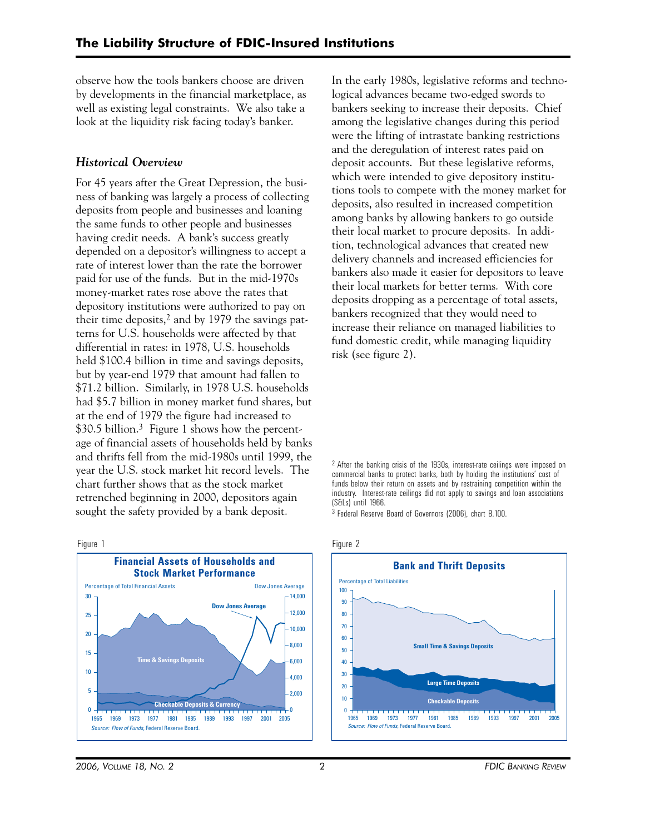observe how the tools bankers choose are driven by developments in the financial marketplace, as well as existing legal constraints. We also take a look at the liquidity risk facing today's banker.

# *Historical Overview*

For 45 years after the Great Depression, the business of banking was largely a process of collecting deposits from people and businesses and loaning the same funds to other people and businesses having credit needs. A bank's success greatly depended on a depositor's willingness to accept a rate of interest lower than the rate the borrower paid for use of the funds. But in the mid-1970s money-market rates rose above the rates that depository institutions were authorized to pay on their time deposits,2 and by 1979 the savings patterns for U.S. households were affected by that differential in rates: in 1978, U.S. households held \$100.4 billion in time and savings deposits, but by year-end 1979 that amount had fallen to \$71.2 billion. Similarly, in 1978 U.S. households had \$5.7 billion in money market fund shares, but at the end of 1979 the figure had increased to \$30.5 billion.<sup>3</sup> Figure 1 shows how the percentage of financial assets of households held by banks and thrifts fell from the mid-1980s until 1999, the year the U.S. stock market hit record levels. The chart further shows that as the stock market retrenched beginning in 2000, depositors again sought the safety provided by a bank deposit.

Figure 1



In the early 1980s, legislative reforms and technological advances became two-edged swords to bankers seeking to increase their deposits. Chief among the legislative changes during this period were the lifting of intrastate banking restrictions and the deregulation of interest rates paid on deposit accounts. But these legislative reforms, which were intended to give depository institutions tools to compete with the money market for deposits, also resulted in increased competition among banks by allowing bankers to go outside their local market to procure deposits. In addition, technological advances that created new delivery channels and increased efficiencies for bankers also made it easier for depositors to leave their local markets for better terms. With core deposits dropping as a percentage of total assets, bankers recognized that they would need to increase their reliance on managed liabilities to fund domestic credit, while managing liquidity risk (see figure 2).

 funds below their return on assets and by restraining competition within the 2 After the banking crisis of the 1930s, interest-rate ceilings were imposed on commercial banks to protect banks, both by holding the institutions' cost of industry. Interest-rate ceilings did not apply to savings and loan associations (S&Ls) until 1966.

3 Federal Reserve Board of Governors (2006), chart B.100.





*2006, VOLUME 18, NO. 2* 2 *FDIC BANKING REVIEW*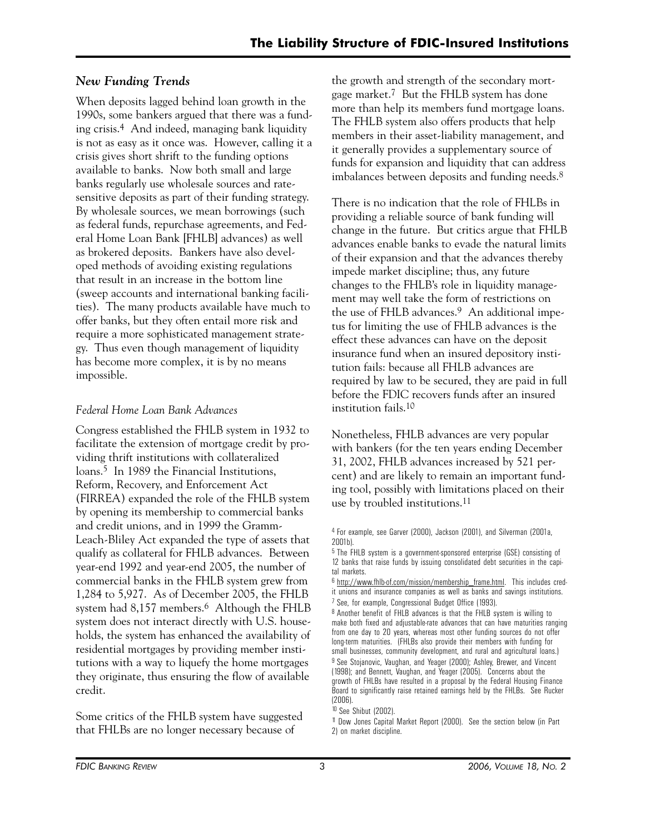# *New Funding Trends*

When deposits lagged behind loan growth in the 1990s, some bankers argued that there was a funding crisis.4 And indeed, managing bank liquidity is not as easy as it once was. However, calling it a crisis gives short shrift to the funding options available to banks. Now both small and large banks regularly use wholesale sources and ratesensitive deposits as part of their funding strategy. By wholesale sources, we mean borrowings (such as federal funds, repurchase agreements, and Federal Home Loan Bank [FHLB] advances) as well as brokered deposits. Bankers have also developed methods of avoiding existing regulations that result in an increase in the bottom line (sweep accounts and international banking facilities). The many products available have much to offer banks, but they often entail more risk and require a more sophisticated management strategy. Thus even though management of liquidity has become more complex, it is by no means impossible.

# *Federal Home Loan Bank Advances*

Congress established the FHLB system in 1932 to facilitate the extension of mortgage credit by providing thrift institutions with collateralized loans.<sup>5</sup> In 1989 the Financial Institutions, Reform, Recovery, and Enforcement Act (FIRREA) expanded the role of the FHLB system by opening its membership to commercial banks and credit unions, and in 1999 the Gramm-Leach-Bliley Act expanded the type of assets that qualify as collateral for FHLB advances. Between year-end 1992 and year-end 2005, the number of commercial banks in the FHLB system grew from 1,284 to 5,927. As of December 2005, the FHLB system had 8,157 members.<sup>6</sup> Although the FHLB system does not interact directly with U.S. households, the system has enhanced the availability of residential mortgages by providing member institutions with a way to liquefy the home mortgages they originate, thus ensuring the flow of available credit.

Some critics of the FHLB system have suggested that FHLBs are no longer necessary because of

the growth and strength of the secondary mortgage market.7 But the FHLB system has done more than help its members fund mortgage loans. The FHLB system also offers products that help members in their asset-liability management, and it generally provides a supplementary source of funds for expansion and liquidity that can address imbalances between deposits and funding needs.<sup>8</sup>

There is no indication that the role of FHLBs in providing a reliable source of bank funding will change in the future. But critics argue that FHLB advances enable banks to evade the natural limits of their expansion and that the advances thereby impede market discipline; thus, any future changes to the FHLB's role in liquidity management may well take the form of restrictions on the use of FHLB advances.<sup>9</sup> An additional impetus for limiting the use of FHLB advances is the effect these advances can have on the deposit insurance fund when an insured depository institution fails: because all FHLB advances are required by law to be secured, they are paid in full before the FDIC recovers funds after an insured institution fails.10

Nonetheless, FHLB advances are very popular with bankers (for the ten years ending December 31, 2002, FHLB advances increased by 521 percent) and are likely to remain an important funding tool, possibly with limitations placed on their use by troubled institutions.11

<sup>4</sup> For example, see Garver (2000), Jackson (2001), and Silverman (2001a, 2001b).

<sup>5</sup> The FHLB system is a government-sponsored enterprise (GSE) consisting of 12 banks that raise funds by issuing consolidated debt securities in the capital markets.

<sup>6</sup> http://www.fhlb-of.com/mission/membership\_frame.html. This includes credit unions and insurance companies as well as banks and savings institutions. 7 See, for example, Congressional Budget Office (1993).

<sup>8</sup> Another benefit of FHLB advances is that the FHLB system is willing to make both fixed and adjustable-rate advances that can have maturities ranging from one day to 20 years, whereas most other funding sources do not offer long-term maturities. (FHLBs also provide their members with funding for small businesses, community development, and rural and agricultural loans.) <sup>9</sup> See Stojanovic, Vaughan, and Yeager (2000); Ashley, Brewer, and Vincent (1998); and Bennett, Vaughan, and Yeager (2005). Concerns about the growth of FHLBs have resulted in a proposal by the Federal Housing Finance Board to significantly raise retained earnings held by the FHLBs. See Rucker (2006).

<sup>10</sup> See Shibut (2002).

<sup>11</sup> Dow Jones Capital Market Report (2000). See the section below (in Part 2) on market discipline.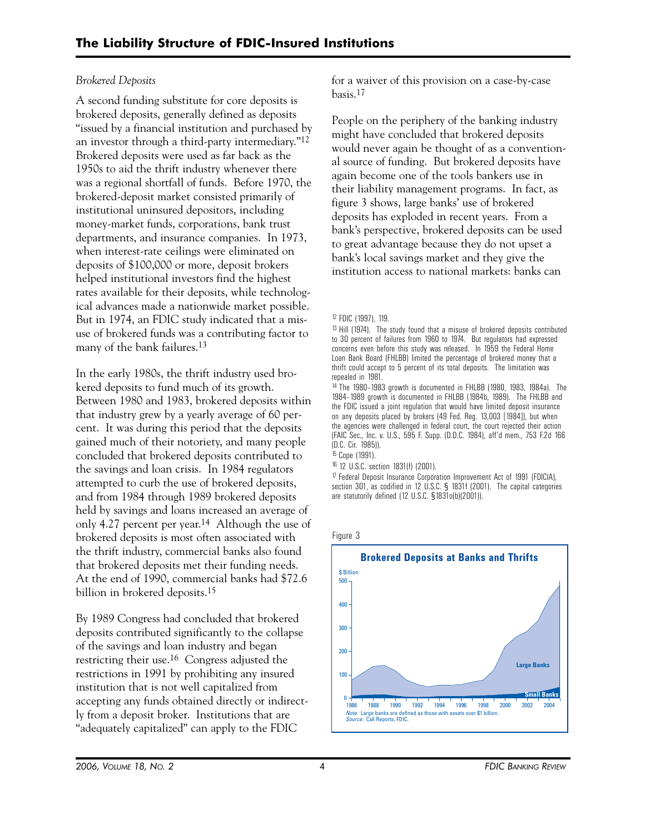# *Brokered Deposits*

A second funding substitute for core deposits is brokered deposits, generally defined as deposits "issued by a financial institution and purchased by an investor through a third-party intermediary."12 Brokered deposits were used as far back as the 1950s to aid the thrift industry whenever there was a regional shortfall of funds. Before 1970, the brokered-deposit market consisted primarily of institutional uninsured depositors, including money-market funds, corporations, bank trust departments, and insurance companies. In 1973, when interest-rate ceilings were eliminated on deposits of \$100,000 or more, deposit brokers helped institutional investors find the highest rates available for their deposits, while technological advances made a nationwide market possible. But in 1974, an FDIC study indicated that a misuse of brokered funds was a contributing factor to many of the bank failures.<sup>13</sup>

In the early 1980s, the thrift industry used brokered deposits to fund much of its growth. Between 1980 and 1983, brokered deposits within that industry grew by a yearly average of 60 percent. It was during this period that the deposits gained much of their notoriety, and many people concluded that brokered deposits contributed to the savings and loan crisis. In 1984 regulators attempted to curb the use of brokered deposits, and from 1984 through 1989 brokered deposits held by savings and loans increased an average of only 4.27 percent per year.14 Although the use of brokered deposits is most often associated with the thrift industry, commercial banks also found that brokered deposits met their funding needs. At the end of 1990, commercial banks had \$72.6 billion in brokered deposits.15

By 1989 Congress had concluded that brokered deposits contributed significantly to the collapse of the savings and loan industry and began restricting their use.16 Congress adjusted the restrictions in 1991 by prohibiting any insured institution that is not well capitalized from accepting any funds obtained directly or indirectly from a deposit broker. Institutions that are "adequately capitalized" can apply to the FDIC

for a waiver of this provision on a case-by-case basis.17

People on the periphery of the banking industry might have concluded that brokered deposits would never again be thought of as a conventional source of funding. But brokered deposits have again become one of the tools bankers use in their liability management programs. In fact, as figure 3 shows, large banks' use of brokered deposits has exploded in recent years. From a bank's perspective, brokered deposits can be used to great advantage because they do not upset a bank's local savings market and they give the institution access to national markets: banks can

14 The 1980–1983 growth is documented in FHLBB (1980, 1983, 1984a). The 1984–1989 growth is documented in FHLBB (1984b, 1989). The FHLBB and the FDIC issued a joint regulation that would have limited deposit insurance on any deposits placed by brokers (49 Fed. Reg. 13,003 [1984]), but when the agencies were challenged in federal court, the court rejected their action (FAIC Sec., Inc. v. U.S., 595 F. Supp. (D.D.C. 1984), aff'd mem., 753 F.2d 166 (D.C. Cir. 1985)).

15 Cope (1991).

16 12 U.S.C. section 1831(f) (2001).

17 Federal Deposit Insurance Corporation Improvement Act of 1991 (FDICIA), section 301, as codified in 12 U.S.C. § 1831f (2001). The capital categories are statutorily defined (12 U.S.C. §1831o(b)(2001)).

Figure 3



<sup>12</sup> FDIC (1997), 119.

<sup>&</sup>lt;sup>13</sup> Hill (1974). The study found that a misuse of brokered deposits contributed to 30 percent of failures from 1960 to 1974. But regulators had expressed concerns even before this study was released. In 1959 the Federal Home Loan Bank Board (FHLBB) limited the percentage of brokered money that a thrift could accept to 5 percent of its total deposits. The limitation was repealed in 1981.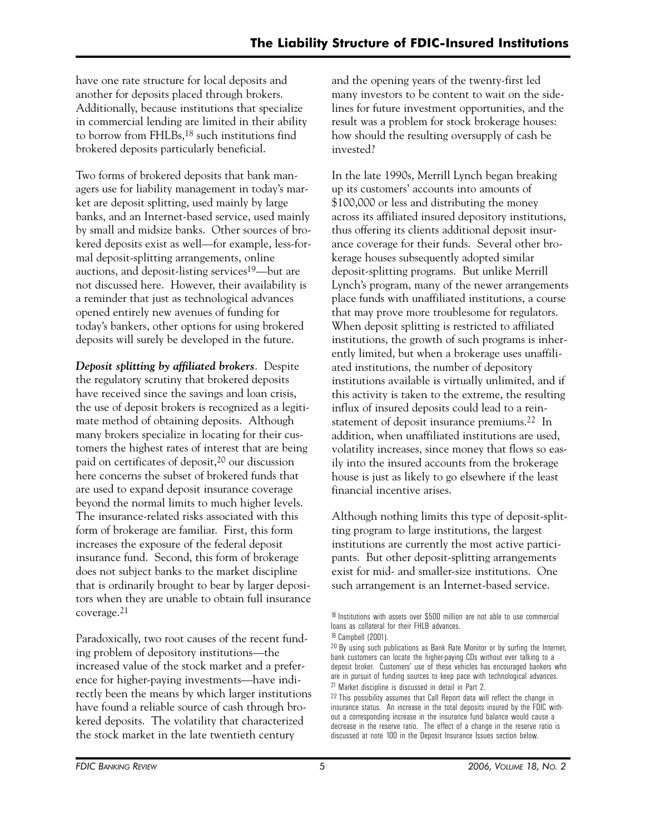have one rate structure for local deposits and another for deposits placed through brokers. Additionally, because institutions that specialize in commercial lending are limited in their ability to borrow from FHLBs,18 such institutions find brokered deposits particularly beneficial.

Two forms of brokered deposits that bank managers use for liability management in today's market are deposit splitting, used mainly by large banks, and an Internet-based service, used mainly by small and midsize banks. Other sources of brokered deposits exist as well—for example, less-formal deposit-splitting arrangements, online auctions, and deposit-listing services<sup>19</sup>—but are not discussed here. However, their availability is a reminder that just as technological advances opened entirely new avenues of funding for today's bankers, other options for using brokered deposits will surely be developed in the future.

*Deposit splitting by affiliated brokers*. Despite the regulatory scrutiny that brokered deposits have received since the savings and loan crisis, the use of deposit brokers is recognized as a legitimate method of obtaining deposits. Although many brokers specialize in locating for their customers the highest rates of interest that are being paid on certificates of deposit,<sup>20</sup> our discussion here concerns the subset of brokered funds that are used to expand deposit insurance coverage beyond the normal limits to much higher levels. The insurance-related risks associated with this form of brokerage are familiar. First, this form increases the exposure of the federal deposit insurance fund. Second, this form of brokerage does not subject banks to the market discipline that is ordinarily brought to bear by larger depositors when they are unable to obtain full insurance coverage.21

Paradoxically, two root causes of the recent funding problem of depository institutions—the increased value of the stock market and a preference for higher-paying investments—have indirectly been the means by which larger institutions have found a reliable source of cash through brokered deposits. The volatility that characterized the stock market in the late twentieth century

and the opening years of the twenty-first led many investors to be content to wait on the sidelines for future investment opportunities, and the result was a problem for stock brokerage houses: how should the resulting oversupply of cash be invested?

In the late 1990s, Merrill Lynch began breaking up its customers' accounts into amounts of \$100,000 or less and distributing the money across its affiliated insured depository institutions, thus offering its clients additional deposit insurance coverage for their funds. Several other brokerage houses subsequently adopted similar deposit-splitting programs. But unlike Merrill Lynch's program, many of the newer arrangements place funds with unaffiliated institutions, a course that may prove more troublesome for regulators. When deposit splitting is restricted to affiliated institutions, the growth of such programs is inherently limited, but when a brokerage uses unaffiliated institutions, the number of depository institutions available is virtually unlimited, and if this activity is taken to the extreme, the resulting influx of insured deposits could lead to a reinstatement of deposit insurance premiums.22 In addition, when unaffiliated institutions are used, volatility increases, since money that flows so easily into the insured accounts from the brokerage house is just as likely to go elsewhere if the least financial incentive arises.

Although nothing limits this type of deposit-splitting program to large institutions, the largest institutions are currently the most active participants. But other deposit-splitting arrangements exist for mid- and smaller-size institutions. One such arrangement is an Internet-based service.

<sup>&</sup>lt;sup>18</sup> Institutions with assets over \$500 million are not able to use commercial loans as collateral for their FHLB advances.

<sup>19</sup> Campbell (2001).

<sup>&</sup>lt;sup>20</sup> By using such publications as Bank Rate Monitor or by surfing the Internet, bank customers can locate the higher-paying CDs without ever talking to a deposit broker. Customers' use of these vehicles has encouraged bankers who are in pursuit of funding sources to keep pace with technological advances. 21 Market discipline is discussed in detail in Part 2.

<sup>22</sup> This possibility assumes that Call Report data will reflect the change in insurance status. An increase in the total deposits insured by the FDIC without a corresponding increase in the insurance fund balance would cause a decrease in the reserve ratio. The effect of a change in the reserve ratio is discussed at note 100 in the Deposit Insurance Issues section below.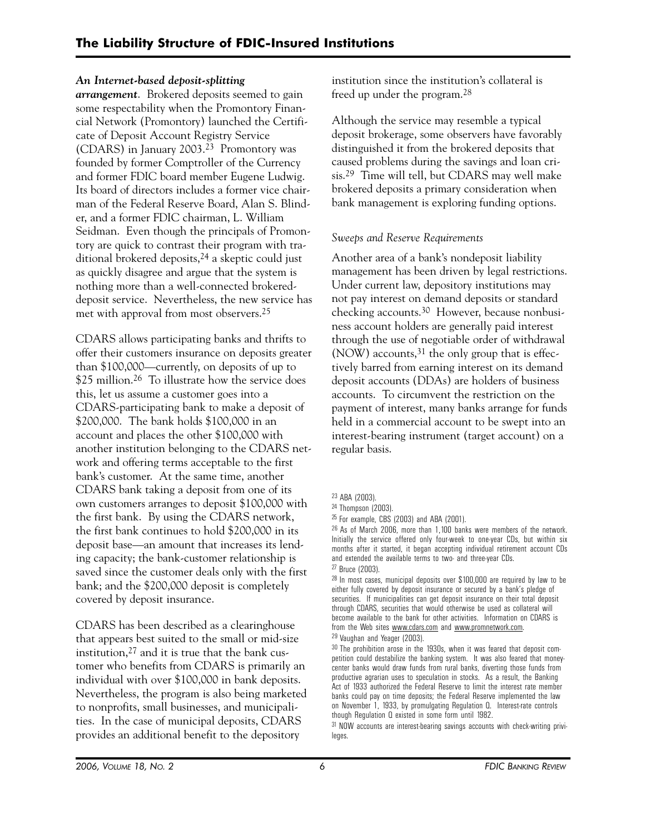# *An Internet-based deposit-splitting*

*arrangement*. Brokered deposits seemed to gain some respectability when the Promontory Financial Network (Promontory) launched the Certificate of Deposit Account Registry Service (CDARS) in January 2003.23 Promontory was founded by former Comptroller of the Currency and former FDIC board member Eugene Ludwig. Its board of directors includes a former vice chairman of the Federal Reserve Board, Alan S. Blinder, and a former FDIC chairman, L. William Seidman. Even though the principals of Promontory are quick to contrast their program with traditional brokered deposits,  $24$  a skeptic could just as quickly disagree and argue that the system is nothing more than a well-connected brokereddeposit service. Nevertheless, the new service has met with approval from most observers.25

CDARS allows participating banks and thrifts to offer their customers insurance on deposits greater than \$100,000—currently, on deposits of up to \$25 million.<sup>26</sup> To illustrate how the service does this, let us assume a customer goes into a CDARS-participating bank to make a deposit of \$200,000. The bank holds \$100,000 in an account and places the other \$100,000 with another institution belonging to the CDARS network and offering terms acceptable to the first bank's customer. At the same time, another CDARS bank taking a deposit from one of its own customers arranges to deposit \$100,000 with the first bank. By using the CDARS network, the first bank continues to hold \$200,000 in its deposit base—an amount that increases its lending capacity; the bank-customer relationship is saved since the customer deals only with the first bank; and the \$200,000 deposit is completely covered by deposit insurance.

CDARS has been described as a clearinghouse that appears best suited to the small or mid-size institution,27 and it is true that the bank customer who benefits from CDARS is primarily an individual with over \$100,000 in bank deposits. Nevertheless, the program is also being marketed to nonprofits, small businesses, and municipalities. In the case of municipal deposits, CDARS provides an additional benefit to the depository

institution since the institution's collateral is freed up under the program.28

Although the service may resemble a typical deposit brokerage, some observers have favorably distinguished it from the brokered deposits that caused problems during the savings and loan crisis.29 Time will tell, but CDARS may well make brokered deposits a primary consideration when bank management is exploring funding options.

# *Sweeps and Reserve Requirements*

Another area of a bank's nondeposit liability management has been driven by legal restrictions. Under current law, depository institutions may not pay interest on demand deposits or standard checking accounts.30 However, because nonbusiness account holders are generally paid interest through the use of negotiable order of withdrawal (NOW) accounts,  $31$  the only group that is effectively barred from earning interest on its demand deposit accounts (DDAs) are holders of business accounts. To circumvent the restriction on the payment of interest, many banks arrange for funds held in a commercial account to be swept into an interest-bearing instrument (target account) on a regular basis.

<sup>23</sup> ABA (2003).

<sup>24</sup> Thompson (2003).

<sup>25</sup> For example, CBS (2003) and ABA (2001).

<sup>26</sup> As of March 2006, more than 1,100 banks were members of the network. Initially the service offered only four-week to one-year CDs, but within six months after it started, it began accepting individual retirement account CDs and extended the available terms to two- and three-year CDs. 27 Bruce (2003).

<sup>28</sup> In most cases, municipal deposits over \$100,000 are required by law to be either fully covered by deposit insurance or secured by a bank's pledge of securities. If municipalities can get deposit insurance on their total deposit through CDARS, securities that would otherwise be used as collateral will become available to the bank for other activities. Information on CDARS is from the Web sites <u>www.cdars.com</u> and <u>www.promnetwork.com</u>.<br><sup>29</sup> Vaughan and Yeager (2003).

<sup>30</sup> The prohibition arose in the 1930s, when it was feared that deposit competition could destabilize the banking system. It was also feared that money center banks would draw funds from rural banks, diverting those funds from productive agrarian uses to speculation in stocks. As a result, the Banking Act of 1933 authorized the Federal Reserve to limit the interest rate member banks could pay on time deposits; the Federal Reserve implemented the law on November 1, 1933, by promulgating Regulation Q. Interest-rate controls though Regulation Q existed in some form until 1982.

<sup>31</sup> NOW accounts are interest-bearing savings accounts with check-writing privileges.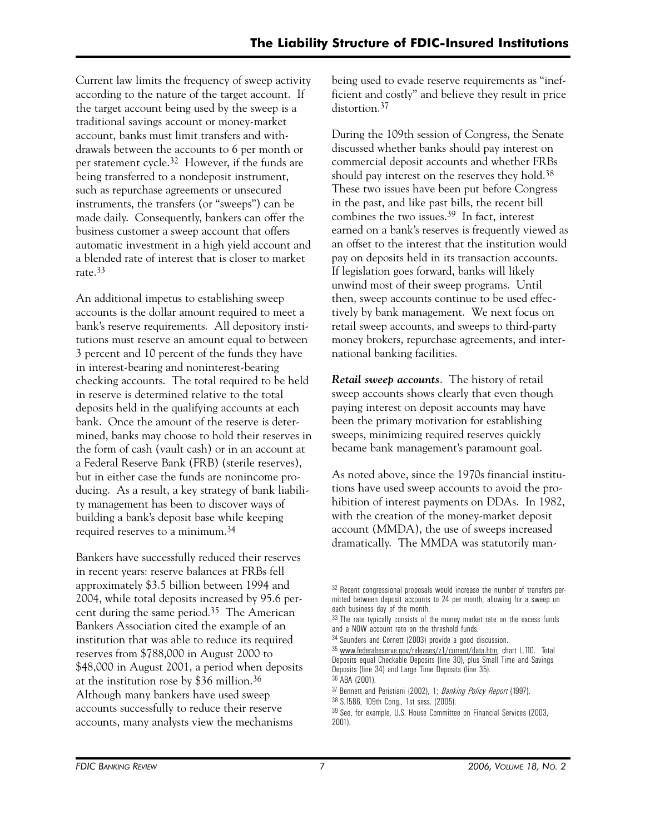Current law limits the frequency of sweep activity according to the nature of the target account. If the target account being used by the sweep is a traditional savings account or money-market account, banks must limit transfers and withdrawals between the accounts to 6 per month or per statement cycle.32 However, if the funds are being transferred to a nondeposit instrument, such as repurchase agreements or unsecured instruments, the transfers (or "sweeps") can be made daily. Consequently, bankers can offer the business customer a sweep account that offers automatic investment in a high yield account and a blended rate of interest that is closer to market rate.33

An additional impetus to establishing sweep accounts is the dollar amount required to meet a bank's reserve requirements. All depository institutions must reserve an amount equal to between 3 percent and 10 percent of the funds they have in interest-bearing and noninterest-bearing checking accounts. The total required to be held in reserve is determined relative to the total deposits held in the qualifying accounts at each bank. Once the amount of the reserve is determined, banks may choose to hold their reserves in the form of cash (vault cash) or in an account at a Federal Reserve Bank (FRB) (sterile reserves), but in either case the funds are nonincome producing. As a result, a key strategy of bank liability management has been to discover ways of building a bank's deposit base while keeping required reserves to a minimum.34

Bankers have successfully reduced their reserves in recent years: reserve balances at FRBs fell approximately \$3.5 billion between 1994 and 2004, while total deposits increased by 95.6 percent during the same period.35 The American Bankers Association cited the example of an institution that was able to reduce its required reserves from \$788,000 in August 2000 to \$48,000 in August 2001, a period when deposits at the institution rose by \$36 million.36 Although many bankers have used sweep accounts successfully to reduce their reserve accounts, many analysts view the mechanisms

being used to evade reserve requirements as "inefficient and costly" and believe they result in price distortion.<sup>37</sup>

During the 109th session of Congress, the Senate discussed whether banks should pay interest on commercial deposit accounts and whether FRBs should pay interest on the reserves they hold.<sup>38</sup> These two issues have been put before Congress in the past, and like past bills, the recent bill combines the two issues.39 In fact, interest earned on a bank's reserves is frequently viewed as an offset to the interest that the institution would pay on deposits held in its transaction accounts. If legislation goes forward, banks will likely unwind most of their sweep programs. Until then, sweep accounts continue to be used effectively by bank management. We next focus on retail sweep accounts, and sweeps to third-party money brokers, repurchase agreements, and international banking facilities.

*Retail sweep accounts*. The history of retail sweep accounts shows clearly that even though paying interest on deposit accounts may have been the primary motivation for establishing sweeps, minimizing required reserves quickly became bank management's paramount goal.

As noted above, since the 1970s financial institutions have used sweep accounts to avoid the prohibition of interest payments on DDAs. In 1982, with the creation of the money-market deposit account (MMDA), the use of sweeps increased dramatically. The MMDA was statutorily man-

<sup>32</sup> Recent congressional proposals would increase the number of transfers permitted between deposit accounts to 24 per month, allowing for a sweep on each business day of the month.

<sup>&</sup>lt;sup>33</sup> The rate typically consists of the money market rate on the excess funds and a NOW account rate on the threshold funds.

<sup>34</sup> Saunders and Cornett (2003) provide a good discussion.

<sup>&</sup>lt;sup>35</sup> www.federalreserve.gov/releases/z1/current/data.htm, chart L.110. Total Deposits equal Checkable Deposits (line 30), plus Small Time and Savings Deposits (line 34) and Large Time Deposits (line 35). 36 ABA (2001).

<sup>37</sup> Bennett and Peristiani (2002), 1; *Banking Policy Report* (1997).

<sup>38</sup> S.1586, 109th Cong., 1st sess. (2005).

<sup>39</sup> See, for example, U.S. House Committee on Financial Services (2003, 2001).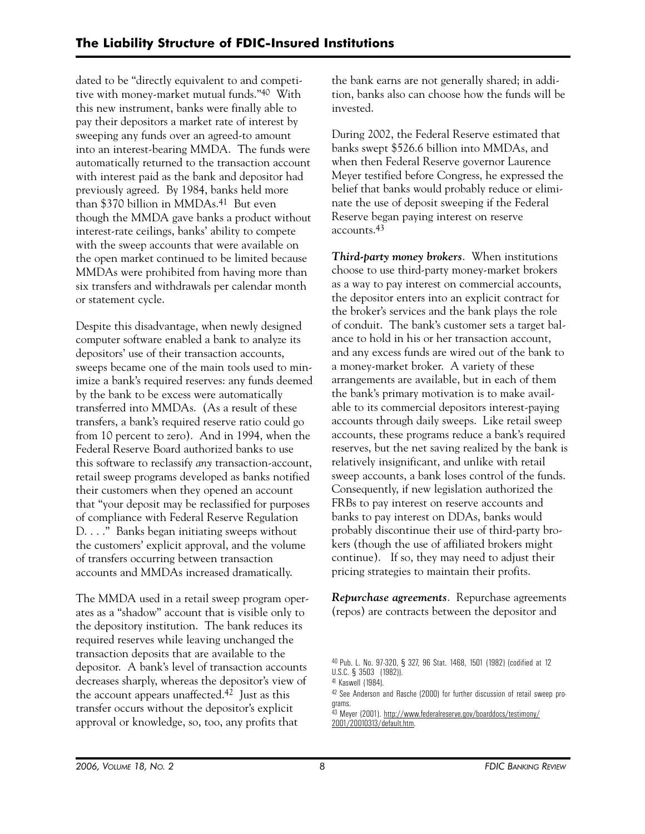dated to be "directly equivalent to and competitive with money-market mutual funds."40 With this new instrument, banks were finally able to pay their depositors a market rate of interest by sweeping any funds over an agreed-to amount into an interest-bearing MMDA. The funds were automatically returned to the transaction account with interest paid as the bank and depositor had previously agreed. By 1984, banks held more than \$370 billion in MMDAs.41 But even though the MMDA gave banks a product without interest-rate ceilings, banks' ability to compete with the sweep accounts that were available on the open market continued to be limited because MMDAs were prohibited from having more than six transfers and withdrawals per calendar month or statement cycle.

Despite this disadvantage, when newly designed computer software enabled a bank to analyze its depositors' use of their transaction accounts, sweeps became one of the main tools used to minimize a bank's required reserves: any funds deemed by the bank to be excess were automatically transferred into MMDAs. (As a result of these transfers, a bank's required reserve ratio could go from 10 percent to zero). And in 1994, when the Federal Reserve Board authorized banks to use this software to reclassify *any* transaction-account, retail sweep programs developed as banks notified their customers when they opened an account that "your deposit may be reclassified for purposes of compliance with Federal Reserve Regulation D. . . ." Banks began initiating sweeps without the customers' explicit approval, and the volume of transfers occurring between transaction accounts and MMDAs increased dramatically.

The MMDA used in a retail sweep program operates as a "shadow" account that is visible only to the depository institution. The bank reduces its required reserves while leaving unchanged the transaction deposits that are available to the depositor. A bank's level of transaction accounts decreases sharply, whereas the depositor's view of the account appears unaffected.42 Just as this transfer occurs without the depositor's explicit approval or knowledge, so, too, any profits that

the bank earns are not generally shared; in addition, banks also can choose how the funds will be invested.

During 2002, the Federal Reserve estimated that banks swept \$526.6 billion into MMDAs, and when then Federal Reserve governor Laurence Meyer testified before Congress, he expressed the belief that banks would probably reduce or eliminate the use of deposit sweeping if the Federal Reserve began paying interest on reserve accounts.43

*Third-party money brokers*. When institutions choose to use third-party money-market brokers as a way to pay interest on commercial accounts, the depositor enters into an explicit contract for the broker's services and the bank plays the role of conduit. The bank's customer sets a target balance to hold in his or her transaction account, and any excess funds are wired out of the bank to a money-market broker. A variety of these arrangements are available, but in each of them the bank's primary motivation is to make available to its commercial depositors interest-paying accounts through daily sweeps. Like retail sweep accounts, these programs reduce a bank's required reserves, but the net saving realized by the bank is relatively insignificant, and unlike with retail sweep accounts, a bank loses control of the funds. Consequently, if new legislation authorized the FRBs to pay interest on reserve accounts and banks to pay interest on DDAs, banks would probably discontinue their use of third-party brokers (though the use of affiliated brokers might continue). If so, they may need to adjust their pricing strategies to maintain their profits.

*Repurchase agreements*. Repurchase agreements (repos) are contracts between the depositor and

42 See Anderson and Rasche (2000) for further discussion of retail sweep programs.

43 Meyer (2001). http://www.federalreserve.gov/boarddocs/testimony/ 2001/20010313/default.htm.

<sup>40</sup> Pub. L. No. 97-320, § 327, 96 Stat. 1468, 1501 (1982) (codified at 12 U.S.C. § 3503 (1982)).

<sup>41</sup> Kaswell (1984).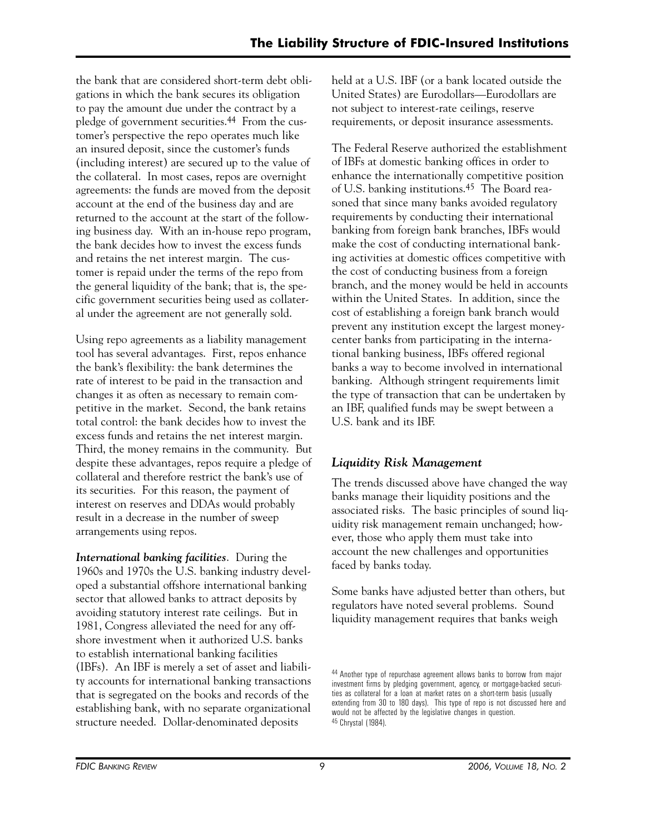the bank that are considered short-term debt obligations in which the bank secures its obligation to pay the amount due under the contract by a pledge of government securities.44 From the customer's perspective the repo operates much like an insured deposit, since the customer's funds (including interest) are secured up to the value of the collateral. In most cases, repos are overnight agreements: the funds are moved from the deposit account at the end of the business day and are returned to the account at the start of the following business day. With an in-house repo program, the bank decides how to invest the excess funds and retains the net interest margin. The customer is repaid under the terms of the repo from the general liquidity of the bank; that is, the specific government securities being used as collateral under the agreement are not generally sold.

Using repo agreements as a liability management tool has several advantages. First, repos enhance the bank's flexibility: the bank determines the rate of interest to be paid in the transaction and changes it as often as necessary to remain competitive in the market. Second, the bank retains total control: the bank decides how to invest the excess funds and retains the net interest margin. Third, the money remains in the community. But despite these advantages, repos require a pledge of collateral and therefore restrict the bank's use of its securities. For this reason, the payment of interest on reserves and DDAs would probably result in a decrease in the number of sweep arrangements using repos.

*International banking facilities*. During the 1960s and 1970s the U.S. banking industry developed a substantial offshore international banking sector that allowed banks to attract deposits by avoiding statutory interest rate ceilings. But in 1981, Congress alleviated the need for any offshore investment when it authorized U.S. banks to establish international banking facilities (IBFs). An IBF is merely a set of asset and liability accounts for international banking transactions that is segregated on the books and records of the establishing bank, with no separate organizational structure needed. Dollar-denominated deposits

held at a U.S. IBF (or a bank located outside the United States) are Eurodollars—Eurodollars are not subject to interest-rate ceilings, reserve requirements, or deposit insurance assessments.

The Federal Reserve authorized the establishment of IBFs at domestic banking offices in order to enhance the internationally competitive position of U.S. banking institutions.45 The Board reasoned that since many banks avoided regulatory requirements by conducting their international banking from foreign bank branches, IBFs would make the cost of conducting international banking activities at domestic offices competitive with the cost of conducting business from a foreign branch, and the money would be held in accounts within the United States. In addition, since the cost of establishing a foreign bank branch would prevent any institution except the largest moneycenter banks from participating in the international banking business, IBFs offered regional banks a way to become involved in international banking. Although stringent requirements limit the type of transaction that can be undertaken by an IBF, qualified funds may be swept between a U.S. bank and its IBF.

# *Liquidity Risk Management*

The trends discussed above have changed the way banks manage their liquidity positions and the associated risks. The basic principles of sound liquidity risk management remain unchanged; however, those who apply them must take into account the new challenges and opportunities faced by banks today.

Some banks have adjusted better than others, but regulators have noted several problems. Sound liquidity management requires that banks weigh

<sup>44</sup> Another type of repurchase agreement allows banks to borrow from major investment firms by pledging government, agency, or mortgage-backed securities as collateral for a loan at market rates on a short-term basis (usually extending from 30 to 180 days). This type of repo is not discussed here and would not be affected by the legislative changes in question. 45 Chrystal (1984).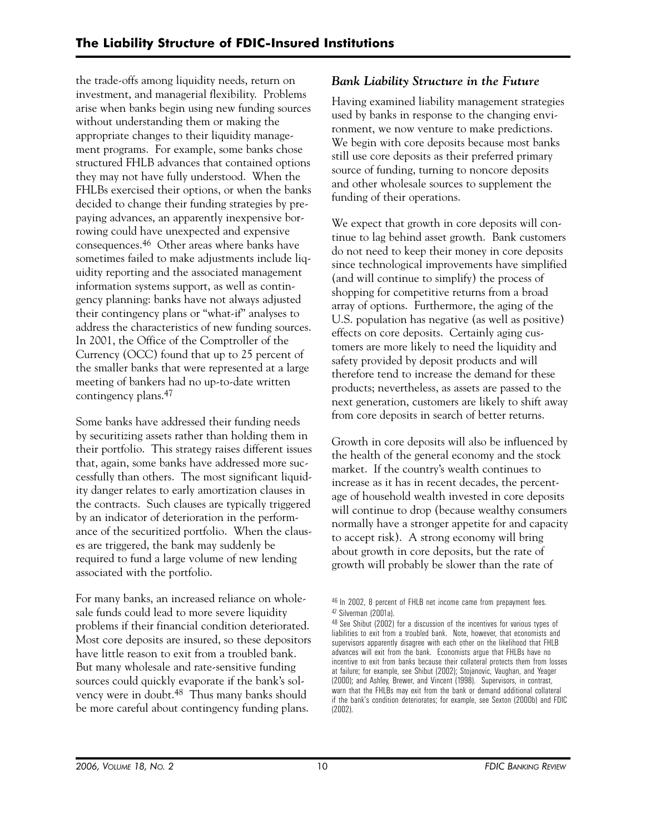the trade-offs among liquidity needs, return on investment, and managerial flexibility. Problems arise when banks begin using new funding sources without understanding them or making the appropriate changes to their liquidity management programs. For example, some banks chose structured FHLB advances that contained options they may not have fully understood. When the FHLBs exercised their options, or when the banks decided to change their funding strategies by prepaying advances, an apparently inexpensive borrowing could have unexpected and expensive consequences.46 Other areas where banks have sometimes failed to make adjustments include liquidity reporting and the associated management information systems support, as well as contingency planning: banks have not always adjusted their contingency plans or "what-if" analyses to address the characteristics of new funding sources. In 2001, the Office of the Comptroller of the Currency (OCC) found that up to 25 percent of the smaller banks that were represented at a large meeting of bankers had no up-to-date written contingency plans.47

Some banks have addressed their funding needs by securitizing assets rather than holding them in their portfolio. This strategy raises different issues that, again, some banks have addressed more successfully than others. The most significant liquidity danger relates to early amortization clauses in the contracts. Such clauses are typically triggered by an indicator of deterioration in the performance of the securitized portfolio. When the clauses are triggered, the bank may suddenly be required to fund a large volume of new lending associated with the portfolio.

For many banks, an increased reliance on wholesale funds could lead to more severe liquidity problems if their financial condition deteriorated. Most core deposits are insured, so these depositors have little reason to exit from a troubled bank. But many wholesale and rate-sensitive funding sources could quickly evaporate if the bank's solvency were in doubt.48 Thus many banks should be more careful about contingency funding plans.

# *Bank Liability Structure in the Future*

Having examined liability management strategies used by banks in response to the changing environment, we now venture to make predictions. We begin with core deposits because most banks still use core deposits as their preferred primary source of funding, turning to noncore deposits and other wholesale sources to supplement the funding of their operations.

We expect that growth in core deposits will continue to lag behind asset growth. Bank customers do not need to keep their money in core deposits since technological improvements have simplified (and will continue to simplify) the process of shopping for competitive returns from a broad array of options. Furthermore, the aging of the U.S. population has negative (as well as positive) effects on core deposits. Certainly aging customers are more likely to need the liquidity and safety provided by deposit products and will therefore tend to increase the demand for these products; nevertheless, as assets are passed to the next generation, customers are likely to shift away from core deposits in search of better returns.

Growth in core deposits will also be influenced by the health of the general economy and the stock market. If the country's wealth continues to increase as it has in recent decades, the percentage of household wealth invested in core deposits will continue to drop (because wealthy consumers normally have a stronger appetite for and capacity to accept risk). A strong economy will bring about growth in core deposits, but the rate of growth will probably be slower than the rate of

<sup>46</sup> In 2002, 8 percent of FHLB net income came from prepayment fees. 47 Silverman (2001a).

<sup>48</sup> See Shibut (2002) for a discussion of the incentives for various types of liabilities to exit from a troubled bank. Note, however, that economists and supervisors apparently disagree with each other on the likelihood that FHLB advances will exit from the bank. Economists argue that FHLBs have no incentive to exit from banks because their collateral protects them from losses at failure; for example, see Shibut (2002); Stojanovic, Vaughan, and Yeager (2000); and Ashley, Brewer, and Vincent (1998). Supervisors, in contrast, warn that the FHLBs may exit from the bank or demand additional collateral if the bank's condition deteriorates; for example, see Sexton (2000b) and FDIC (2002).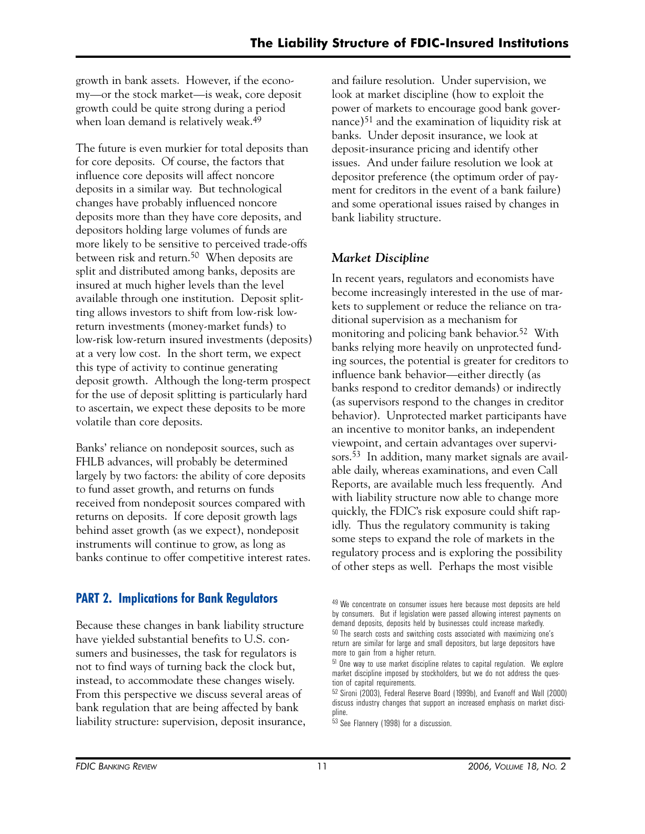growth in bank assets. However, if the economy—or the stock market—is weak, core deposit growth could be quite strong during a period when loan demand is relatively weak.49

The future is even murkier for total deposits than for core deposits. Of course, the factors that influence core deposits will affect noncore deposits in a similar way. But technological changes have probably influenced noncore deposits more than they have core deposits, and depositors holding large volumes of funds are more likely to be sensitive to perceived trade-offs between risk and return.50 When deposits are split and distributed among banks, deposits are insured at much higher levels than the level available through one institution. Deposit splitting allows investors to shift from low-risk lowreturn investments (money-market funds) to low-risk low-return insured investments (deposits) at a very low cost. In the short term, we expect this type of activity to continue generating deposit growth. Although the long-term prospect for the use of deposit splitting is particularly hard to ascertain, we expect these deposits to be more volatile than core deposits.

Banks' reliance on nondeposit sources, such as FHLB advances, will probably be determined largely by two factors: the ability of core deposits to fund asset growth, and returns on funds received from nondeposit sources compared with returns on deposits. If core deposit growth lags behind asset growth (as we expect), nondeposit instruments will continue to grow, as long as banks continue to offer competitive interest rates.

# **PART 2. Implications for Bank Regulators**

Because these changes in bank liability structure have yielded substantial benefits to U.S. consumers and businesses, the task for regulators is not to find ways of turning back the clock but, instead, to accommodate these changes wisely. From this perspective we discuss several areas of bank regulation that are being affected by bank liability structure: supervision, deposit insurance, and failure resolution. Under supervision, we look at market discipline (how to exploit the power of markets to encourage good bank governance)51 and the examination of liquidity risk at banks. Under deposit insurance, we look at deposit-insurance pricing and identify other issues. And under failure resolution we look at depositor preference (the optimum order of payment for creditors in the event of a bank failure) and some operational issues raised by changes in bank liability structure.

# *Market Discipline*

In recent years, regulators and economists have become increasingly interested in the use of markets to supplement or reduce the reliance on traditional supervision as a mechanism for monitoring and policing bank behavior.<sup>52</sup> With banks relying more heavily on unprotected funding sources, the potential is greater for creditors to influence bank behavior—either directly (as banks respond to creditor demands) or indirectly (as supervisors respond to the changes in creditor behavior). Unprotected market participants have an incentive to monitor banks, an independent viewpoint, and certain advantages over supervisors.53 In addition, many market signals are available daily, whereas examinations, and even Call Reports, are available much less frequently. And with liability structure now able to change more quickly, the FDIC's risk exposure could shift rapidly. Thus the regulatory community is taking some steps to expand the role of markets in the regulatory process and is exploring the possibility of other steps as well. Perhaps the most visible

<sup>&</sup>lt;sup>49</sup> We concentrate on consumer issues here because most deposits are held by consumers. But if legislation were passed allowing interest payments on demand deposits, deposits held by businesses could increase markedly. 50 The search costs and switching costs associated with maximizing one's return are similar for large and small depositors, but large depositors have

more to gain from a higher return. 51 One way to use market discipline relates to capital regulation. We explore market discipline imposed by stockholders, but we do not address the question of capital requirements.

<sup>52</sup> Sironi (2003), Federal Reserve Board (1999b), and Evanoff and Wall (2000) discuss industry changes that support an increased emphasis on market discipline.

<sup>53</sup> See Flannery (1998) for a discussion.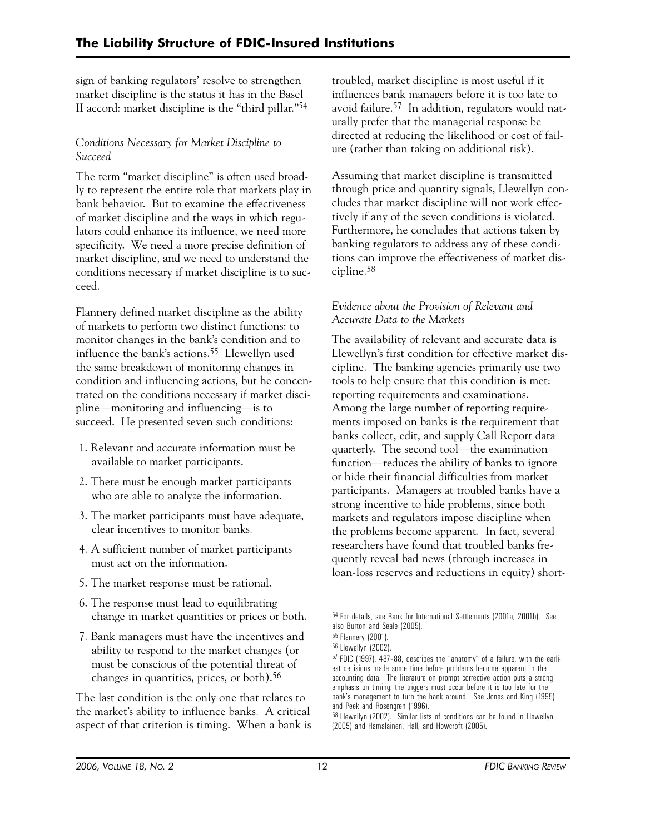sign of banking regulators' resolve to strengthen market discipline is the status it has in the Basel II accord: market discipline is the "third pillar."54

# *Conditions Necessary for Market Discipline to Succeed*

The term "market discipline" is often used broadly to represent the entire role that markets play in bank behavior. But to examine the effectiveness of market discipline and the ways in which regulators could enhance its influence, we need more specificity. We need a more precise definition of market discipline, and we need to understand the conditions necessary if market discipline is to succeed.

Flannery defined market discipline as the ability of markets to perform two distinct functions: to monitor changes in the bank's condition and to influence the bank's actions.55 Llewellyn used the same breakdown of monitoring changes in condition and influencing actions, but he concentrated on the conditions necessary if market discipline—monitoring and influencing—is to succeed. He presented seven such conditions:

- 1. Relevant and accurate information must be available to market participants.
- 2. There must be enough market participants who are able to analyze the information.
- 3. The market participants must have adequate, clear incentives to monitor banks.
- 4. A sufficient number of market participants must act on the information.
- 5. The market response must be rational.
- 6. The response must lead to equilibrating change in market quantities or prices or both.
- 7. Bank managers must have the incentives and ability to respond to the market changes (or must be conscious of the potential threat of changes in quantities, prices, or both).56

The last condition is the only one that relates to the market's ability to influence banks. A critical aspect of that criterion is timing. When a bank is troubled, market discipline is most useful if it influences bank managers before it is too late to avoid failure.57 In addition, regulators would naturally prefer that the managerial response be directed at reducing the likelihood or cost of failure (rather than taking on additional risk).

Assuming that market discipline is transmitted through price and quantity signals, Llewellyn concludes that market discipline will not work effectively if any of the seven conditions is violated. Furthermore, he concludes that actions taken by banking regulators to address any of these conditions can improve the effectiveness of market discipline.58

# *Evidence about the Provision of Relevant and Accurate Data to the Markets*

The availability of relevant and accurate data is Llewellyn's first condition for effective market discipline. The banking agencies primarily use two tools to help ensure that this condition is met: reporting requirements and examinations. Among the large number of reporting requirements imposed on banks is the requirement that banks collect, edit, and supply Call Report data quarterly. The second tool—the examination function—reduces the ability of banks to ignore or hide their financial difficulties from market participants. Managers at troubled banks have a strong incentive to hide problems, since both markets and regulators impose discipline when the problems become apparent. In fact, several researchers have found that troubled banks frequently reveal bad news (through increases in loan-loss reserves and reductions in equity) short-

<sup>54</sup> For details, see Bank for International Settlements (2001a, 2001b). See also Burton and Seale (2005).

<sup>55</sup> Flannery (2001).

<sup>56</sup> Llewellyn (2002).

<sup>57</sup> FDIC (1997), 487–88, describes the "anatomy" of a failure, with the earliest decisions made some time before problems become apparent in the accounting data. The literature on prompt corrective action puts a strong emphasis on timing: the triggers must occur before it is too late for the bank's management to turn the bank around. See Jones and King (1995) and Peek and Rosengren (1996).

<sup>58</sup> Llewellyn (2002). Similar lists of conditions can be found in Llewellyn (2005) and Hamalainen, Hall, and Howcroft (2005).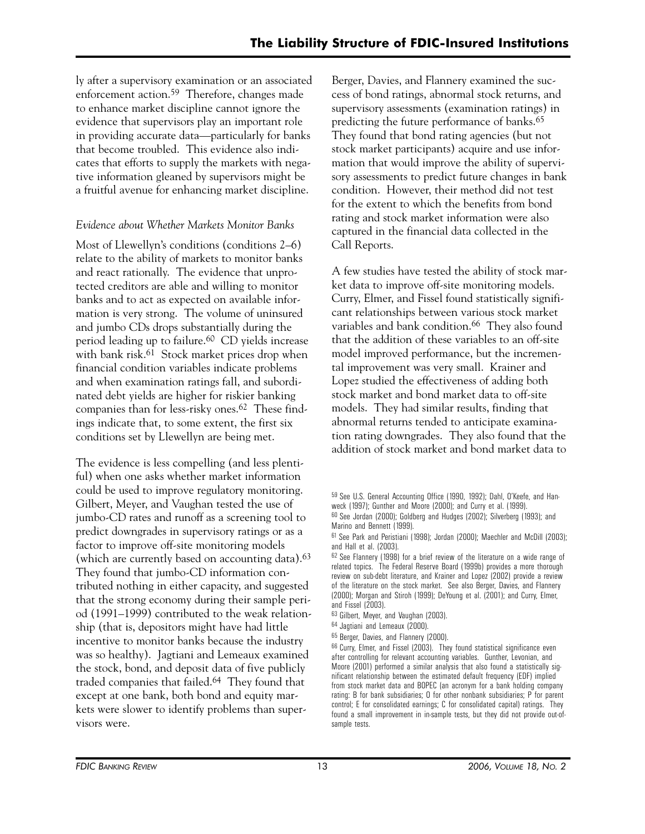ly after a supervisory examination or an associated enforcement action.59 Therefore, changes made to enhance market discipline cannot ignore the evidence that supervisors play an important role in providing accurate data—particularly for banks that become troubled. This evidence also indicates that efforts to supply the markets with negative information gleaned by supervisors might be a fruitful avenue for enhancing market discipline.

# *Evidence about Whether Markets Monitor Banks*

Most of Llewellyn's conditions (conditions 2–6) relate to the ability of markets to monitor banks and react rationally. The evidence that unprotected creditors are able and willing to monitor banks and to act as expected on available information is very strong. The volume of uninsured and jumbo CDs drops substantially during the period leading up to failure.60 CD yields increase with bank risk.<sup>61</sup> Stock market prices drop when financial condition variables indicate problems and when examination ratings fall, and subordinated debt yields are higher for riskier banking companies than for less-risky ones.62 These findings indicate that, to some extent, the first six conditions set by Llewellyn are being met.

The evidence is less compelling (and less plentiful) when one asks whether market information could be used to improve regulatory monitoring. Gilbert, Meyer, and Vaughan tested the use of jumbo-CD rates and runoff as a screening tool to predict downgrades in supervisory ratings or as a factor to improve off-site monitoring models (which are currently based on accounting data).<sup>63</sup> They found that jumbo-CD information contributed nothing in either capacity, and suggested that the strong economy during their sample period (1991–1999) contributed to the weak relationship (that is, depositors might have had little incentive to monitor banks because the industry was so healthy). Jagtiani and Lemeaux examined the stock, bond, and deposit data of five publicly traded companies that failed.64 They found that except at one bank, both bond and equity markets were slower to identify problems than supervisors were.

Berger, Davies, and Flannery examined the success of bond ratings, abnormal stock returns, and supervisory assessments (examination ratings) in predicting the future performance of banks.65 They found that bond rating agencies (but not stock market participants) acquire and use information that would improve the ability of supervisory assessments to predict future changes in bank condition. However, their method did not test for the extent to which the benefits from bond rating and stock market information were also captured in the financial data collected in the Call Reports.

A few studies have tested the ability of stock market data to improve off-site monitoring models. Curry, Elmer, and Fissel found statistically significant relationships between various stock market variables and bank condition.<sup>66</sup> They also found that the addition of these variables to an off-site model improved performance, but the incremental improvement was very small. Krainer and Lopez studied the effectiveness of adding both stock market and bond market data to off-site models. They had similar results, finding that abnormal returns tended to anticipate examination rating downgrades. They also found that the addition of stock market and bond market data to

<sup>59</sup> See U.S. General Accounting Office (1990, 1992); Dahl, O'Keefe, and Hanweck (1997); Gunther and Moore (2000); and Curry et al. (1999).

<sup>60</sup> See Jordan (2000); Goldberg and Hudges (2002); Silverberg (1993); and Marino and Bennett (1999).

<sup>61</sup> See Park and Peristiani (1998); Jordan (2000); Maechler and McDill (2003); and Hall et al. (2003).

<sup>62</sup> See Flannery (1998) for a brief review of the literature on a wide range of related topics. The Federal Reserve Board (1999b) provides a more thorough review on sub-debt literature, and Krainer and Lopez (2002) provide a review of the literature on the stock market. See also Berger, Davies, and Flannery (2000); Morgan and Stiroh (1999); DeYoung et al. (2001); and Curry, Elmer, and Fissel (2003).

<sup>63</sup> Gilbert, Meyer, and Vaughan (2003).

<sup>64</sup> Jagtiani and Lemeaux (2000).

<sup>65</sup> Berger, Davies, and Flannery (2000).

<sup>66</sup> Curry, Elmer, and Fissel (2003). They found statistical significance even after controlling for relevant accounting variables. Gunther, Levonian, and Moore (2001) performed a similar analysis that also found a statistically significant relationship between the estimated default frequency (EDF) implied from stock market data and BOPEC (an acronym for a bank holding company rating: B for bank subsidiaries; O for other nonbank subsidiaries; P for parent control; E for consolidated earnings; C for consolidated capital) ratings. They found a small improvement in in-sample tests, but they did not provide out-ofsample tests.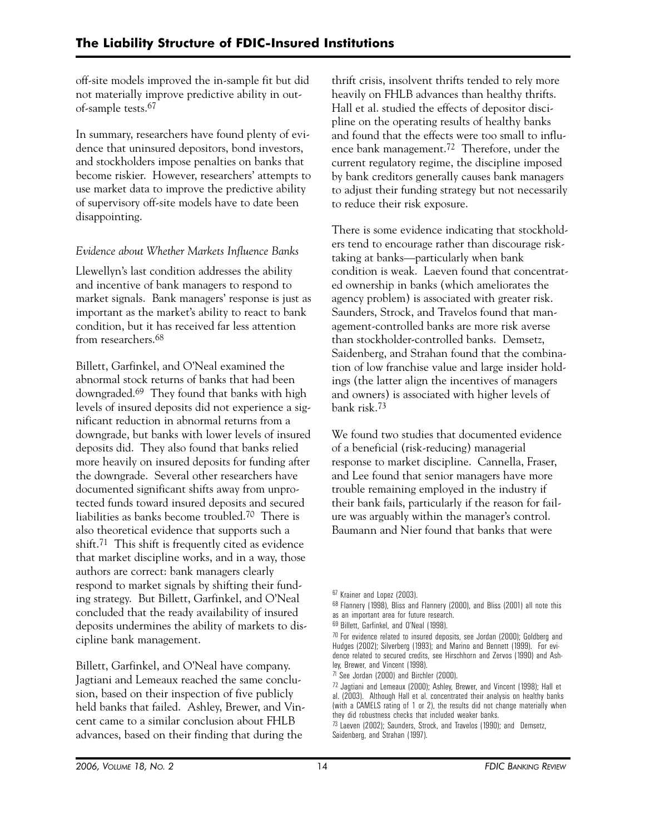off-site models improved the in-sample fit but did not materially improve predictive ability in outof-sample tests.67

In summary, researchers have found plenty of evidence that uninsured depositors, bond investors, and stockholders impose penalties on banks that become riskier. However, researchers' attempts to use market data to improve the predictive ability of supervisory off-site models have to date been disappointing.

# *Evidence about Whether Markets Influence Banks*

Llewellyn's last condition addresses the ability and incentive of bank managers to respond to market signals. Bank managers' response is just as important as the market's ability to react to bank condition, but it has received far less attention from researchers.68

Billett, Garfinkel, and O'Neal examined the abnormal stock returns of banks that had been downgraded.69 They found that banks with high levels of insured deposits did not experience a significant reduction in abnormal returns from a downgrade, but banks with lower levels of insured deposits did. They also found that banks relied more heavily on insured deposits for funding after the downgrade. Several other researchers have documented significant shifts away from unprotected funds toward insured deposits and secured liabilities as banks become troubled.70 There is also theoretical evidence that supports such a shift.71 This shift is frequently cited as evidence that market discipline works, and in a way, those authors are correct: bank managers clearly respond to market signals by shifting their funding strategy. But Billett, Garfinkel, and O'Neal concluded that the ready availability of insured deposits undermines the ability of markets to discipline bank management.

Billett, Garfinkel, and O'Neal have company. Jagtiani and Lemeaux reached the same conclusion, based on their inspection of five publicly held banks that failed. Ashley, Brewer, and Vincent came to a similar conclusion about FHLB advances, based on their finding that during the

thrift crisis, insolvent thrifts tended to rely more heavily on FHLB advances than healthy thrifts. Hall et al. studied the effects of depositor discipline on the operating results of healthy banks and found that the effects were too small to influence bank management.72 Therefore, under the current regulatory regime, the discipline imposed by bank creditors generally causes bank managers to adjust their funding strategy but not necessarily to reduce their risk exposure.

There is some evidence indicating that stockholders tend to encourage rather than discourage risktaking at banks—particularly when bank condition is weak. Laeven found that concentrated ownership in banks (which ameliorates the agency problem) is associated with greater risk. Saunders, Strock, and Travelos found that management-controlled banks are more risk averse than stockholder-controlled banks. Demsetz, Saidenberg, and Strahan found that the combination of low franchise value and large insider holdings (the latter align the incentives of managers and owners) is associated with higher levels of bank risk.73

We found two studies that documented evidence of a beneficial (risk-reducing) managerial response to market discipline. Cannella, Fraser, and Lee found that senior managers have more trouble remaining employed in the industry if their bank fails, particularly if the reason for failure was arguably within the manager's control. Baumann and Nier found that banks that were

68 Flannery (1998), Bliss and Flannery (2000), and Bliss (2001) all note this as an important area for future research.

<sup>67</sup> Krainer and Lopez (2003).

<sup>69</sup> Billett, Garfinkel, and O'Neal (1998).

<sup>&</sup>lt;sup>70</sup> For evidence related to insured deposits, see Jordan (2000); Goldberg and Hudges (2002); Silverberg (1993); and Marino and Bennett (1999). For evidence related to secured credits, see Hirschhorn and Zervos (1990) and Ashley, Brewer, and Vincent (1998).

<sup>71</sup> See Jordan (2000) and Birchler (2000).

<sup>72</sup> Jagtiani and Lemeaux (2000); Ashley, Brewer, and Vincent (1998); Hall et al. (2003). Although Hall et al. concentrated their analysis on healthy banks (with a CAMELS rating of 1 or 2), the results did not change materially when they did robustness checks that included weaker banks.

<sup>73</sup> Laeven (2002); Saunders, Strock, and Travelos (1990); and Demsetz, Saidenberg, and Strahan (1997).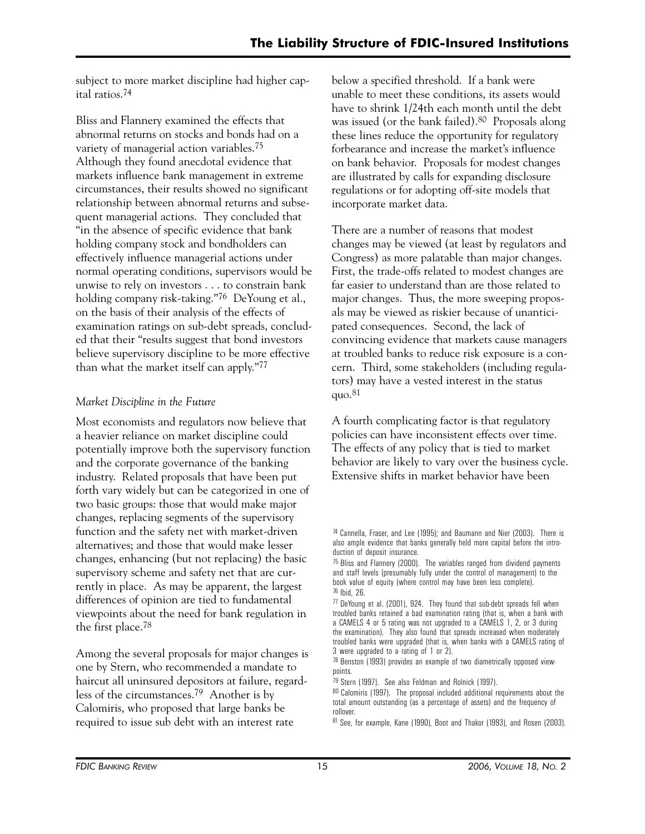subject to more market discipline had higher capital ratios.74

Bliss and Flannery examined the effects that abnormal returns on stocks and bonds had on a variety of managerial action variables.75 Although they found anecdotal evidence that markets influence bank management in extreme circumstances, their results showed no significant relationship between abnormal returns and subsequent managerial actions. They concluded that "in the absence of specific evidence that bank holding company stock and bondholders can effectively influence managerial actions under normal operating conditions, supervisors would be unwise to rely on investors . . . to constrain bank holding company risk-taking."<sup>76</sup> DeYoung et al., on the basis of their analysis of the effects of examination ratings on sub-debt spreads, concluded that their "results suggest that bond investors believe supervisory discipline to be more effective than what the market itself can apply."77

# *Market Discipline in the Future*

Most economists and regulators now believe that a heavier reliance on market discipline could potentially improve both the supervisory function and the corporate governance of the banking industry. Related proposals that have been put forth vary widely but can be categorized in one of two basic groups: those that would make major changes, replacing segments of the supervisory function and the safety net with market-driven alternatives; and those that would make lesser changes, enhancing (but not replacing) the basic supervisory scheme and safety net that are currently in place. As may be apparent, the largest differences of opinion are tied to fundamental viewpoints about the need for bank regulation in the first place.78

Among the several proposals for major changes is one by Stern, who recommended a mandate to haircut all uninsured depositors at failure, regardless of the circumstances.79 Another is by Calomiris, who proposed that large banks be required to issue sub debt with an interest rate

below a specified threshold. If a bank were unable to meet these conditions, its assets would have to shrink 1/24th each month until the debt was issued (or the bank failed).<sup>80</sup> Proposals along these lines reduce the opportunity for regulatory forbearance and increase the market's influence on bank behavior. Proposals for modest changes are illustrated by calls for expanding disclosure regulations or for adopting off-site models that incorporate market data.

There are a number of reasons that modest changes may be viewed (at least by regulators and Congress) as more palatable than major changes. First, the trade-offs related to modest changes are far easier to understand than are those related to major changes. Thus, the more sweeping proposals may be viewed as riskier because of unanticipated consequences. Second, the lack of convincing evidence that markets cause managers at troubled banks to reduce risk exposure is a concern. Third, some stakeholders (including regulators) may have a vested interest in the status quo. $81$ 

A fourth complicating factor is that regulatory policies can have inconsistent effects over time. The effects of any policy that is tied to market behavior are likely to vary over the business cycle. Extensive shifts in market behavior have been

<sup>74</sup> Cannella, Fraser, and Lee (1995); and Baumann and Nier (2003). There is also ample evidence that banks generally held more capital before the introduction of deposit insurance.

<sup>75</sup> Bliss and Flannery (2000). The variables ranged from dividend payments and staff levels (presumably fully under the control of management) to the book value of equity (where control may have been less complete). 76 Ibid, 26.

<sup>77</sup> DeYoung et al. (2001), 924. They found that sub-debt spreads fell when troubled banks retained a bad examination rating (that is, when a bank with a CAMELS 4 or 5 rating was not upgraded to a CAMELS 1, 2, or 3 during the examination). They also found that spreads increased when moderately troubled banks were upgraded (that is, when banks with a CAMELS rating of 3 were upgraded to a rating of 1 or 2).

<sup>78</sup> Benston (1993) provides an example of two diametrically opposed viewpoints.

<sup>79</sup> Stern (1997). See also Feldman and Rolnick (1997).

<sup>80</sup> Calomiris (1997). The proposal included additional requirements about the total amount outstanding (as a percentage of assets) and the frequency of rollover.

<sup>81</sup> See, for example, Kane (1990), Boot and Thakor (1993), and Rosen (2003).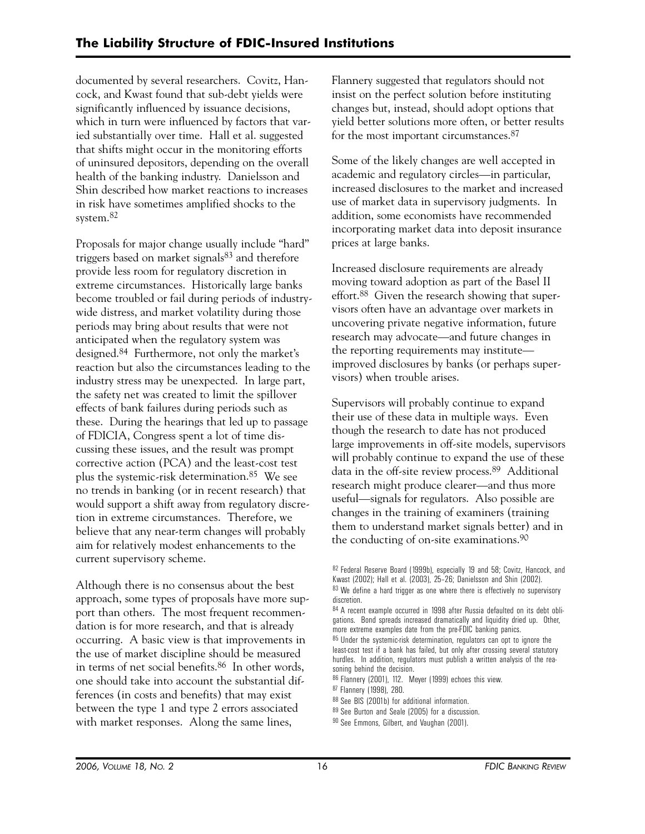documented by several researchers. Covitz, Hancock, and Kwast found that sub-debt yields were significantly influenced by issuance decisions, which in turn were influenced by factors that varied substantially over time. Hall et al. suggested that shifts might occur in the monitoring efforts of uninsured depositors, depending on the overall health of the banking industry. Danielsson and Shin described how market reactions to increases in risk have sometimes amplified shocks to the system.82

Proposals for major change usually include "hard" triggers based on market signals<sup>83</sup> and therefore provide less room for regulatory discretion in extreme circumstances. Historically large banks become troubled or fail during periods of industrywide distress, and market volatility during those periods may bring about results that were not anticipated when the regulatory system was designed.84 Furthermore, not only the market's reaction but also the circumstances leading to the industry stress may be unexpected. In large part, the safety net was created to limit the spillover effects of bank failures during periods such as these. During the hearings that led up to passage of FDICIA, Congress spent a lot of time discussing these issues, and the result was prompt corrective action (PCA) and the least-cost test plus the systemic-risk determination.85 We see no trends in banking (or in recent research) that would support a shift away from regulatory discretion in extreme circumstances. Therefore, we believe that any near-term changes will probably aim for relatively modest enhancements to the current supervisory scheme.

Although there is no consensus about the best approach, some types of proposals have more support than others. The most frequent recommendation is for more research, and that is already occurring. A basic view is that improvements in the use of market discipline should be measured in terms of net social benefits.86 In other words, one should take into account the substantial differences (in costs and benefits) that may exist between the type 1 and type 2 errors associated with market responses. Along the same lines,

Flannery suggested that regulators should not insist on the perfect solution before instituting changes but, instead, should adopt options that yield better solutions more often, or better results for the most important circumstances.87

Some of the likely changes are well accepted in academic and regulatory circles—in particular, increased disclosures to the market and increased use of market data in supervisory judgments. In addition, some economists have recommended incorporating market data into deposit insurance prices at large banks.

Increased disclosure requirements are already moving toward adoption as part of the Basel II effort.88 Given the research showing that supervisors often have an advantage over markets in uncovering private negative information, future research may advocate—and future changes in the reporting requirements may institute improved disclosures by banks (or perhaps supervisors) when trouble arises.

Supervisors will probably continue to expand their use of these data in multiple ways. Even though the research to date has not produced large improvements in off-site models, supervisors will probably continue to expand the use of these data in the off-site review process.89 Additional research might produce clearer—and thus more useful—signals for regulators. Also possible are changes in the training of examiners (training them to understand market signals better) and in the conducting of on-site examinations.90

- 88 See BIS (2001b) for additional information.
- 89 See Burton and Seale (2005) for a discussion.
- 90 See Emmons, Gilbert, and Vaughan (2001).

<sup>82</sup> Federal Reserve Board (1999b), especially 19 and 58; Covitz, Hancock, and Kwast (2002); Hall et al. (2003), 25–26; Danielsson and Shin (2002). 83 We define a hard trigger as one where there is effectively no supervisory discretion.

<sup>84</sup> A recent example occurred in 1998 after Russia defaulted on its debt obligations. Bond spreads increased dramatically and liquidity dried up. Other, more extreme examples date from the pre-FDIC banking panics.

<sup>85</sup> Under the systemic-risk determination, regulators can opt to ignore the least-cost test if a bank has failed, but only after crossing several statutory hurdles. In addition, regulators must publish a written analysis of the reasoning behind the decision.

<sup>86</sup> Flannery (2001), 112. Meyer (1999) echoes this view.

<sup>87</sup> Flannery (1998), 280.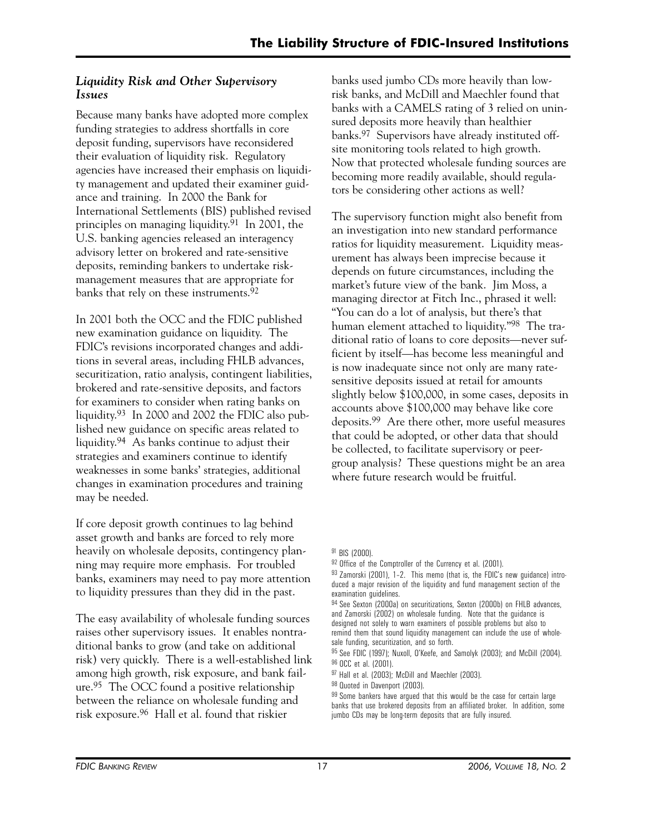# *Liquidity Risk and Other Supervisory Issues*

Because many banks have adopted more complex funding strategies to address shortfalls in core deposit funding, supervisors have reconsidered their evaluation of liquidity risk. Regulatory agencies have increased their emphasis on liquidity management and updated their examiner guidance and training. In 2000 the Bank for International Settlements (BIS) published revised principles on managing liquidity.91 In 2001, the U.S. banking agencies released an interagency advisory letter on brokered and rate-sensitive deposits, reminding bankers to undertake riskmanagement measures that are appropriate for banks that rely on these instruments.92

In 2001 both the OCC and the FDIC published new examination guidance on liquidity. The FDIC's revisions incorporated changes and additions in several areas, including FHLB advances, securitization, ratio analysis, contingent liabilities, brokered and rate-sensitive deposits, and factors for examiners to consider when rating banks on liquidity.93 In 2000 and 2002 the FDIC also published new guidance on specific areas related to liquidity.94 As banks continue to adjust their strategies and examiners continue to identify weaknesses in some banks' strategies, additional changes in examination procedures and training may be needed.

If core deposit growth continues to lag behind asset growth and banks are forced to rely more heavily on wholesale deposits, contingency planning may require more emphasis. For troubled banks, examiners may need to pay more attention to liquidity pressures than they did in the past.

The easy availability of wholesale funding sources raises other supervisory issues. It enables nontraditional banks to grow (and take on additional risk) very quickly. There is a well-established link among high growth, risk exposure, and bank failure.95 The OCC found a positive relationship between the reliance on wholesale funding and risk exposure.96 Hall et al. found that riskier

banks used jumbo CDs more heavily than lowrisk banks, and McDill and Maechler found that banks with a CAMELS rating of 3 relied on uninsured deposits more heavily than healthier banks.97 Supervisors have already instituted offsite monitoring tools related to high growth. Now that protected wholesale funding sources are becoming more readily available, should regulators be considering other actions as well?

The supervisory function might also benefit from an investigation into new standard performance ratios for liquidity measurement. Liquidity measurement has always been imprecise because it depends on future circumstances, including the market's future view of the bank. Jim Moss, a managing director at Fitch Inc., phrased it well: "You can do a lot of analysis, but there's that human element attached to liquidity."98 The traditional ratio of loans to core deposits—never sufficient by itself—has become less meaningful and is now inadequate since not only are many ratesensitive deposits issued at retail for amounts slightly below \$100,000, in some cases, deposits in accounts above \$100,000 may behave like core deposits.99 Are there other, more useful measures that could be adopted, or other data that should be collected, to facilitate supervisory or peergroup analysis? These questions might be an area where future research would be fruitful.

<sup>91</sup> BIS (2000).

<sup>&</sup>lt;sup>92</sup> Office of the Comptroller of the Currency et al. (2001).

<sup>93</sup> Zamorski (2001), 1-2. This memo (that is, the FDIC's new guidance) introduced a major revision of the liquidity and fund management section of the examination guidelines.

<sup>94</sup> See Sexton (2000a) on securitizations, Sexton (2000b) on FHLB advances, and Zamorski (2002) on wholesale funding. Note that the guidance is designed not solely to warn examiners of possible problems but also to remind them that sound liquidity management can include the use of whole-

sale funding, securitization, and so forth. 95 See FDIC (1997); Nuxoll, O'Keefe, and Samolyk (2003); and McDill (2004).

<sup>96</sup> OCC et al. (2001).

<sup>97</sup> Hall et al. (2003); McDill and Maechler (2003).

<sup>98</sup> Quoted in Davenport (2003).

<sup>&</sup>lt;sup>99</sup> Some bankers have argued that this would be the case for certain large banks that use brokered deposits from an affiliated broker. In addition, some jumbo CDs may be long-term deposits that are fully insured.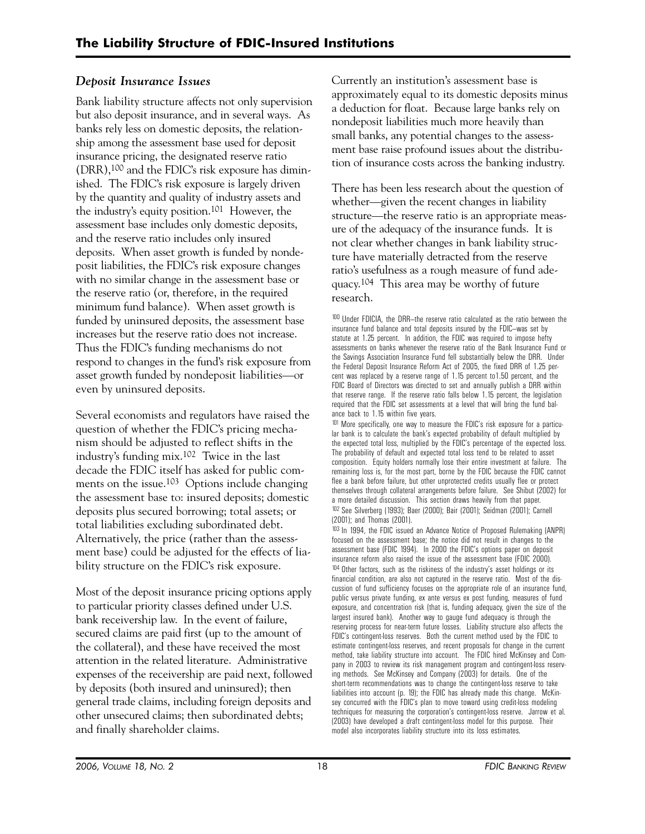# *Deposit Insurance Issues*

Bank liability structure affects not only supervision but also deposit insurance, and in several ways. As banks rely less on domestic deposits, the relationship among the assessment base used for deposit insurance pricing, the designated reserve ratio (DRR),100 and the FDIC's risk exposure has diminished. The FDIC's risk exposure is largely driven by the quantity and quality of industry assets and the industry's equity position.101 However, the assessment base includes only domestic deposits, and the reserve ratio includes only insured deposits. When asset growth is funded by nondeposit liabilities, the FDIC's risk exposure changes with no similar change in the assessment base or the reserve ratio (or, therefore, in the required minimum fund balance). When asset growth is funded by uninsured deposits, the assessment base increases but the reserve ratio does not increase. Thus the FDIC's funding mechanisms do not respond to changes in the fund's risk exposure from asset growth funded by nondeposit liabilities—or even by uninsured deposits.

Several economists and regulators have raised the question of whether the FDIC's pricing mechanism should be adjusted to reflect shifts in the industry's funding mix.102 Twice in the last decade the FDIC itself has asked for public comments on the issue.103 Options include changing the assessment base to: insured deposits; domestic deposits plus secured borrowing; total assets; or total liabilities excluding subordinated debt. Alternatively, the price (rather than the assessment base) could be adjusted for the effects of liability structure on the FDIC's risk exposure.

Most of the deposit insurance pricing options apply to particular priority classes defined under U.S. bank receivership law. In the event of failure, secured claims are paid first (up to the amount of the collateral), and these have received the most attention in the related literature. Administrative expenses of the receivership are paid next, followed by deposits (both insured and uninsured); then general trade claims, including foreign deposits and other unsecured claims; then subordinated debts; and finally shareholder claims.

Currently an institution's assessment base is approximately equal to its domestic deposits minus a deduction for float. Because large banks rely on nondeposit liabilities much more heavily than small banks, any potential changes to the assessment base raise profound issues about the distribution of insurance costs across the banking industry.

 ratio's usefulness as a rough measure of fund ade-There has been less research about the question of whether—given the recent changes in liability structure—the reserve ratio is an appropriate measure of the adequacy of the insurance funds. It is not clear whether changes in bank liability structure have materially detracted from the reserve quacy.104 This area may be worthy of future research.

100 Under FDICIA, the DRR—the reserve ratio calculated as the ratio between the insurance fund balance and total deposits insured by the FDIC—was set by statute at 1.25 percent. In addition, the FDIC was required to impose hefty assessments on banks whenever the reserve ratio of the Bank Insurance Fund or the Savings Association Insurance Fund fell substantially below the DRR. Under the Federal Deposit Insurance Reform Act of 2005, the fixed DRR of 1.25 percent was replaced by a reserve range of 1.15 percent to1.50 percent, and the FDIC Board of Directors was directed to set and annually publish a DRR within that reserve range. If the reserve ratio falls below 1.15 percent, the legislation required that the FDIC set assessments at a level that will bring the fund balance back to 1.15 within five years.

101 More specifically, one way to measure the FDIC's risk exposure for a particular bank is to calculate the bank's expected probability of default multiplied by the expected total loss, multiplied by the FDIC's percentage of the expected loss. The probability of default and expected total loss tend to be related to asset composition. Equity holders normally lose their entire investment at failure. The remaining loss is, for the most part, borne by the FDIC because the FDIC cannot flee a bank before failure, but other unprotected credits usually flee or protect themselves through collateral arrangements before failure. See Shibut (2002) for a more detailed discussion. This section draws heavily from that paper. 102 See Silverberg (1993); Baer (2000); Bair (2001); Seidman (2001); Carnell (2001); and Thomas (2001).

<sup>103</sup> In 1994, the FDIC issued an Advance Notice of Proposed Rulemaking (ANPR) focused on the assessment base; the notice did not result in changes to the assessment base (FDIC 1994). In 2000 the FDIC's options paper on deposit insurance reform also raised the issue of the assessment base (FDIC 2000). <sup>104</sup> Other factors, such as the riskiness of the industry's asset holdings or its financial condition, are also not captured in the reserve ratio. Most of the discussion of fund sufficiency focuses on the appropriate role of an insurance fund, public versus private funding, ex ante versus ex post funding, measures of fund exposure, and concentration risk (that is, funding adequacy, given the size of the largest insured bank). Another way to gauge fund adequacy is through the reserving process for near-term future losses. Liability structure also affects the FDIC's contingent-loss reserves. Both the current method used by the FDIC to estimate contingent-loss reserves, and recent proposals for change in the current method, take liability structure into account. The FDIC hired McKinsey and Company in 2003 to review its risk management program and contingent-loss reserving methods. See McKinsey and Company (2003) for details. One of the short-term recommendations was to change the contingent-loss reserve to take liabilities into account (p. 19); the FDIC has already made this change. McKinsey concurred with the FDIC's plan to move toward using credit-loss modeling techniques for measuring the corporation's contingent-loss reserve. Jarrow et al. (2003) have developed a draft contingent-loss model for this purpose. Their model also incorporates liability structure into its loss estimates.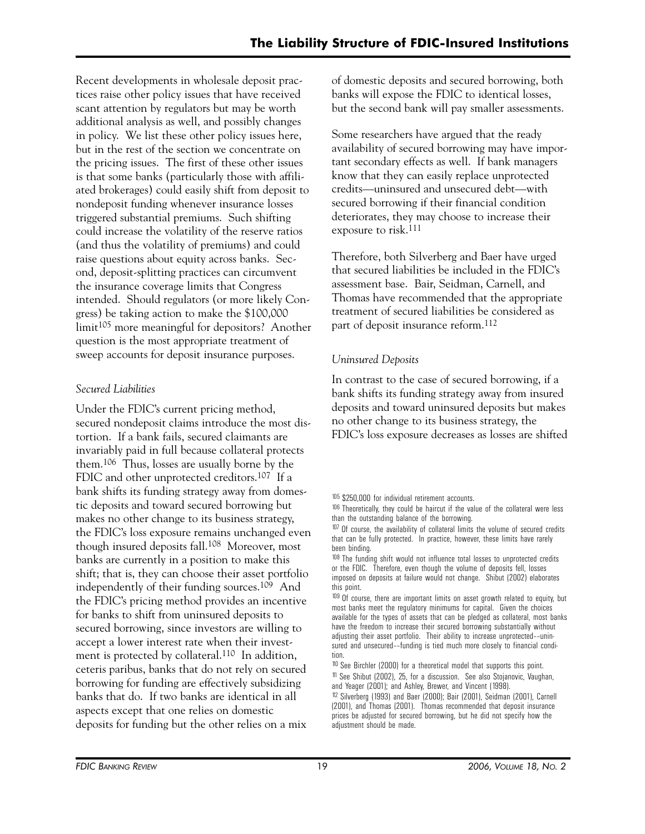Recent developments in wholesale deposit practices raise other policy issues that have received scant attention by regulators but may be worth additional analysis as well, and possibly changes in policy. We list these other policy issues here, but in the rest of the section we concentrate on the pricing issues. The first of these other issues is that some banks (particularly those with affiliated brokerages) could easily shift from deposit to nondeposit funding whenever insurance losses triggered substantial premiums. Such shifting could increase the volatility of the reserve ratios (and thus the volatility of premiums) and could raise questions about equity across banks. Second, deposit-splitting practices can circumvent the insurance coverage limits that Congress intended. Should regulators (or more likely Congress) be taking action to make the \$100,000 limit105 more meaningful for depositors? Another question is the most appropriate treatment of sweep accounts for deposit insurance purposes.

# *Secured Liabilities*

Under the FDIC's current pricing method, secured nondeposit claims introduce the most distortion. If a bank fails, secured claimants are invariably paid in full because collateral protects them.106 Thus, losses are usually borne by the FDIC and other unprotected creditors.107 If a bank shifts its funding strategy away from domestic deposits and toward secured borrowing but makes no other change to its business strategy, the FDIC's loss exposure remains unchanged even though insured deposits fall.108 Moreover, most banks are currently in a position to make this shift; that is, they can choose their asset portfolio independently of their funding sources.109 And the FDIC's pricing method provides an incentive for banks to shift from uninsured deposits to secured borrowing, since investors are willing to accept a lower interest rate when their investment is protected by collateral.<sup>110</sup> In addition, ceteris paribus, banks that do not rely on secured borrowing for funding are effectively subsidizing banks that do. If two banks are identical in all aspects except that one relies on domestic deposits for funding but the other relies on a mix

of domestic deposits and secured borrowing, both banks will expose the FDIC to identical losses, but the second bank will pay smaller assessments.

Some researchers have argued that the ready availability of secured borrowing may have important secondary effects as well. If bank managers know that they can easily replace unprotected credits—uninsured and unsecured debt—with secured borrowing if their financial condition deteriorates, they may choose to increase their exposure to risk.111

Therefore, both Silverberg and Baer have urged that secured liabilities be included in the FDIC's assessment base. Bair, Seidman, Carnell, and Thomas have recommended that the appropriate treatment of secured liabilities be considered as part of deposit insurance reform.112

# *Uninsured Deposits*

In contrast to the case of secured borrowing, if a bank shifts its funding strategy away from insured deposits and toward uninsured deposits but makes no other change to its business strategy, the FDIC's loss exposure decreases as losses are shifted

105 \$250,000 for individual retirement accounts.

<sup>109</sup> Of course, there are important limits on asset growth related to equity, but most banks meet the regulatory minimums for capital. Given the choices available for the types of assets that can be pledged as collateral, most banks have the freedom to increase their secured borrowing substantially without adjusting their asset portfolio. Their ability to increase unprotected––uninsured and unsecured––funding is tied much more closely to financial condition.

<sup>&</sup>lt;sup>106</sup> Theoretically, they could be haircut if the value of the collateral were less than the outstanding balance of the borrowing.

<sup>&</sup>lt;sup>107</sup> Of course, the availability of collateral limits the volume of secured credits that can be fully protected. In practice, however, these limits have rarely been binding.

<sup>&</sup>lt;sup>108</sup> The funding shift would not influence total losses to unprotected credits or the FDIC. Therefore, even though the volume of deposits fell, losses imposed on deposits at failure would not change. Shibut (2002) elaborates this point.

<sup>110</sup> See Birchler (2000) for a theoretical model that supports this point. 111 See Shibut (2002), 25, for a discussion. See also Stojanovic, Vaughan, and Yeager (2001); and Ashley, Brewer, and Vincent (1998).

<sup>112</sup> Silverberg (1993) and Baer (2000); Bair (2001), Seidman (2001), Carnell (2001), and Thomas (2001). Thomas recommended that deposit insurance prices be adjusted for secured borrowing, but he did not specify how the adjustment should be made.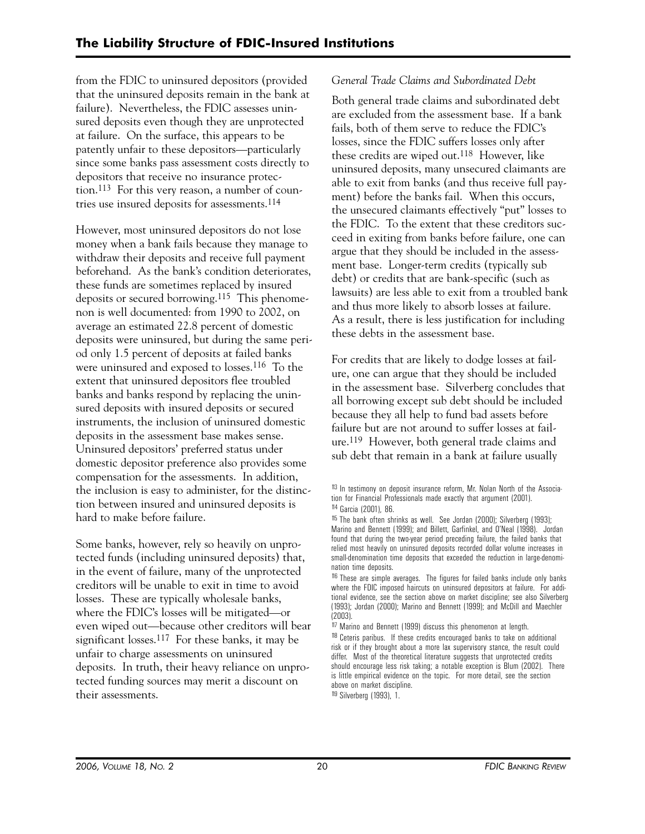from the FDIC to uninsured depositors (provided that the uninsured deposits remain in the bank at failure). Nevertheless, the FDIC assesses uninsured deposits even though they are unprotected at failure. On the surface, this appears to be patently unfair to these depositors—particularly since some banks pass assessment costs directly to depositors that receive no insurance protection.113 For this very reason, a number of countries use insured deposits for assessments.114

However, most uninsured depositors do not lose money when a bank fails because they manage to withdraw their deposits and receive full payment beforehand. As the bank's condition deteriorates, these funds are sometimes replaced by insured deposits or secured borrowing.115 This phenomenon is well documented: from 1990 to 2002, on average an estimated 22.8 percent of domestic deposits were uninsured, but during the same period only 1.5 percent of deposits at failed banks were uninsured and exposed to losses.116 To the extent that uninsured depositors flee troubled banks and banks respond by replacing the uninsured deposits with insured deposits or secured instruments, the inclusion of uninsured domestic deposits in the assessment base makes sense. Uninsured depositors' preferred status under domestic depositor preference also provides some compensation for the assessments. In addition, the inclusion is easy to administer, for the distinction between insured and uninsured deposits is hard to make before failure.

Some banks, however, rely so heavily on unprotected funds (including uninsured deposits) that, in the event of failure, many of the unprotected creditors will be unable to exit in time to avoid losses. These are typically wholesale banks, where the FDIC's losses will be mitigated—or even wiped out—because other creditors will bear significant losses.117 For these banks, it may be unfair to charge assessments on uninsured deposits. In truth, their heavy reliance on unprotected funding sources may merit a discount on their assessments.

# *General Trade Claims and Subordinated Debt*

Both general trade claims and subordinated debt are excluded from the assessment base. If a bank fails, both of them serve to reduce the FDIC's losses, since the FDIC suffers losses only after these credits are wiped out.118 However, like uninsured deposits, many unsecured claimants are able to exit from banks (and thus receive full payment) before the banks fail. When this occurs, the unsecured claimants effectively "put" losses to the FDIC. To the extent that these creditors succeed in exiting from banks before failure, one can argue that they should be included in the assessment base. Longer-term credits (typically sub debt) or credits that are bank-specific (such as lawsuits) are less able to exit from a troubled bank and thus more likely to absorb losses at failure. As a result, there is less justification for including these debts in the assessment base.

For credits that are likely to dodge losses at failure, one can argue that they should be included in the assessment base. Silverberg concludes that all borrowing except sub debt should be included because they all help to fund bad assets before failure but are not around to suffer losses at failure.119 However, both general trade claims and sub debt that remain in a bank at failure usually

117 Marino and Bennett (1999) discuss this phenomenon at length.

119 Silverberg (1993), 1.

<sup>113</sup> In testimony on deposit insurance reform, Mr. Nolan North of the Association for Financial Professionals made exactly that argument (2001). 114 Garcia (2001), 86.

<sup>115</sup> The bank often shrinks as well. See Jordan (2000); Silverberg (1993); Marino and Bennett (1999); and Billett, Garfinkel, and O'Neal (1998). Jordan found that during the two-year period preceding failure, the failed banks that relied most heavily on uninsured deposits recorded dollar volume increases in small-denomination time deposits that exceeded the reduction in large-denomination time deposits.

<sup>&</sup>lt;sup>116</sup> These are simple averages. The figures for failed banks include only banks where the FDIC imposed haircuts on uninsured depositors at failure. For additional evidence, see the section above on market discipline; see also Silverberg (1993); Jordan (2000); Marino and Bennett (1999); and McDill and Maechler (2003).

<sup>118</sup> Ceteris paribus. If these credits encouraged banks to take on additional risk or if they brought about a more lax supervisory stance, the result could differ. Most of the theoretical literature suggests that unprotected credits should encourage less risk taking; a notable exception is Blum (2002). There is little empirical evidence on the topic. For more detail, see the section above on market discipline.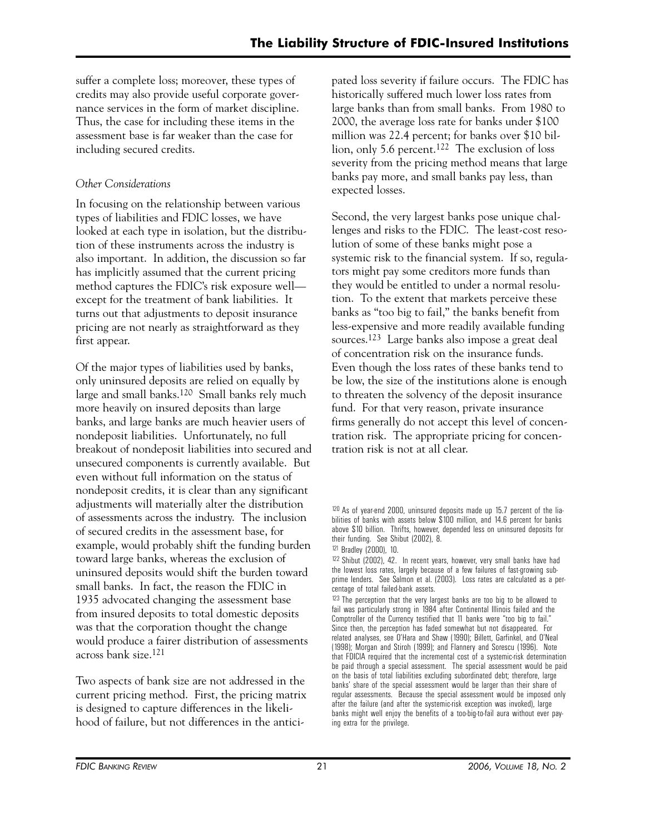suffer a complete loss; moreover, these types of credits may also provide useful corporate governance services in the form of market discipline. Thus, the case for including these items in the assessment base is far weaker than the case for including secured credits.

# *Other Considerations*

In focusing on the relationship between various types of liabilities and FDIC losses, we have looked at each type in isolation, but the distribution of these instruments across the industry is also important. In addition, the discussion so far has implicitly assumed that the current pricing method captures the FDIC's risk exposure well except for the treatment of bank liabilities. It turns out that adjustments to deposit insurance pricing are not nearly as straightforward as they first appear.

Of the major types of liabilities used by banks, only uninsured deposits are relied on equally by large and small banks.120 Small banks rely much more heavily on insured deposits than large banks, and large banks are much heavier users of nondeposit liabilities. Unfortunately, no full breakout of nondeposit liabilities into secured and unsecured components is currently available. But even without full information on the status of nondeposit credits, it is clear than any significant adjustments will materially alter the distribution of assessments across the industry. The inclusion of secured credits in the assessment base, for example, would probably shift the funding burden toward large banks, whereas the exclusion of uninsured deposits would shift the burden toward small banks. In fact, the reason the FDIC in 1935 advocated changing the assessment base from insured deposits to total domestic deposits was that the corporation thought the change would produce a fairer distribution of assessments across bank size.121

Two aspects of bank size are not addressed in the current pricing method. First, the pricing matrix is designed to capture differences in the likelihood of failure, but not differences in the anticipated loss severity if failure occurs. The FDIC has historically suffered much lower loss rates from large banks than from small banks. From 1980 to 2000, the average loss rate for banks under \$100 million was 22.4 percent; for banks over \$10 billion, only 5.6 percent.122 The exclusion of loss severity from the pricing method means that large banks pay more, and small banks pay less, than expected losses.

Second, the very largest banks pose unique challenges and risks to the FDIC. The least-cost resolution of some of these banks might pose a systemic risk to the financial system. If so, regulators might pay some creditors more funds than they would be entitled to under a normal resolution. To the extent that markets perceive these banks as "too big to fail," the banks benefit from less-expensive and more readily available funding sources.123 Large banks also impose a great deal of concentration risk on the insurance funds. Even though the loss rates of these banks tend to be low, the size of the institutions alone is enough to threaten the solvency of the deposit insurance fund. For that very reason, private insurance firms generally do not accept this level of concentration risk. The appropriate pricing for concentration risk is not at all clear.

<sup>120</sup> As of year-end 2000, uninsured deposits made up 15.7 percent of the liabilities of banks with assets below \$100 million, and 14.6 percent for banks above \$10 billion. Thrifts, however, depended less on uninsured deposits for their funding. See Shibut (2002), 8.

<sup>121</sup> Bradley (2000), 10.

<sup>122</sup> Shibut (2002), 42. In recent years, however, very small banks have had the lowest loss rates, largely because of a few failures of fast-growing subprime lenders. See Salmon et al. (2003). Loss rates are calculated as a percentage of total failed-bank assets.

<sup>&</sup>lt;sup>123</sup> The perception that the very largest banks are too big to be allowed to fail was particularly strong in 1984 after Continental Illinois failed and the Comptroller of the Currency testified that 11 banks were "too big to fail." Since then, the perception has faded somewhat but not disappeared. For related analyses, see O'Hara and Shaw (1990); Billett, Garfinkel, and O'Neal (1998); Morgan and Stiroh (1999); and Flannery and Sorescu (1996). Note that FDICIA required that the incremental cost of a systemic-risk determination be paid through a special assessment. The special assessment would be paid on the basis of total liabilities excluding subordinated debt; therefore, large banks' share of the special assessment would be larger than their share of regular assessments. Because the special assessment would be imposed only after the failure (and after the systemic-risk exception was invoked), large banks might well enjoy the benefits of a too-big-to-fail aura without ever paying extra for the privilege.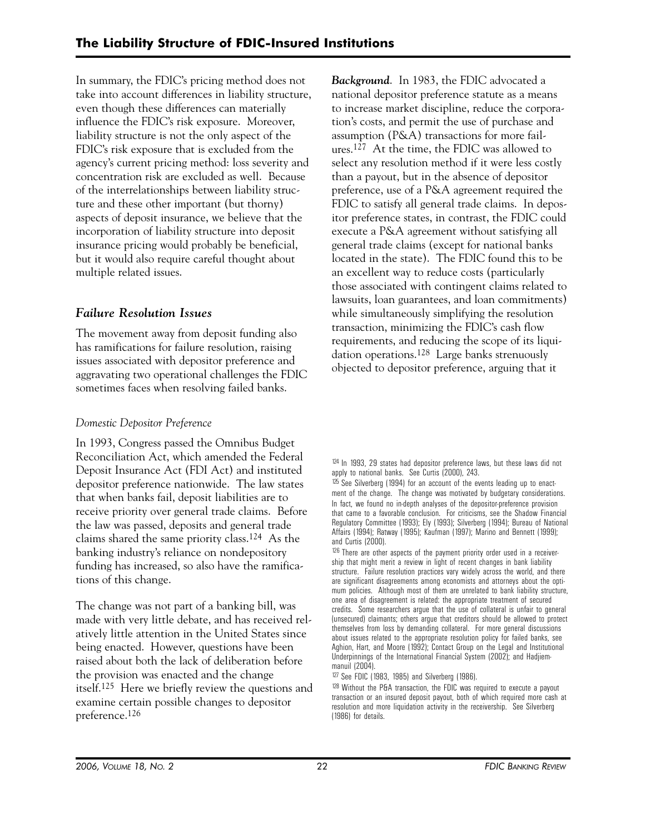In summary, the FDIC's pricing method does not take into account differences in liability structure, even though these differences can materially influence the FDIC's risk exposure. Moreover, liability structure is not the only aspect of the FDIC's risk exposure that is excluded from the agency's current pricing method: loss severity and concentration risk are excluded as well. Because of the interrelationships between liability structure and these other important (but thorny) aspects of deposit insurance, we believe that the incorporation of liability structure into deposit insurance pricing would probably be beneficial, but it would also require careful thought about multiple related issues.

# *Failure Resolution Issues*

The movement away from deposit funding also has ramifications for failure resolution, raising issues associated with depositor preference and aggravating two operational challenges the FDIC sometimes faces when resolving failed banks.

# *Domestic Depositor Preference*

In 1993, Congress passed the Omnibus Budget Reconciliation Act, which amended the Federal Deposit Insurance Act (FDI Act) and instituted depositor preference nationwide. The law states that when banks fail, deposit liabilities are to receive priority over general trade claims. Before the law was passed, deposits and general trade claims shared the same priority class.124 As the banking industry's reliance on nondepository funding has increased, so also have the ramifications of this change.

The change was not part of a banking bill, was made with very little debate, and has received relatively little attention in the United States since being enacted. However, questions have been raised about both the lack of deliberation before the provision was enacted and the change itself.125 Here we briefly review the questions and examine certain possible changes to depositor preference.126

*Background*. In 1983, the FDIC advocated a national depositor preference statute as a means to increase market discipline, reduce the corporation's costs, and permit the use of purchase and assumption (P&A) transactions for more failures.127 At the time, the FDIC was allowed to select any resolution method if it were less costly than a payout, but in the absence of depositor preference, use of a P&A agreement required the FDIC to satisfy all general trade claims. In depositor preference states, in contrast, the FDIC could execute a P&A agreement without satisfying all general trade claims (except for national banks located in the state). The FDIC found this to be an excellent way to reduce costs (particularly those associated with contingent claims related to lawsuits, loan guarantees, and loan commitments) while simultaneously simplifying the resolution transaction, minimizing the FDIC's cash flow requirements, and reducing the scope of its liquidation operations.128 Large banks strenuously objected to depositor preference, arguing that it

127 See FDIC (1983, 1985) and Silverberg (1986).

<sup>124</sup> In 1993, 29 states had depositor preference laws, but these laws did not apply to national banks. See Curtis (2000), 243.

<sup>&</sup>lt;sup>125</sup> See Silverberg (1994) for an account of the events leading up to enactment of the change. The change was motivated by budgetary considerations. In fact, we found no in-depth analyses of the depositor-preference provision that came to a favorable conclusion. For criticisms, see the Shadow Financial Regulatory Committee (1993); Ely (1993); Silverberg (1994); Bureau of National Affairs (1994); Ratway (1995); Kaufman (1997); Marino and Bennett (1999); and Curtis (2000).

<sup>&</sup>lt;sup>126</sup> There are other aspects of the payment priority order used in a receivership that might merit a review in light of recent changes in bank liability structure. Failure resolution practices vary widely across the world, and there are significant disagreements among economists and attorneys about the optimum policies. Although most of them are unrelated to bank liability structure, one area of disagreement is related: the appropriate treatment of secured credits. Some researchers argue that the use of collateral is unfair to general (unsecured) claimants; others argue that creditors should be allowed to protect themselves from loss by demanding collateral. For more general discussions about issues related to the appropriate resolution policy for failed banks, see Aghion, Hart, and Moore (1992); Contact Group on the Legal and Institutional Underpinnings of the International Financial System (2002); and Hadjiemmanuil (2004).

<sup>128</sup> Without the P&A transaction, the FDIC was required to execute a payout transaction or an insured deposit payout, both of which required more cash at resolution and more liquidation activity in the receivership. See Silverberg (1986) for details.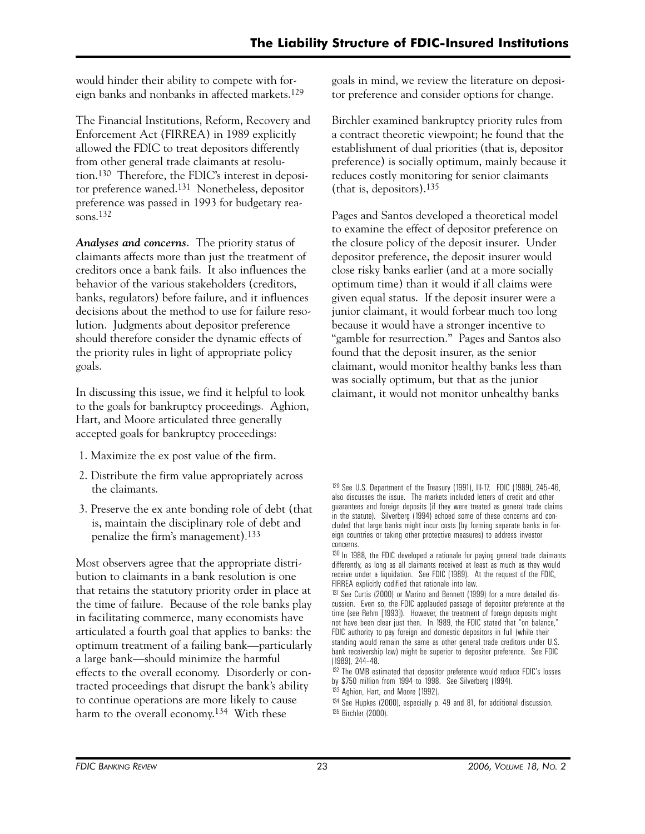would hinder their ability to compete with foreign banks and nonbanks in affected markets.129

The Financial Institutions, Reform, Recovery and Enforcement Act (FIRREA) in 1989 explicitly allowed the FDIC to treat depositors differently from other general trade claimants at resolution.130 Therefore, the FDIC's interest in depositor preference waned.131 Nonetheless, depositor preference was passed in 1993 for budgetary reasons.132

*Analyses and concerns*. The priority status of claimants affects more than just the treatment of creditors once a bank fails. It also influences the behavior of the various stakeholders (creditors, banks, regulators) before failure, and it influences decisions about the method to use for failure resolution. Judgments about depositor preference should therefore consider the dynamic effects of the priority rules in light of appropriate policy goals.

In discussing this issue, we find it helpful to look to the goals for bankruptcy proceedings. Aghion, Hart, and Moore articulated three generally accepted goals for bankruptcy proceedings:

- 1. Maximize the ex post value of the firm.
- 2. Distribute the firm value appropriately across the claimants.
- 3. Preserve the ex ante bonding role of debt (that is, maintain the disciplinary role of debt and penalize the firm's management).133

Most observers agree that the appropriate distribution to claimants in a bank resolution is one that retains the statutory priority order in place at the time of failure. Because of the role banks play in facilitating commerce, many economists have articulated a fourth goal that applies to banks: the optimum treatment of a failing bank—particularly a large bank—should minimize the harmful effects to the overall economy. Disorderly or contracted proceedings that disrupt the bank's ability to continue operations are more likely to cause harm to the overall economy.<sup>134</sup> With these

goals in mind, we review the literature on depositor preference and consider options for change.

Birchler examined bankruptcy priority rules from a contract theoretic viewpoint; he found that the establishment of dual priorities (that is, depositor preference) is socially optimum, mainly because it reduces costly monitoring for senior claimants (that is, depositors).135

Pages and Santos developed a theoretical model to examine the effect of depositor preference on the closure policy of the deposit insurer. Under depositor preference, the deposit insurer would close risky banks earlier (and at a more socially optimum time) than it would if all claims were given equal status. If the deposit insurer were a junior claimant, it would forbear much too long because it would have a stronger incentive to "gamble for resurrection." Pages and Santos also found that the deposit insurer, as the senior claimant, would monitor healthy banks less than was socially optimum, but that as the junior claimant, it would not monitor unhealthy banks

<sup>131</sup> See Curtis (2000) or Marino and Bennett (1999) for a more detailed discussion. Even so, the FDIC applauded passage of depositor preference at the time (see Rehm [1993]). However, the treatment of foreign deposits might not have been clear just then. In 1989, the FDIC stated that "on balance," FDIC authority to pay foreign and domestic depositors in full (while their standing would remain the same as other general trade creditors under U.S. bank receivership law) might be superior to depositor preference. See FDIC (1989), 244–48.

- 133 Aghion, Hart, and Moore (1992).
- 134 See Hupkes (2000), especially p. 49 and 81, for additional discussion. 135 Birchler (2000).

<sup>129</sup> See U.S. Department of the Treasury (1991), III-17. FDIC (1989), 245–46, also discusses the issue. The markets included letters of credit and other guarantees and foreign deposits (if they were treated as general trade claims in the statute). Silverberg (1994) echoed some of these concerns and concluded that large banks might incur costs (by forming separate banks in foreign countries or taking other protective measures) to address investor concerns.

<sup>130</sup> In 1988, the FDIC developed a rationale for paying general trade claimants differently, as long as all claimants received at least as much as they would receive under a liquidation. See FDIC (1989). At the request of the FDIC, FIRREA explicitly codified that rationale into law.

<sup>132</sup> The OMB estimated that depositor preference would reduce FDIC's losses by \$750 million from 1994 to 1998. See Silverberg (1994).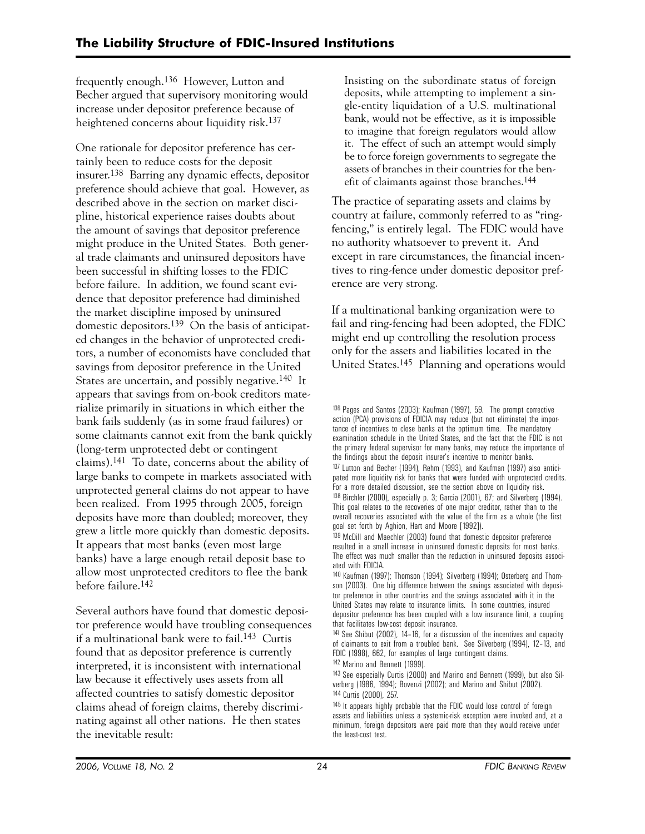frequently enough.136 However, Lutton and Becher argued that supervisory monitoring would increase under depositor preference because of heightened concerns about liquidity risk.<sup>137</sup>

One rationale for depositor preference has certainly been to reduce costs for the deposit insurer.138 Barring any dynamic effects, depositor preference should achieve that goal. However, as described above in the section on market discipline, historical experience raises doubts about the amount of savings that depositor preference might produce in the United States. Both general trade claimants and uninsured depositors have been successful in shifting losses to the FDIC before failure. In addition, we found scant evidence that depositor preference had diminished the market discipline imposed by uninsured domestic depositors.139 On the basis of anticipated changes in the behavior of unprotected creditors, a number of economists have concluded that savings from depositor preference in the United States are uncertain, and possibly negative.140 It appears that savings from on-book creditors materialize primarily in situations in which either the bank fails suddenly (as in some fraud failures) or some claimants cannot exit from the bank quickly (long-term unprotected debt or contingent claims).141 To date, concerns about the ability of large banks to compete in markets associated with unprotected general claims do not appear to have been realized. From 1995 through 2005, foreign deposits have more than doubled; moreover, they grew a little more quickly than domestic deposits. It appears that most banks (even most large banks) have a large enough retail deposit base to allow most unprotected creditors to flee the bank before failure.142

Several authors have found that domestic depositor preference would have troubling consequences if a multinational bank were to fail.143 Curtis found that as depositor preference is currently interpreted, it is inconsistent with international law because it effectively uses assets from all affected countries to satisfy domestic depositor claims ahead of foreign claims, thereby discriminating against all other nations. He then states the inevitable result:

Insisting on the subordinate status of foreign deposits, while attempting to implement a single-entity liquidation of a U.S. multinational bank, would not be effective, as it is impossible to imagine that foreign regulators would allow it. The effect of such an attempt would simply be to force foreign governments to segregate the assets of branches in their countries for the benefit of claimants against those branches.144

The practice of separating assets and claims by country at failure, commonly referred to as "ringfencing," is entirely legal. The FDIC would have no authority whatsoever to prevent it. And except in rare circumstances, the financial incentives to ring-fence under domestic depositor preference are very strong.

If a multinational banking organization were to fail and ring-fencing had been adopted, the FDIC might end up controlling the resolution process only for the assets and liabilities located in the United States.145 Planning and operations would

136 Pages and Santos (2003); Kaufman (1997), 59. The prompt corrective action (PCA) provisions of FDICIA may reduce (but not eliminate) the importance of incentives to close banks at the optimum time. The mandatory examination schedule in the United States, and the fact that the FDIC is not the primary federal supervisor for many banks, may reduce the importance of the findings about the deposit insurer's incentive to monitor banks. 137 Lutton and Becher (1994), Rehm (1993), and Kaufman (1997) also anticipated more liquidity risk for banks that were funded with unprotected credits. For a more detailed discussion, see the section above on liquidity risk. 138 Birchler (2000), especially p. 3; Garcia (2001), 67; and Silverberg (1994). This goal relates to the recoveries of one major creditor, rather than to the overall recoveries associated with the value of the firm as a whole (the first goal set forth by Aghion, Hart and Moore [1992]).

142 Marino and Bennett (1999).

143 See especially Curtis (2000) and Marino and Bennett (1999), but also Silverberg (1986, 1994); Bovenzi (2002); and Marino and Shibut (2002). 144 Curtis (2000), 257.

<sup>139</sup> McDill and Maechler (2003) found that domestic depositor preference resulted in a small increase in uninsured domestic deposits for most banks. The effect was much smaller than the reduction in uninsured deposits associated with FDICIA.

<sup>140</sup> Kaufman (1997); Thomson (1994); Silverberg (1994); Osterberg and Thomson (2003). One big difference between the savings associated with depositor preference in other countries and the savings associated with it in the United States may relate to insurance limits. In some countries, insured depositor preference has been coupled with a low insurance limit, a coupling that facilitates low-cost deposit insurance.

<sup>141</sup> See Shibut (2002), 14–16, for a discussion of the incentives and capacity of claimants to exit from a troubled bank. See Silverberg (1994), 12–13, and FDIC (1998), 662, for examples of large contingent claims.

<sup>&</sup>lt;sup>145</sup> It appears highly probable that the FDIC would lose control of foreign assets and liabilities unless a systemic-risk exception were invoked and, at a minimum, foreign depositors were paid more than they would receive under the least-cost test.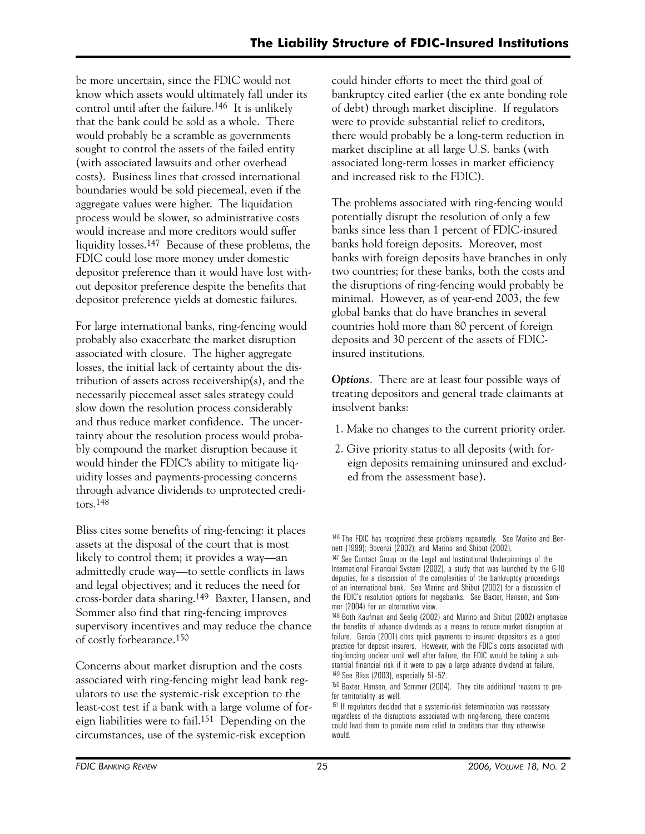be more uncertain, since the FDIC would not know which assets would ultimately fall under its control until after the failure.146 It is unlikely that the bank could be sold as a whole. There would probably be a scramble as governments sought to control the assets of the failed entity (with associated lawsuits and other overhead costs). Business lines that crossed international boundaries would be sold piecemeal, even if the aggregate values were higher. The liquidation process would be slower, so administrative costs would increase and more creditors would suffer liquidity losses.147 Because of these problems, the FDIC could lose more money under domestic depositor preference than it would have lost without depositor preference despite the benefits that depositor preference yields at domestic failures.

For large international banks, ring-fencing would probably also exacerbate the market disruption associated with closure. The higher aggregate losses, the initial lack of certainty about the distribution of assets across receivership(s), and the necessarily piecemeal asset sales strategy could slow down the resolution process considerably and thus reduce market confidence. The uncertainty about the resolution process would probably compound the market disruption because it would hinder the FDIC's ability to mitigate liquidity losses and payments-processing concerns through advance dividends to unprotected creditors.148

Bliss cites some benefits of ring-fencing: it places assets at the disposal of the court that is most likely to control them; it provides a way—an admittedly crude way—to settle conflicts in laws and legal objectives; and it reduces the need for cross-border data sharing.149 Baxter, Hansen, and Sommer also find that ring-fencing improves supervisory incentives and may reduce the chance of costly forbearance.150

Concerns about market disruption and the costs associated with ring-fencing might lead bank regulators to use the systemic-risk exception to the least-cost test if a bank with a large volume of foreign liabilities were to fail.151 Depending on the circumstances, use of the systemic-risk exception

could hinder efforts to meet the third goal of bankruptcy cited earlier (the ex ante bonding role of debt) through market discipline. If regulators were to provide substantial relief to creditors, there would probably be a long-term reduction in market discipline at all large U.S. banks (with associated long-term losses in market efficiency and increased risk to the FDIC).

The problems associated with ring-fencing would potentially disrupt the resolution of only a few banks since less than 1 percent of FDIC-insured banks hold foreign deposits. Moreover, most banks with foreign deposits have branches in only two countries; for these banks, both the costs and the disruptions of ring-fencing would probably be minimal. However, as of year-end 2003, the few global banks that do have branches in several countries hold more than 80 percent of foreign deposits and 30 percent of the assets of FDICinsured institutions.

*Options*. There are at least four possible ways of treating depositors and general trade claimants at insolvent banks:

- 1. Make no changes to the current priority order.
- 2. Give priority status to all deposits (with foreign deposits remaining uninsured and excluded from the assessment base).

<sup>&</sup>lt;sup>146</sup> The FDIC has recognized these problems repeatedly. See Marino and Bennett (1999); Bovenzi (2002); and Marino and Shibut (2002).

<sup>&</sup>lt;sup>147</sup> See Contact Group on the Legal and Institutional Underpinnings of the International Financial System (2002), a study that was launched by the G-10 deputies, for a discussion of the complexities of the bankruptcy proceedings of an international bank. See Marino and Shibut (2002) for a discussion of the FDIC's resolution options for megabanks. See Baxter, Hansen, and Sommer (2004) for an alternative view.

<sup>148</sup> Both Kaufman and Seelig (2002) and Marino and Shibut (2002) emphasize the benefits of advance dividends as a means to reduce market disruption at failure. Garcia (2001) cites quick payments to insured depositors as a good practice for deposit insurers. However, with the FDIC's costs associated with ring-fencing unclear until well after failure, the FDIC would be taking a substantial financial risk if it were to pay a large advance dividend at failure. 149 See Bliss (2003), especially 51–52.

<sup>150</sup> Baxter, Hansen, and Sommer (2004). They cite additional reasons to prefer territoriality as well.

<sup>&</sup>lt;sup>151</sup> If regulators decided that a systemic-risk determination was necessary regardless of the disruptions associated with ring-fencing, these concerns could lead them to provide more relief to creditors than they otherwise would.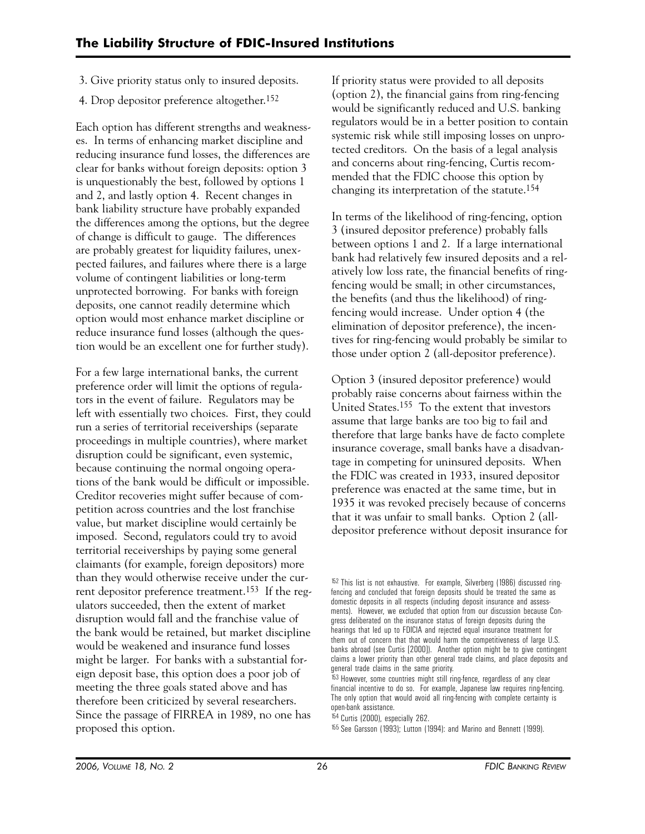- 3. Give priority status only to insured deposits.
- 4. Drop depositor preference altogether.152

Each option has different strengths and weaknesses. In terms of enhancing market discipline and reducing insurance fund losses, the differences are clear for banks without foreign deposits: option 3 is unquestionably the best, followed by options 1 and 2, and lastly option 4. Recent changes in bank liability structure have probably expanded the differences among the options, but the degree of change is difficult to gauge. The differences are probably greatest for liquidity failures, unexpected failures, and failures where there is a large volume of contingent liabilities or long-term unprotected borrowing. For banks with foreign deposits, one cannot readily determine which option would most enhance market discipline or reduce insurance fund losses (although the question would be an excellent one for further study).

For a few large international banks, the current preference order will limit the options of regulators in the event of failure. Regulators may be left with essentially two choices. First, they could run a series of territorial receiverships (separate proceedings in multiple countries), where market disruption could be significant, even systemic, because continuing the normal ongoing operations of the bank would be difficult or impossible. Creditor recoveries might suffer because of competition across countries and the lost franchise value, but market discipline would certainly be imposed. Second, regulators could try to avoid territorial receiverships by paying some general claimants (for example, foreign depositors) more than they would otherwise receive under the current depositor preference treatment.153 If the regulators succeeded, then the extent of market disruption would fall and the franchise value of the bank would be retained, but market discipline would be weakened and insurance fund losses might be larger. For banks with a substantial foreign deposit base, this option does a poor job of meeting the three goals stated above and has therefore been criticized by several researchers. Since the passage of FIRREA in 1989, no one has proposed this option.

If priority status were provided to all deposits (option 2), the financial gains from ring-fencing would be significantly reduced and U.S. banking regulators would be in a better position to contain systemic risk while still imposing losses on unprotected creditors. On the basis of a legal analysis and concerns about ring-fencing, Curtis recommended that the FDIC choose this option by changing its interpretation of the statute.154

In terms of the likelihood of ring-fencing, option 3 (insured depositor preference) probably falls between options 1 and 2. If a large international bank had relatively few insured deposits and a relatively low loss rate, the financial benefits of ringfencing would be small; in other circumstances, the benefits (and thus the likelihood) of ringfencing would increase. Under option 4 (the elimination of depositor preference), the incentives for ring-fencing would probably be similar to those under option 2 (all-depositor preference).

Option 3 (insured depositor preference) would probably raise concerns about fairness within the United States.155 To the extent that investors assume that large banks are too big to fail and therefore that large banks have de facto complete insurance coverage, small banks have a disadvantage in competing for uninsured deposits. When the FDIC was created in 1933, insured depositor preference was enacted at the same time, but in 1935 it was revoked precisely because of concerns that it was unfair to small banks. Option 2 (alldepositor preference without deposit insurance for

 $153$  However, some countries might still ring-fence, regardless of any clear financial incentive to do so. For example, Japanese law requires ring-fencing. The only option that would avoid all ring-fencing with complete certainty is open-bank assistance.

154 Curtis (2000), especially 262.

155 See Garsson (1993); Lutton (1994): and Marino and Bennett (1999).

<sup>&</sup>lt;sup>152</sup> This list is not exhaustive. For example, Silverberg (1986) discussed ringfencing and concluded that foreign deposits should be treated the same as domestic deposits in all respects (including deposit insurance and assessments). However, we excluded that option from our discussion because Congress deliberated on the insurance status of foreign deposits during the hearings that led up to FDICIA and rejected equal insurance treatment for them out of concern that that would harm the competitiveness of large U.S. banks abroad (see Curtis [2000]). Another option might be to give contingent claims a lower priority than other general trade claims, and place deposits and general trade claims in the same priority.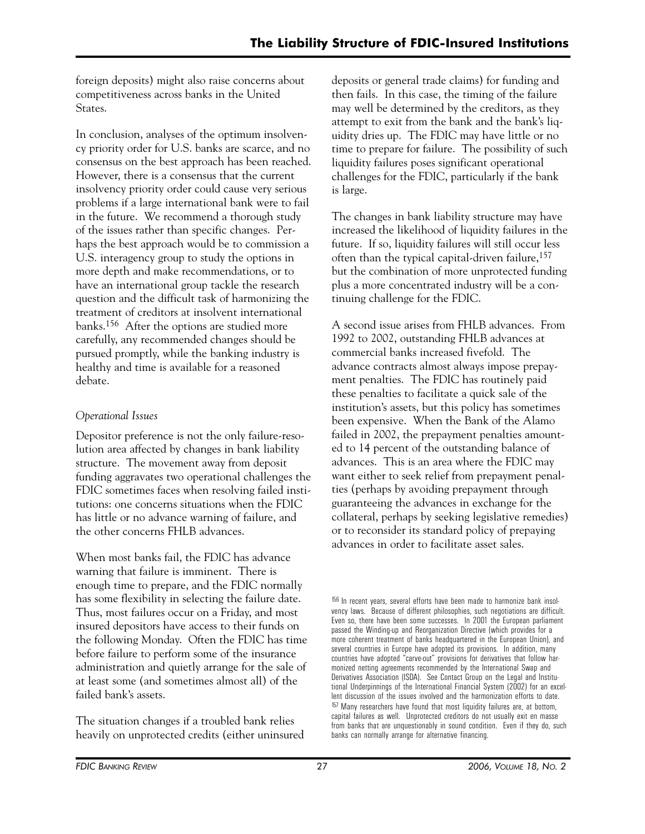foreign deposits) might also raise concerns about competitiveness across banks in the United States.

In conclusion, analyses of the optimum insolvency priority order for U.S. banks are scarce, and no consensus on the best approach has been reached. However, there is a consensus that the current insolvency priority order could cause very serious problems if a large international bank were to fail in the future. We recommend a thorough study of the issues rather than specific changes. Perhaps the best approach would be to commission a U.S. interagency group to study the options in more depth and make recommendations, or to have an international group tackle the research question and the difficult task of harmonizing the treatment of creditors at insolvent international banks.156 After the options are studied more carefully, any recommended changes should be pursued promptly, while the banking industry is healthy and time is available for a reasoned debate.

# *Operational Issues*

Depositor preference is not the only failure-resolution area affected by changes in bank liability structure. The movement away from deposit funding aggravates two operational challenges the FDIC sometimes faces when resolving failed institutions: one concerns situations when the FDIC has little or no advance warning of failure, and the other concerns FHLB advances.

When most banks fail, the FDIC has advance warning that failure is imminent. There is enough time to prepare, and the FDIC normally has some flexibility in selecting the failure date. Thus, most failures occur on a Friday, and most insured depositors have access to their funds on the following Monday. Often the FDIC has time before failure to perform some of the insurance administration and quietly arrange for the sale of at least some (and sometimes almost all) of the failed bank's assets.

The situation changes if a troubled bank relies heavily on unprotected credits (either uninsured deposits or general trade claims) for funding and then fails. In this case, the timing of the failure may well be determined by the creditors, as they attempt to exit from the bank and the bank's liquidity dries up. The FDIC may have little or no time to prepare for failure. The possibility of such liquidity failures poses significant operational challenges for the FDIC, particularly if the bank is large.

The changes in bank liability structure may have increased the likelihood of liquidity failures in the future. If so, liquidity failures will still occur less often than the typical capital-driven failure,157 but the combination of more unprotected funding plus a more concentrated industry will be a continuing challenge for the FDIC.

A second issue arises from FHLB advances. From 1992 to 2002, outstanding FHLB advances at commercial banks increased fivefold. The advance contracts almost always impose prepayment penalties. The FDIC has routinely paid these penalties to facilitate a quick sale of the institution's assets, but this policy has sometimes been expensive. When the Bank of the Alamo failed in 2002, the prepayment penalties amounted to 14 percent of the outstanding balance of advances. This is an area where the FDIC may want either to seek relief from prepayment penalties (perhaps by avoiding prepayment through guaranteeing the advances in exchange for the collateral, perhaps by seeking legislative remedies) or to reconsider its standard policy of prepaying advances in order to facilitate asset sales.

<sup>156</sup> In recent years, several efforts have been made to harmonize bank insolvency laws. Because of different philosophies, such negotiations are difficult. Even so, there have been some successes. In 2001 the European parliament passed the Winding-up and Reorganization Directive (which provides for a more coherent treatment of banks headquartered in the European Union), and several countries in Europe have adopted its provisions. In addition, many countries have adopted "carve-out" provisions for derivatives that follow harmonized netting agreements recommended by the International Swap and Derivatives Association (ISDA). See Contact Group on the Legal and Institutional Underpinnings of the International Financial System (2002) for an excellent discussion of the issues involved and the harmonization efforts to date. <sup>157</sup> Many researchers have found that most liquidity failures are, at bottom, capital failures as well. Unprotected creditors do not usually exit en masse from banks that are unquestionably in sound condition. Even if they do, such banks can normally arrange for alternative financing.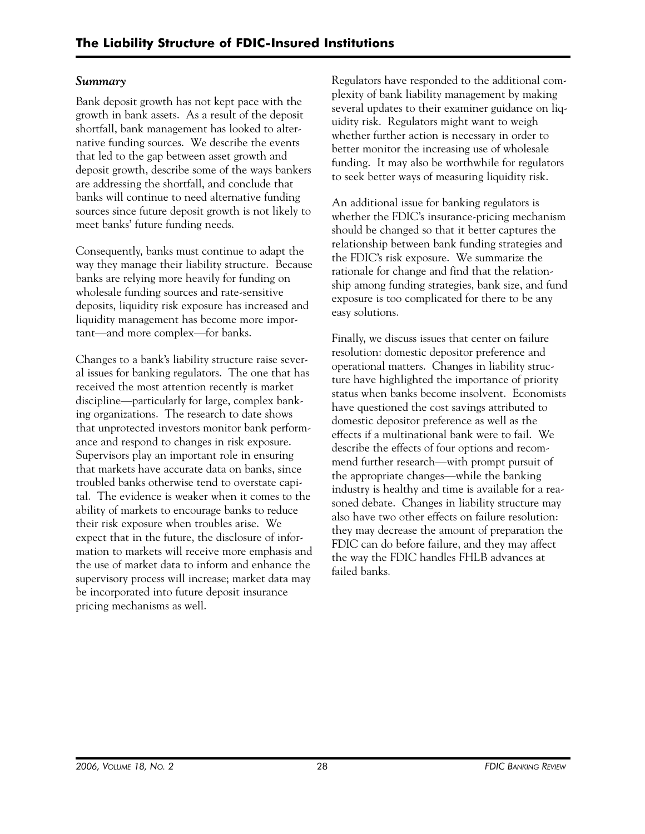# *Summary*

Bank deposit growth has not kept pace with the growth in bank assets. As a result of the deposit shortfall, bank management has looked to alternative funding sources. We describe the events that led to the gap between asset growth and deposit growth, describe some of the ways bankers are addressing the shortfall, and conclude that banks will continue to need alternative funding sources since future deposit growth is not likely to meet banks' future funding needs.

Consequently, banks must continue to adapt the way they manage their liability structure. Because banks are relying more heavily for funding on wholesale funding sources and rate-sensitive deposits, liquidity risk exposure has increased and liquidity management has become more important—and more complex—for banks.

Changes to a bank's liability structure raise several issues for banking regulators. The one that has received the most attention recently is market discipline—particularly for large, complex banking organizations. The research to date shows that unprotected investors monitor bank performance and respond to changes in risk exposure. Supervisors play an important role in ensuring that markets have accurate data on banks, since troubled banks otherwise tend to overstate capital. The evidence is weaker when it comes to the ability of markets to encourage banks to reduce their risk exposure when troubles arise. We expect that in the future, the disclosure of information to markets will receive more emphasis and the use of market data to inform and enhance the supervisory process will increase; market data may be incorporated into future deposit insurance pricing mechanisms as well.

Regulators have responded to the additional complexity of bank liability management by making several updates to their examiner guidance on liquidity risk. Regulators might want to weigh whether further action is necessary in order to better monitor the increasing use of wholesale funding. It may also be worthwhile for regulators to seek better ways of measuring liquidity risk.

An additional issue for banking regulators is whether the FDIC's insurance-pricing mechanism should be changed so that it better captures the relationship between bank funding strategies and the FDIC's risk exposure. We summarize the rationale for change and find that the relationship among funding strategies, bank size, and fund exposure is too complicated for there to be any easy solutions.

Finally, we discuss issues that center on failure resolution: domestic depositor preference and operational matters. Changes in liability structure have highlighted the importance of priority status when banks become insolvent. Economists have questioned the cost savings attributed to domestic depositor preference as well as the effects if a multinational bank were to fail. We describe the effects of four options and recommend further research—with prompt pursuit of the appropriate changes—while the banking industry is healthy and time is available for a reasoned debate. Changes in liability structure may also have two other effects on failure resolution: they may decrease the amount of preparation the FDIC can do before failure, and they may affect the way the FDIC handles FHLB advances at failed banks.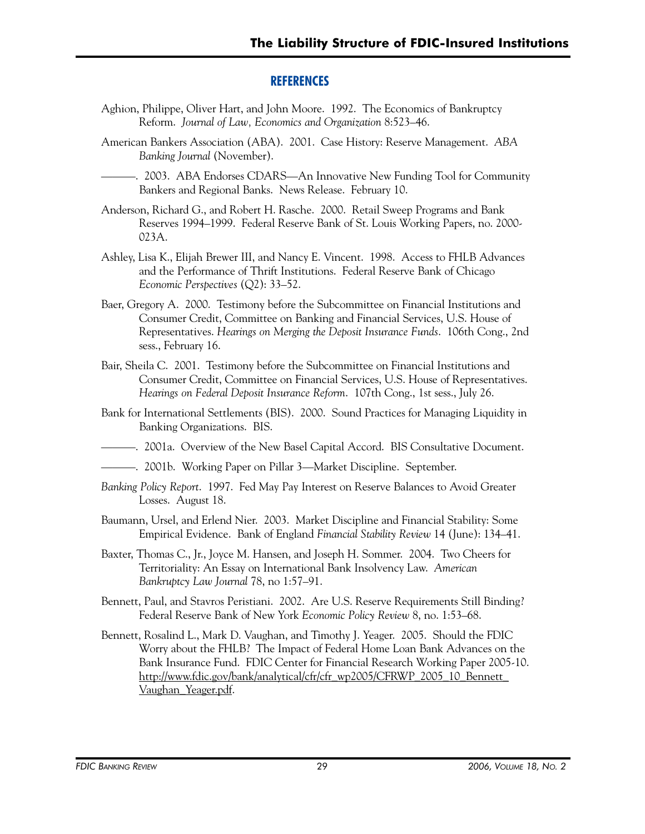# **REFERENCES**

- Aghion, Philippe, Oliver Hart, and John Moore. 1992. The Economics of Bankruptcy Reform. *Journal of Law, Economics and Organization* 8:523–46.
- American Bankers Association (ABA). 2001. Case History: Reserve Management. *ABA Banking Journal* (November).

———. 2003. ABA Endorses CDARS—An Innovative New Funding Tool for Community Bankers and Regional Banks. News Release. February 10.

- Anderson, Richard G., and Robert H. Rasche. 2000. Retail Sweep Programs and Bank Reserves 1994–1999. Federal Reserve Bank of St. Louis Working Papers, no. 2000 023A.
- Ashley, Lisa K., Elijah Brewer III, and Nancy E. Vincent. 1998. Access to FHLB Advances and the Performance of Thrift Institutions. Federal Reserve Bank of Chicago *Economic Perspectives* (Q2): 33–52.
- Baer, Gregory A. 2000. Testimony before the Subcommittee on Financial Institutions and Consumer Credit, Committee on Banking and Financial Services, U.S. House of Representatives. *Hearings on Merging the Deposit Insurance Funds*. 106th Cong., 2nd sess., February 16.
- Bair, Sheila C. 2001. Testimony before the Subcommittee on Financial Institutions and Consumer Credit, Committee on Financial Services, U.S. House of Representatives. *Hearings on Federal Deposit Insurance Reform*. 107th Cong., 1st sess., July 26.
- Bank for International Settlements (BIS). 2000. Sound Practices for Managing Liquidity in Banking Organizations. BIS.

———. 2001a. Overview of the New Basel Capital Accord. BIS Consultative Document.

- ———. 2001b. Working Paper on Pillar 3—Market Discipline. September.
- *Banking Policy Report*. 1997. Fed May Pay Interest on Reserve Balances to Avoid Greater Losses. August 18.
- Baumann, Ursel, and Erlend Nier. 2003. Market Discipline and Financial Stability: Some Empirical Evidence. Bank of England *Financial Stability Review* 14 (June): 134–41.
- Baxter, Thomas C., Jr., Joyce M. Hansen, and Joseph H. Sommer. 2004. Two Cheers for Territoriality: An Essay on International Bank Insolvency Law. *American Bankruptcy Law Journal* 78, no 1:57–91.
- Bennett, Paul, and Stavros Peristiani. 2002. Are U.S. Reserve Requirements Still Binding? Federal Reserve Bank of New York *Economic Policy Review* 8, no. 1:53–68.
- Bennett, Rosalind L., Mark D. Vaughan, and Timothy J. Yeager. 2005. Should the FDIC Worry about the FHLB? The Impact of Federal Home Loan Bank Advances on the Bank Insurance Fund. FDIC Center for Financial Research Working Paper 2005-10. http://www.fdic.gov/bank/analytical/cfr/cfr\_wp2005/CFRWP\_2005\_10\_Bennett\_ Vaughan Yeager.pdf.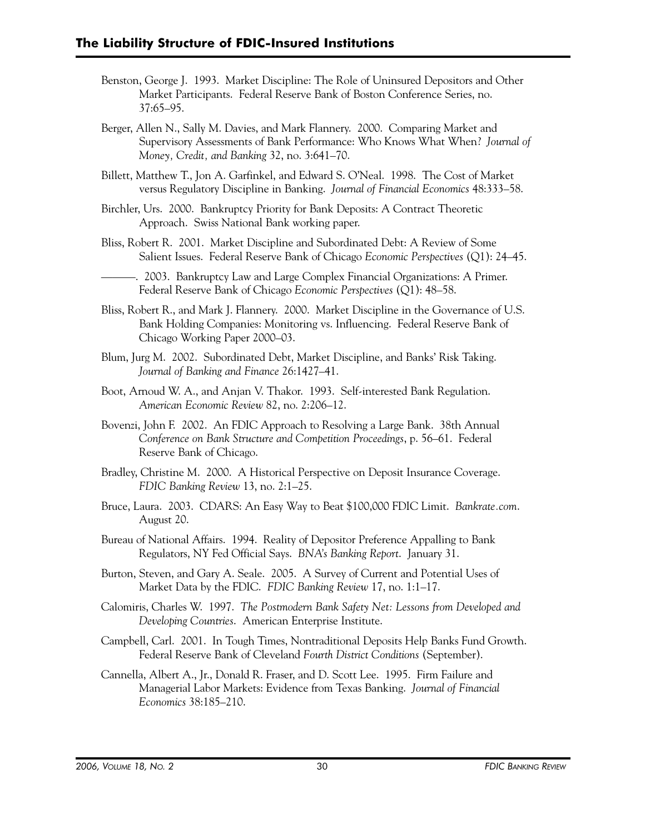- Benston, George J. 1993. Market Discipline: The Role of Uninsured Depositors and Other Market Participants. Federal Reserve Bank of Boston Conference Series, no. 37:65–95.
- Berger, Allen N., Sally M. Davies, and Mark Flannery. 2000. Comparing Market and Supervisory Assessments of Bank Performance: Who Knows What When? *Journal of Money, Credit, and Banking* 32, no. 3:641–70.
- Billett, Matthew T., Jon A. Garfinkel, and Edward S. O'Neal. 1998. The Cost of Market versus Regulatory Discipline in Banking. *Journal of Financial Economics* 48:333–58.
- Birchler, Urs. 2000. Bankruptcy Priority for Bank Deposits: A Contract Theoretic Approach. Swiss National Bank working paper.
- Bliss, Robert R. 2001. Market Discipline and Subordinated Debt: A Review of Some Salient Issues. Federal Reserve Bank of Chicago *Economic Perspectives* (Q1): 24–45.
	- ———. 2003. Bankruptcy Law and Large Complex Financial Organizations: A Primer. Federal Reserve Bank of Chicago *Economic Perspectives* (Q1): 48–58.
- Bliss, Robert R., and Mark J. Flannery. 2000. Market Discipline in the Governance of U.S. Bank Holding Companies: Monitoring vs. Influencing. Federal Reserve Bank of Chicago Working Paper 2000–03.
- Blum, Jurg M. 2002. Subordinated Debt, Market Discipline, and Banks' Risk Taking. *Journal of Banking and Finance* 26:1427–41.
- Boot, Arnoud W. A., and Anjan V. Thakor. 1993. Self-interested Bank Regulation. *American Economic Review* 82, no. 2:206–12.
- Bovenzi, John F. 2002. An FDIC Approach to Resolving a Large Bank. 38th Annual *Conference on Bank Structure and Competition Proceedings*, p. 56–61. Federal Reserve Bank of Chicago.
- Bradley, Christine M. 2000. A Historical Perspective on Deposit Insurance Coverage. *FDIC Banking Review* 13, no. 2:1–25.
- Bruce, Laura. 2003. CDARS: An Easy Way to Beat \$100,000 FDIC Limit. *Bankrate.com*. August 20.
- Bureau of National Affairs. 1994. Reality of Depositor Preference Appalling to Bank Regulators, NY Fed Official Says. *BNA's Banking Report*. January 31.
- Burton, Steven, and Gary A. Seale. 2005. A Survey of Current and Potential Uses of Market Data by the FDIC. *FDIC Banking Review* 17, no. 1:1–17.
- Calomiris, Charles W. 1997. *The Postmodern Bank Safety Net: Lessons from Developed and Developing Countries*. American Enterprise Institute.
- Campbell, Carl. 2001. In Tough Times, Nontraditional Deposits Help Banks Fund Growth. Federal Reserve Bank of Cleveland *Fourth District Conditions* (September).
- Cannella, Albert A., Jr., Donald R. Fraser, and D. Scott Lee. 1995. Firm Failure and Managerial Labor Markets: Evidence from Texas Banking. *Journal of Financial Economics* 38:185–210.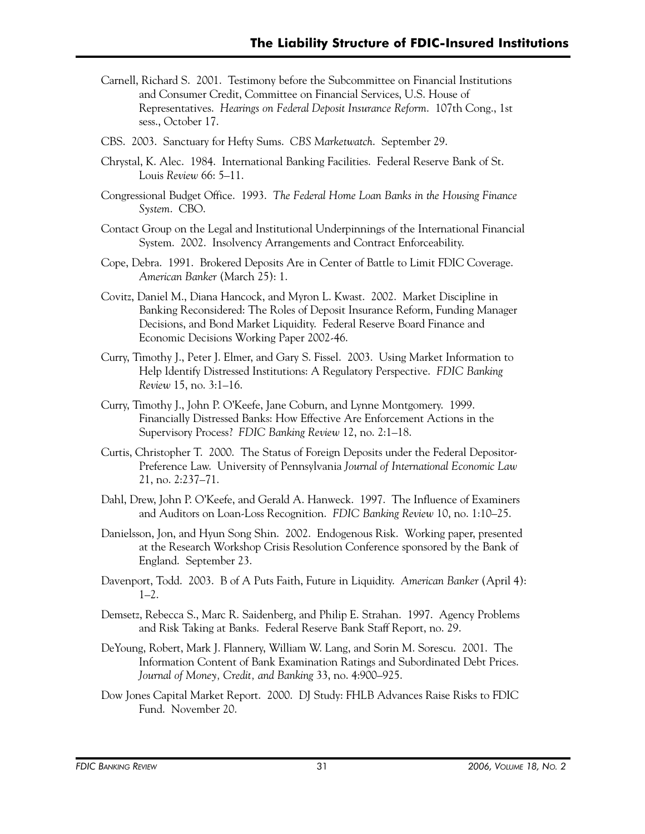- Carnell, Richard S. 2001. Testimony before the Subcommittee on Financial Institutions and Consumer Credit, Committee on Financial Services, U.S. House of Representatives. *Hearings on Federal Deposit Insurance Reform*. 107th Cong., 1st sess., October 17.
- CBS. 2003. Sanctuary for Hefty Sums. *CBS Marketwatch*. September 29.
- Chrystal, K. Alec. 1984. International Banking Facilities. Federal Reserve Bank of St. Louis *Review* 66: 5–11.
- Congressional Budget Office. 1993. *The Federal Home Loan Banks in the Housing Finance System*. CBO.
- Contact Group on the Legal and Institutional Underpinnings of the International Financial System. 2002. Insolvency Arrangements and Contract Enforceability.
- Cope, Debra. 1991. Brokered Deposits Are in Center of Battle to Limit FDIC Coverage. *American Banker* (March 25): 1.
- Covitz, Daniel M., Diana Hancock, and Myron L. Kwast. 2002. Market Discipline in Banking Reconsidered: The Roles of Deposit Insurance Reform, Funding Manager Decisions, and Bond Market Liquidity. Federal Reserve Board Finance and Economic Decisions Working Paper 2002-46.
- Curry, Timothy J., Peter J. Elmer, and Gary S. Fissel. 2003. Using Market Information to Help Identify Distressed Institutions: A Regulatory Perspective. *FDIC Banking Review* 15, no. 3:1–16.
- Curry, Timothy J., John P. O'Keefe, Jane Coburn, and Lynne Montgomery. 1999. Financially Distressed Banks: How Effective Are Enforcement Actions in the Supervisory Process? *FDIC Banking Review* 12, no. 2:1–18.
- Curtis, Christopher T. 2000. The Status of Foreign Deposits under the Federal Depositor-Preference Law. University of Pennsylvania *Journal of International Economic Law*  21, no. 2:237–71.
- Dahl, Drew, John P. O'Keefe, and Gerald A. Hanweck. 1997. The Influence of Examiners and Auditors on Loan-Loss Recognition. *FDIC Banking Review* 10, no. 1:10–25.
- Danielsson, Jon, and Hyun Song Shin. 2002. Endogenous Risk. Working paper, presented at the Research Workshop Crisis Resolution Conference sponsored by the Bank of England. September 23.
- Davenport, Todd. 2003. B of A Puts Faith, Future in Liquidity. *American Banker* (April 4):  $1-2.$
- Demsetz, Rebecca S., Marc R. Saidenberg, and Philip E. Strahan. 1997. Agency Problems and Risk Taking at Banks. Federal Reserve Bank Staff Report, no. 29.
- DeYoung, Robert, Mark J. Flannery, William W. Lang, and Sorin M. Sorescu. 2001. The Information Content of Bank Examination Ratings and Subordinated Debt Prices. *Journal of Money, Credit, and Banking* 33, no. 4:900–925.
- Dow Jones Capital Market Report. 2000. DJ Study: FHLB Advances Raise Risks to FDIC Fund. November 20.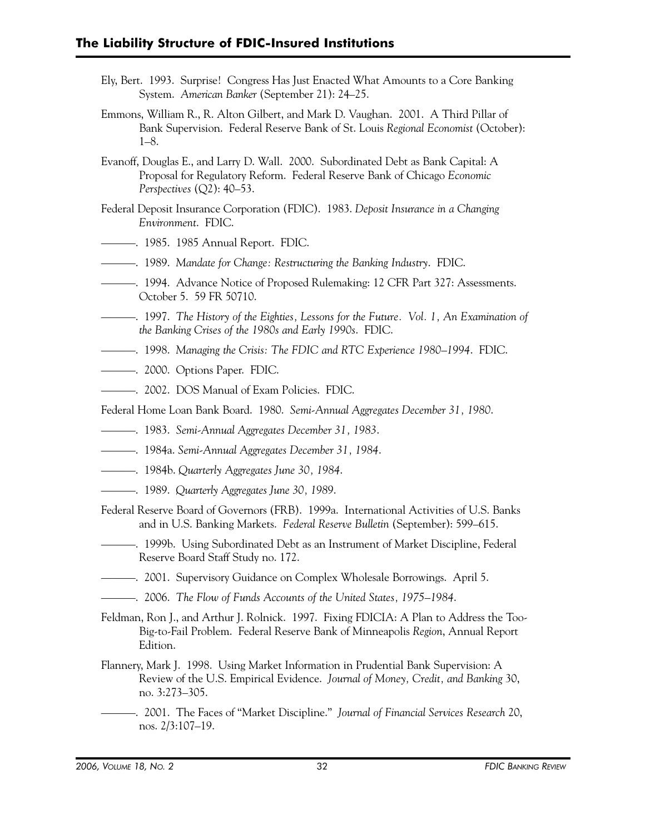- Ely, Bert. 1993. Surprise! Congress Has Just Enacted What Amounts to a Core Banking System. *American Banker* (September 21): 24–25.
- Emmons, William R., R. Alton Gilbert, and Mark D. Vaughan. 2001. A Third Pillar of Bank Supervision. Federal Reserve Bank of St. Louis *Regional Economist* (October): 1–8.
- Evanoff, Douglas E., and Larry D. Wall. 2000. Subordinated Debt as Bank Capital: A Proposal for Regulatory Reform. Federal Reserve Bank of Chicago *Economic Perspectives* (Q2): 40–53.
- Federal Deposit Insurance Corporation (FDIC). 1983. *Deposit Insurance in a Changing Environment*. FDIC.
- ———. 1985. 1985 Annual Report. FDIC.
- ———. 1989. *Mandate for Change: Restructuring the Banking Industry*. FDIC.
- ———. 1994. Advance Notice of Proposed Rulemaking: 12 CFR Part 327: Assessments. October 5. 59 FR 50710.
- ———. 1997. *The History of the Eighties, Lessons for the Future. Vol. 1, An Examination of the Banking Crises of the 1980s and Early 1990s*. FDIC.
- ———. 1998. *Managing the Crisis: The FDIC and RTC Experience 1980–1994*. FDIC.
- ———. 2000. Options Paper. FDIC.
- ———. 2002. DOS Manual of Exam Policies. FDIC.
- Federal Home Loan Bank Board. 1980. *Semi-Annual Aggregates December 31, 1980*.
- ———. 1983. *Semi-Annual Aggregates December 31, 1983*.
- ———. 1984a. *Semi-Annual Aggregates December 31, 1984*.
- ———. 1984b. *Quarterly Aggregates June 30, 1984*.
- ———. 1989. *Quarterly Aggregates June 30, 1989*.
- Federal Reserve Board of Governors (FRB). 1999a. International Activities of U.S. Banks and in U.S. Banking Markets. *Federal Reserve Bulletin* (September): 599–615.
- ———. 1999b. Using Subordinated Debt as an Instrument of Market Discipline, Federal Reserve Board Staff Study no. 172.
- ———. 2001. Supervisory Guidance on Complex Wholesale Borrowings. April 5.
- ———. 2006. *The Flow of Funds Accounts of the United States, 1975–1984*.
- Feldman, Ron J., and Arthur J. Rolnick. 1997. Fixing FDICIA: A Plan to Address the Too-Big-to-Fail Problem. Federal Reserve Bank of Minneapolis *Region*, Annual Report Edition.
- Flannery, Mark J. 1998. Using Market Information in Prudential Bank Supervision: A Review of the U.S. Empirical Evidence. *Journal of Money, Credit, and Banking* 30, no. 3:273–305.
- ———. 2001. The Faces of "Market Discipline." *Journal of Financial Services Research* 20, nos. 2/3:107–19.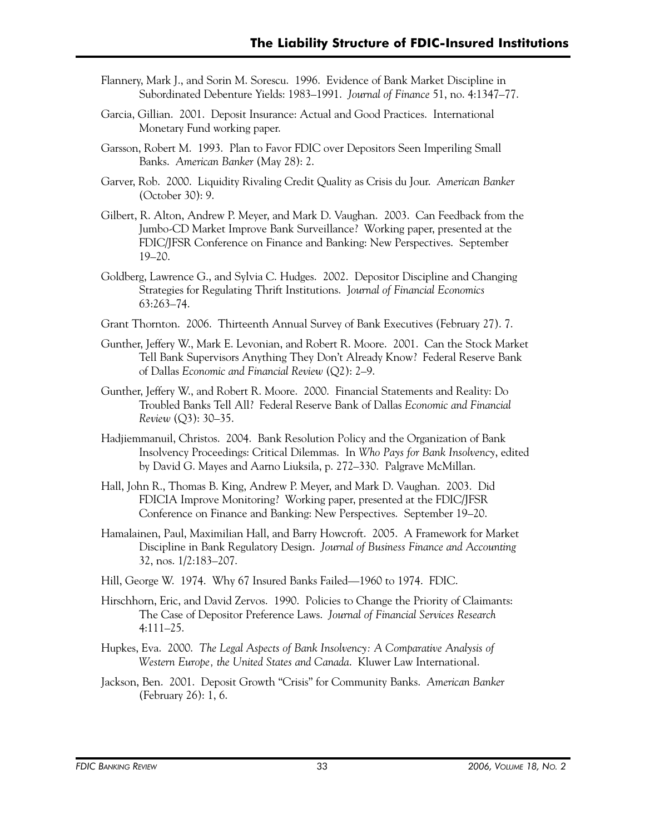- Flannery, Mark J., and Sorin M. Sorescu. 1996. Evidence of Bank Market Discipline in Subordinated Debenture Yields: 1983–1991. *Journal of Finance* 51, no. 4:1347–77.
- Garcia, Gillian. 2001. Deposit Insurance: Actual and Good Practices. International Monetary Fund working paper.
- Garsson, Robert M. 1993. Plan to Favor FDIC over Depositors Seen Imperiling Small Banks. *American Banker* (May 28): 2.
- Garver, Rob. 2000. Liquidity Rivaling Credit Quality as Crisis du Jour. *American Banker*  (October 30): 9.
- Gilbert, R. Alton, Andrew P. Meyer, and Mark D. Vaughan. 2003. Can Feedback from the Jumbo-CD Market Improve Bank Surveillance? Working paper, presented at the FDIC/JFSR Conference on Finance and Banking: New Perspectives. September 19–20.
- Goldberg, Lawrence G., and Sylvia C. Hudges. 2002. Depositor Discipline and Changing Strategies for Regulating Thrift Institutions. J*ournal of Financial Economics*  63:263–74.
- Grant Thornton. 2006. Thirteenth Annual Survey of Bank Executives (February 27). 7.
- Gunther, Jeffery W., Mark E. Levonian, and Robert R. Moore. 2001. Can the Stock Market Tell Bank Supervisors Anything They Don't Already Know? Federal Reserve Bank of Dallas *Economic and Financial Review* (Q2): 2–9.
- Gunther, Jeffery W., and Robert R. Moore. 2000. Financial Statements and Reality: Do Troubled Banks Tell All? Federal Reserve Bank of Dallas *Economic and Financial Review* (Q3): 30–35.
- Hadjiemmanuil, Christos. 2004. Bank Resolution Policy and the Organization of Bank Insolvency Proceedings: Critical Dilemmas. In *Who Pays for Bank Insolvency*, edited by David G. Mayes and Aarno Liuksila, p. 272–330. Palgrave McMillan.
- Hall, John R., Thomas B. King, Andrew P. Meyer, and Mark D. Vaughan. 2003. Did FDICIA Improve Monitoring? Working paper, presented at the FDIC/JFSR Conference on Finance and Banking: New Perspectives. September 19–20.
- Hamalainen, Paul, Maximilian Hall, and Barry Howcroft. 2005. A Framework for Market Discipline in Bank Regulatory Design. *Journal of Business Finance and Accounting*  32, nos. 1/2:183–207.
- Hill, George W. 1974. Why 67 Insured Banks Failed—1960 to 1974. FDIC.
- Hirschhorn, Eric, and David Zervos. 1990. Policies to Change the Priority of Claimants: The Case of Depositor Preference Laws. *Journal of Financial Services Research*  4:111–25.
- Hupkes, Eva. 2000. *The Legal Aspects of Bank Insolvency: A Comparative Analysis of Western Europe, the United States and Canada*. Kluwer Law International.
- Jackson, Ben. 2001. Deposit Growth "Crisis" for Community Banks. *American Banker*  (February 26): 1, 6.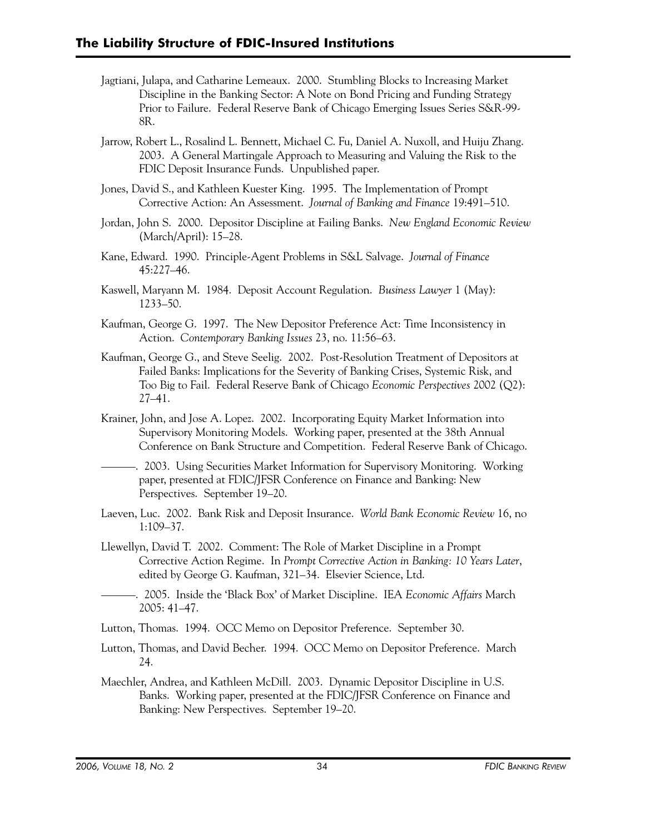- Jagtiani, Julapa, and Catharine Lemeaux. 2000. Stumbling Blocks to Increasing Market Discipline in the Banking Sector: A Note on Bond Pricing and Funding Strategy Prior to Failure. Federal Reserve Bank of Chicago Emerging Issues Series S&R-99 8R.
- Jarrow, Robert L., Rosalind L. Bennett, Michael C. Fu, Daniel A. Nuxoll, and Huiju Zhang. 2003. A General Martingale Approach to Measuring and Valuing the Risk to the FDIC Deposit Insurance Funds. Unpublished paper.
- Jones, David S., and Kathleen Kuester King. 1995. The Implementation of Prompt Corrective Action: An Assessment. *Journal of Banking and Finance* 19:491–510.
- Jordan, John S. 2000. Depositor Discipline at Failing Banks. *New England Economic Review*  (March/April): 15–28.
- Kane, Edward. 1990. Principle-Agent Problems in S&L Salvage. *Journal of Finance*  45:227–46.
- Kaswell, Maryann M. 1984. Deposit Account Regulation. *Business Lawyer* 1 (May): 1233–50.
- Kaufman, George G. 1997. The New Depositor Preference Act: Time Inconsistency in Action. *Contemporary Banking Issues* 23, no. 11:56–63.
- Kaufman, George G., and Steve Seelig. 2002. Post-Resolution Treatment of Depositors at Failed Banks: Implications for the Severity of Banking Crises, Systemic Risk, and Too Big to Fail. Federal Reserve Bank of Chicago *Economic Perspectives* 2002 (Q2): 27–41.
- Krainer, John, and Jose A. Lopez. 2002. Incorporating Equity Market Information into Supervisory Monitoring Models. Working paper, presented at the 38th Annual Conference on Bank Structure and Competition. Federal Reserve Bank of Chicago.
- ———. 2003. Using Securities Market Information for Supervisory Monitoring. Working paper, presented at FDIC/JFSR Conference on Finance and Banking: New Perspectives. September 19–20.
- Laeven, Luc. 2002. Bank Risk and Deposit Insurance. *World Bank Economic Review* 16, no 1:109–37.
- Llewellyn, David T. 2002. Comment: The Role of Market Discipline in a Prompt Corrective Action Regime. In *Prompt Corrective Action in Banking: 10 Years Later*, edited by George G. Kaufman, 321–34. Elsevier Science, Ltd.
- ———. 2005. Inside the 'Black Box' of Market Discipline. IEA *Economic Affairs* March 2005: 41–47.
- Lutton, Thomas. 1994. OCC Memo on Depositor Preference. September 30.
- Lutton, Thomas, and David Becher. 1994. OCC Memo on Depositor Preference. March 24.
- Maechler, Andrea, and Kathleen McDill. 2003. Dynamic Depositor Discipline in U.S. Banks. Working paper, presented at the FDIC/JFSR Conference on Finance and Banking: New Perspectives. September 19–20.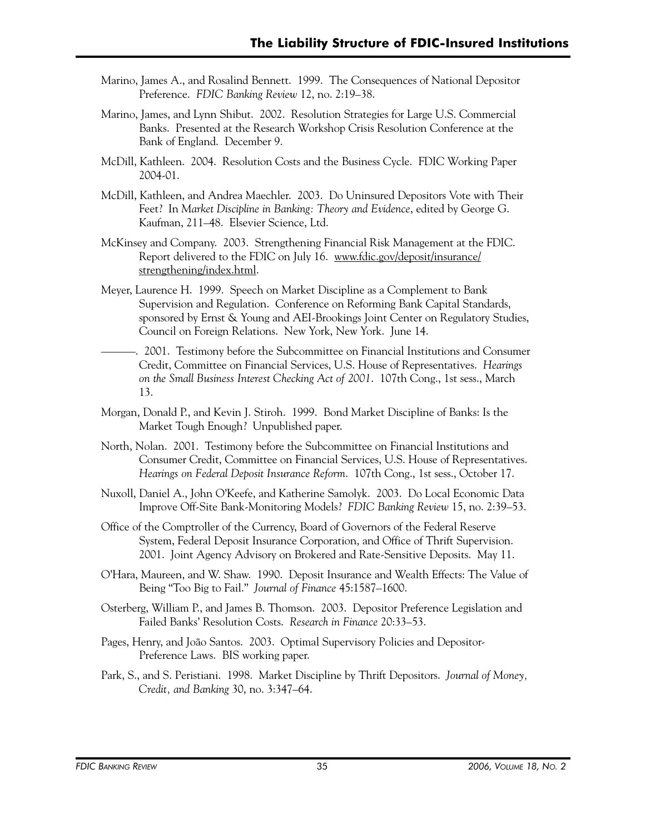- Marino, James A., and Rosalind Bennett. 1999. The Consequences of National Depositor Preference. *FDIC Banking Review* 12, no. 2:19–38.
- Marino, James, and Lynn Shibut. 2002. Resolution Strategies for Large U.S. Commercial Banks. Presented at the Research Workshop Crisis Resolution Conference at the Bank of England. December 9.
- McDill, Kathleen. 2004. Resolution Costs and the Business Cycle. FDIC Working Paper 2004-01.
- McDill, Kathleen, and Andrea Maechler. 2003. Do Uninsured Depositors Vote with Their Feet? In *Market Discipline in Banking: Theory and Evidence*, edited by George G. Kaufman, 211–48. Elsevier Science, Ltd.
- McKinsey and Company. 2003. Strengthening Financial Risk Management at the FDIC. Report delivered to the FDIC on July 16. www.fdic.gov/deposit/insurance/ strengthening/index.html.
- Meyer, Laurence H. 1999. Speech on Market Discipline as a Complement to Bank Supervision and Regulation. Conference on Reforming Bank Capital Standards, sponsored by Ernst & Young and AEI-Brookings Joint Center on Regulatory Studies, Council on Foreign Relations. New York, New York. June 14.
- ———. 2001. Testimony before the Subcommittee on Financial Institutions and Consumer Credit, Committee on Financial Services, U.S. House of Representatives. *Hearings on the Small Business Interest Checking Act of 2001*. 107th Cong., 1st sess., March 13.
- Morgan, Donald P., and Kevin J. Stiroh. 1999. Bond Market Discipline of Banks: Is the Market Tough Enough? Unpublished paper.
- North, Nolan. 2001. Testimony before the Subcommittee on Financial Institutions and Consumer Credit, Committee on Financial Services, U.S. House of Representatives. *Hearings on Federal Deposit Insurance Reform*. 107th Cong., 1st sess., October 17.
- Nuxoll, Daniel A., John O'Keefe, and Katherine Samolyk. 2003. Do Local Economic Data Improve Off-Site Bank-Monitoring Models? *FDIC Banking Review* 15, no. 2:39–53.
- Office of the Comptroller of the Currency, Board of Governors of the Federal Reserve System, Federal Deposit Insurance Corporation, and Office of Thrift Supervision. 2001. Joint Agency Advisory on Brokered and Rate-Sensitive Deposits. May 11.
- O'Hara, Maureen, and W. Shaw. 1990. Deposit Insurance and Wealth Effects: The Value of Being "Too Big to Fail." *Journal of Finance* 45:1587–1600.
- Osterberg, William P., and James B. Thomson. 2003. Depositor Preference Legislation and Failed Banks' Resolution Costs. *Research in Finance* 20:33–53.
- Pages, Henry, and João Santos. 2003. Optimal Supervisory Policies and Depositor-Preference Laws. BIS working paper.
- Park, S., and S. Peristiani. 1998. Market Discipline by Thrift Depositors. *Journal of Money, Credit, and Banking* 30, no. 3:347–64.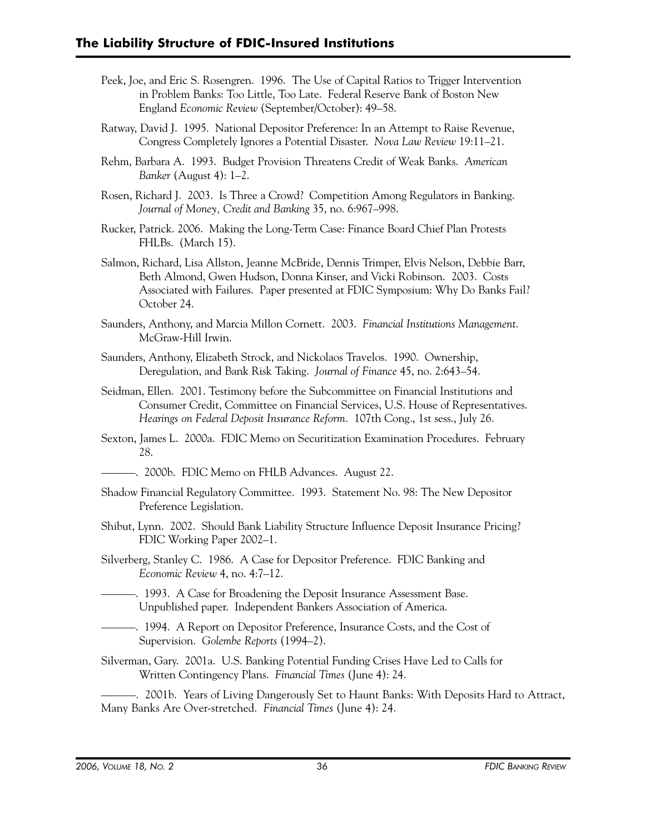- Peek, Joe, and Eric S. Rosengren. 1996. The Use of Capital Ratios to Trigger Intervention in Problem Banks: Too Little, Too Late. Federal Reserve Bank of Boston New England *Economic Review* (September/October): 49–58.
- Ratway, David J. 1995. National Depositor Preference: In an Attempt to Raise Revenue, Congress Completely Ignores a Potential Disaster. *Nova Law Review* 19:11–21.
- Rehm, Barbara A. 1993. Budget Provision Threatens Credit of Weak Banks. *American Banker* (August 4): 1–2.
- Rosen, Richard J. 2003. Is Three a Crowd? Competition Among Regulators in Banking. *Journal of Money, Credit and Banking* 35, no. 6:967–998.
- Rucker, Patrick. 2006. Making the Long-Term Case: Finance Board Chief Plan Protests FHLBs. (March 15).
- Salmon, Richard, Lisa Allston, Jeanne McBride, Dennis Trimper, Elvis Nelson, Debbie Barr, Beth Almond, Gwen Hudson, Donna Kinser, and Vicki Robinson. 2003. Costs Associated with Failures. Paper presented at FDIC Symposium: Why Do Banks Fail? October 24.
- Saunders, Anthony, and Marcia Millon Cornett. 2003. *Financial Institutions Management*. McGraw-Hill Irwin.
- Saunders, Anthony, Elizabeth Strock, and Nickolaos Travelos. 1990. Ownership, Deregulation, and Bank Risk Taking. *Journal of Finance* 45, no. 2:643–54.
- Seidman, Ellen. 2001. Testimony before the Subcommittee on Financial Institutions and Consumer Credit, Committee on Financial Services, U.S. House of Representatives. *Hearings on Federal Deposit Insurance Reform*. 107th Cong., 1st sess., July 26.
- Sexton, James L. 2000a. FDIC Memo on Securitization Examination Procedures. February 28.
- ———. 2000b. FDIC Memo on FHLB Advances. August 22.
- Shadow Financial Regulatory Committee. 1993. Statement No. 98: The New Depositor Preference Legislation.
- Shibut, Lynn. 2002. Should Bank Liability Structure Influence Deposit Insurance Pricing? FDIC Working Paper 2002–1.
- Silverberg, Stanley C. 1986. A Case for Depositor Preference. FDIC Banking and *Economic Review* 4, no. 4:7–12.
- ———. 1993. A Case for Broadening the Deposit Insurance Assessment Base. Unpublished paper. Independent Bankers Association of America.
- ———. 1994. A Report on Depositor Preference, Insurance Costs, and the Cost of Supervision. *Golembe Reports* (1994–2).
- Silverman, Gary. 2001a. U.S. Banking Potential Funding Crises Have Led to Calls for Written Contingency Plans. *Financial Times* (June 4): 24.

———. 2001b. Years of Living Dangerously Set to Haunt Banks: With Deposits Hard to Attract, Many Banks Are Over-stretched. *Financial Times* (June 4): 24.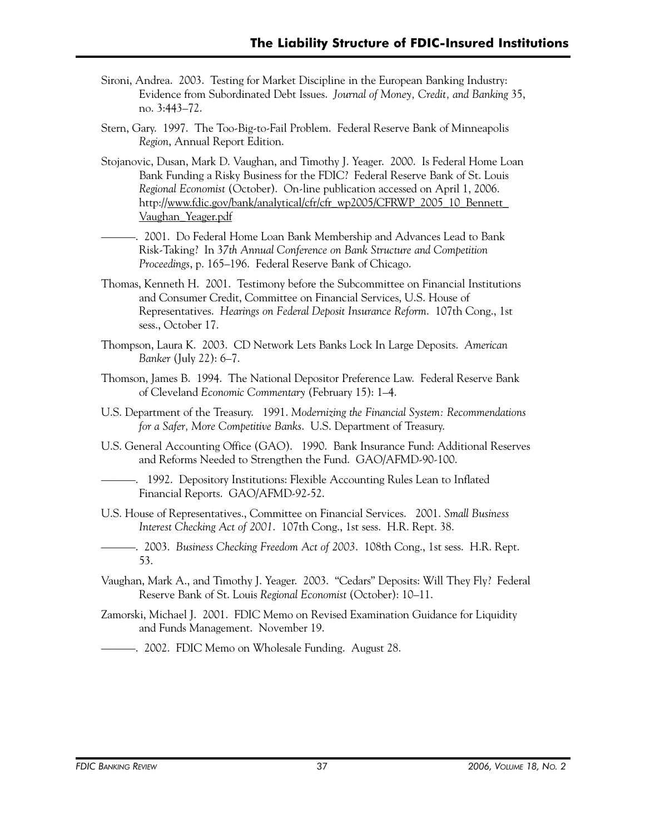- Sironi, Andrea. 2003. Testing for Market Discipline in the European Banking Industry: Evidence from Subordinated Debt Issues. *Journal of Money, Credit, and Banking* 35, no. 3:443–72.
- Stern, Gary. 1997. The Too-Big-to-Fail Problem. Federal Reserve Bank of Minneapolis *Region*, Annual Report Edition.
- Stojanovic, Dusan, Mark D. Vaughan, and Timothy J. Yeager. 2000. Is Federal Home Loan Bank Funding a Risky Business for the FDIC? Federal Reserve Bank of St. Louis *Regional Economist* (October). On-line publication accessed on April 1, 2006. http://www.fdic.gov/bank/analytical/cfr/cfr\_wp2005/CFRWP\_2005\_10\_Bennett\_ Vaughan\_Yeager.pdf
- -. 2001. Do Federal Home Loan Bank Membership and Advances Lead to Bank Risk-Taking? In 3*7th Annual Conference on Bank Structure and Competition Proceedings*, p. 165–196. Federal Reserve Bank of Chicago.
- Thomas, Kenneth H. 2001. Testimony before the Subcommittee on Financial Institutions and Consumer Credit, Committee on Financial Services, U.S. House of Representatives. *Hearings on Federal Deposit Insurance Reform*. 107th Cong., 1st sess., October 17.
- Thompson, Laura K. 2003. CD Network Lets Banks Lock In Large Deposits. *American Banker* (July 22): 6–7.
- Thomson, James B. 1994. The National Depositor Preference Law. Federal Reserve Bank of Cleveland *Economic Commentary* (February 15): 1–4.
- U.S. Department of the Treasury. 1991. *Modernizing the Financial System: Recommendations for a Safer, More Competitive Banks*. U.S. Department of Treasury.
- U.S. General Accounting Office (GAO). 1990. Bank Insurance Fund: Additional Reserves and Reforms Needed to Strengthen the Fund. GAO/AFMD-90-100.
- ———. 1992. Depository Institutions: Flexible Accounting Rules Lean to Inflated Financial Reports. GAO/AFMD-92-52.
- U.S. House of Representatives., Committee on Financial Services. 2001. *Small Business Interest Checking Act of 2001*. 107th Cong., 1st sess. H.R. Rept. 38.
- ———. 2003. *Business Checking Freedom Act of 2003*. 108th Cong., 1st sess. H.R. Rept. 53.
- Vaughan, Mark A., and Timothy J. Yeager. 2003. "Cedars" Deposits: Will They Fly? Federal Reserve Bank of St. Louis *Regional Economist* (October): 10–11.
- Zamorski, Michael J. 2001. FDIC Memo on Revised Examination Guidance for Liquidity and Funds Management. November 19.
	- ———. 2002. FDIC Memo on Wholesale Funding. August 28.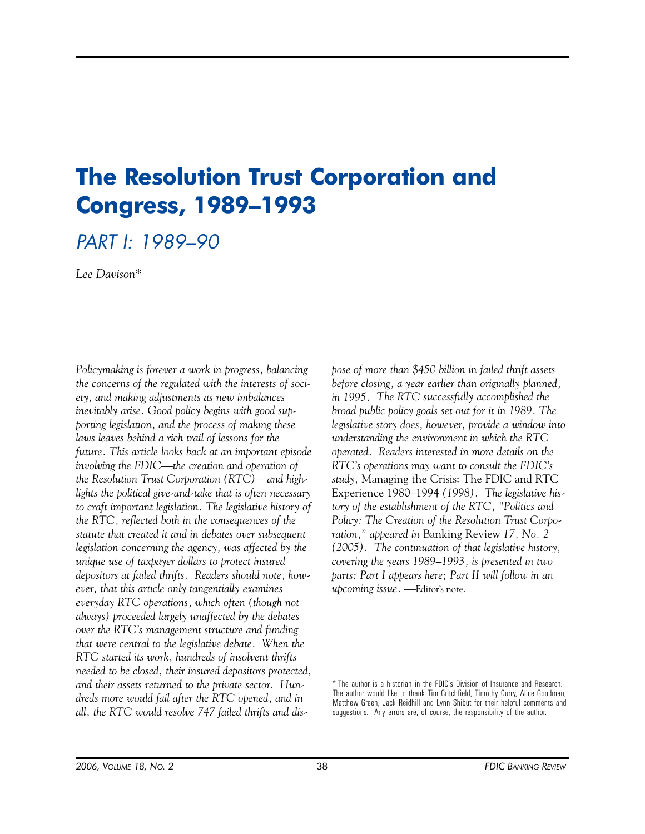# **The Resolution Trust Corporation and Congress, 1989–1993**

# PART I: 1989–90

*Lee Davison\** 

*Policymaking is forever a work in progress, balancing the concerns of the regulated with the interests of society, and making adjustments as new imbalances inevitably arise. Good policy begins with good supporting legislation, and the process of making these laws leaves behind a rich trail of lessons for the future. This article looks back at an important episode involving the FDIC—the creation and operation of the Resolution Trust Corporation (RTC)—and highlights the political give-and-take that is often necessary to craft important legislation. The legislative history of the RTC, reflected both in the consequences of the statute that created it and in debates over subsequent legislation concerning the agency, was affected by the unique use of taxpayer dollars to protect insured depositors at failed thrifts. Readers should note, however, that this article only tangentially examines everyday RTC operations, which often (though not always) proceeded largely unaffected by the debates over the RTC's management structure and funding that were central to the legislative debate. When the RTC started its work, hundreds of insolvent thrifts needed to be closed, their insured depositors protected, and their assets returned to the private sector. Hundreds more would fail after the RTC opened, and in all, the RTC would resolve 747 failed thrifts and dis-* *pose of more than \$450 billion in failed thrift assets before closing, a year earlier than originally planned, in 1995. The RTC successfully accomplished the broad public policy goals set out for it in 1989. The legislative story does, however, provide a window into understanding the environment in which the RTC operated. Readers interested in more details on the RTC's operations may want to consult the FDIC's study,* Managing the Crisis: The FDIC and RTC Experience 1980–1994 *(1998). The legislative history of the establishment of the RTC, "Politics and Policy: The Creation of the Resolution Trust Corporation," appeared in* Banking Review *17, No. 2 (2005). The continuation of that legislative history, covering the years 1989–1993, is presented in two parts: Part I appears here; Part II will follow in an upcoming issue.* —Editor's note.

<sup>\*</sup> The author is a historian in the FDIC's Division of Insurance and Research. The author would like to thank Tim Critchfield, Timothy Curry, Alice Goodman, Matthew Green, Jack Reidhill and Lynn Shibut for their helpful comments and suggestions. Any errors are, of course, the responsibility of the author.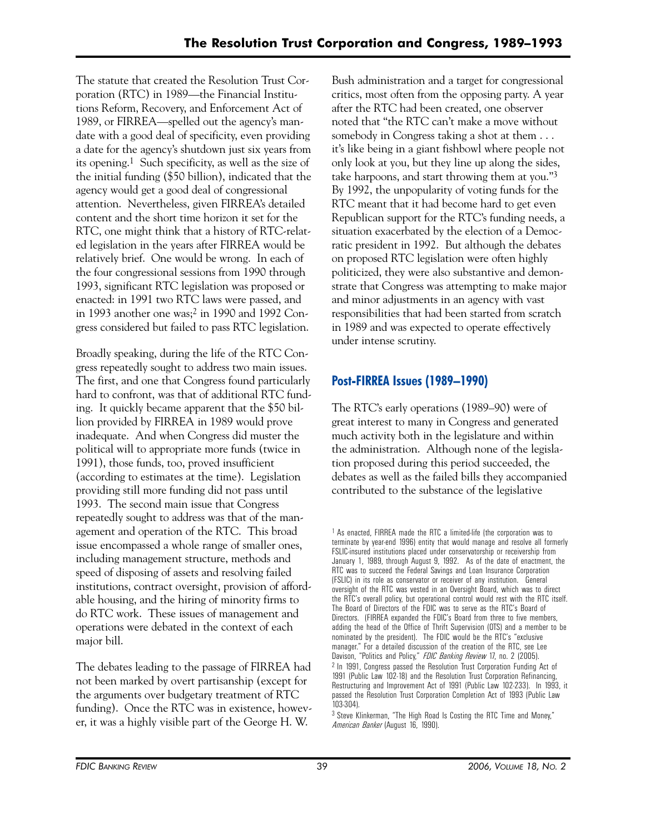The statute that created the Resolution Trust Corporation (RTC) in 1989—the Financial Institutions Reform, Recovery, and Enforcement Act of 1989, or FIRREA—spelled out the agency's mandate with a good deal of specificity, even providing a date for the agency's shutdown just six years from its opening.1 Such specificity, as well as the size of the initial funding (\$50 billion), indicated that the agency would get a good deal of congressional attention. Nevertheless, given FIRREA's detailed content and the short time horizon it set for the RTC, one might think that a history of RTC-related legislation in the years after FIRREA would be relatively brief. One would be wrong. In each of the four congressional sessions from 1990 through 1993, significant RTC legislation was proposed or enacted: in 1991 two RTC laws were passed, and in 1993 another one was;2 in 1990 and 1992 Congress considered but failed to pass RTC legislation.

Broadly speaking, during the life of the RTC Congress repeatedly sought to address two main issues. The first, and one that Congress found particularly hard to confront, was that of additional RTC funding. It quickly became apparent that the \$50 billion provided by FIRREA in 1989 would prove inadequate. And when Congress did muster the political will to appropriate more funds (twice in 1991), those funds, too, proved insufficient (according to estimates at the time). Legislation providing still more funding did not pass until 1993. The second main issue that Congress repeatedly sought to address was that of the management and operation of the RTC. This broad issue encompassed a whole range of smaller ones, including management structure, methods and speed of disposing of assets and resolving failed institutions, contract oversight, provision of affordable housing, and the hiring of minority firms to do RTC work. These issues of management and operations were debated in the context of each major bill.

The debates leading to the passage of FIRREA had not been marked by overt partisanship (except for the arguments over budgetary treatment of RTC funding). Once the RTC was in existence, however, it was a highly visible part of the George H. W.

Bush administration and a target for congressional critics, most often from the opposing party. A year after the RTC had been created, one observer noted that "the RTC can't make a move without somebody in Congress taking a shot at them . . . it's like being in a giant fishbowl where people not only look at you, but they line up along the sides, take harpoons, and start throwing them at you."3 By 1992, the unpopularity of voting funds for the RTC meant that it had become hard to get even Republican support for the RTC's funding needs, a situation exacerbated by the election of a Democratic president in 1992. But although the debates on proposed RTC legislation were often highly politicized, they were also substantive and demonstrate that Congress was attempting to make major and minor adjustments in an agency with vast responsibilities that had been started from scratch in 1989 and was expected to operate effectively under intense scrutiny.

# **Post-FIRREA Issues (1989–1990)**

The RTC's early operations (1989–90) were of great interest to many in Congress and generated much activity both in the legislature and within the administration. Although none of the legislation proposed during this period succeeded, the debates as well as the failed bills they accompanied contributed to the substance of the legislative

<sup>1</sup> As enacted, FIRREA made the RTC a limited-life (the corporation was to terminate by year-end 1996) entity that would manage and resolve all formerly FSLIC-insured institutions placed under conservatorship or receivership from January 1, 1989, through August 9, 1992. As of the date of enactment, the RTC was to succeed the Federal Savings and Loan Insurance Corporation (FSLIC) in its role as conservator or receiver of any institution. General oversight of the RTC was vested in an Oversight Board, which was to direct the RTC's overall policy, but operational control would rest with the RTC itself. The Board of Directors of the FDIC was to serve as the RTC's Board of Directors. (FIRREA expanded the FDIC's Board from three to five members, adding the head of the Office of Thrift Supervision (OTS) and a member to be nominated by the president). The FDIC would be the RTC's "exclusive manager." For a detailed discussion of the creation of the RTC, see Lee Davison, "Politics and Policy," *FDIC Banking Review* 17, no. 2 (2005). 2 In 1991, Congress passed the Resolution Trust Corporation Funding Act of 1991 (Public Law 102-18) and the Resolution Trust Corporation Refinancing, Restructuring and Improvement Act of 1991 (Public Law 102-233). In 1993, it passed the Resolution Trust Corporation Completion Act of 1993 (Public Law 103-304).

<sup>3</sup> Steve Klinkerman, "The High Road Is Costing the RTC Time and Money," *American Banker* (August 16, 1990).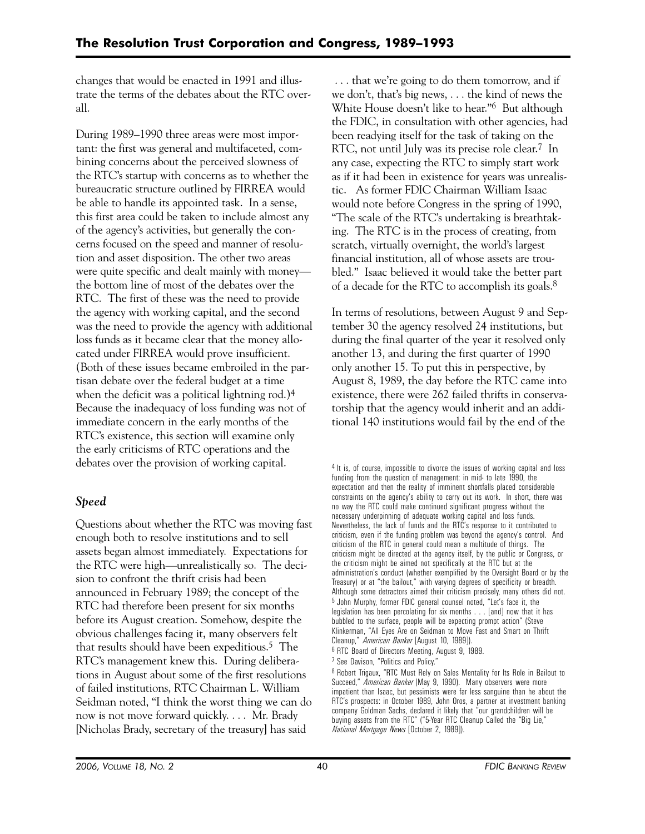changes that would be enacted in 1991 and illustrate the terms of the debates about the RTC overall.

During 1989–1990 three areas were most important: the first was general and multifaceted, combining concerns about the perceived slowness of the RTC's startup with concerns as to whether the bureaucratic structure outlined by FIRREA would be able to handle its appointed task. In a sense, this first area could be taken to include almost any of the agency's activities, but generally the concerns focused on the speed and manner of resolution and asset disposition. The other two areas were quite specific and dealt mainly with money the bottom line of most of the debates over the RTC. The first of these was the need to provide the agency with working capital, and the second was the need to provide the agency with additional loss funds as it became clear that the money allocated under FIRREA would prove insufficient. (Both of these issues became embroiled in the partisan debate over the federal budget at a time when the deficit was a political lightning rod.)4 Because the inadequacy of loss funding was not of immediate concern in the early months of the RTC's existence, this section will examine only the early criticisms of RTC operations and the debates over the provision of working capital.

# *Speed*

Questions about whether the RTC was moving fast enough both to resolve institutions and to sell assets began almost immediately. Expectations for the RTC were high—unrealistically so. The decision to confront the thrift crisis had been announced in February 1989; the concept of the RTC had therefore been present for six months before its August creation. Somehow, despite the obvious challenges facing it, many observers felt that results should have been expeditious.5 The RTC's management knew this. During deliberations in August about some of the first resolutions of failed institutions, RTC Chairman L. William Seidman noted, "I think the worst thing we can do now is not move forward quickly. . . . Mr. Brady [Nicholas Brady, secretary of the treasury] has said

. . . that we're going to do them tomorrow, and if we don't, that's big news, . . . the kind of news the White House doesn't like to hear."6 But although the FDIC, in consultation with other agencies, had been readying itself for the task of taking on the RTC, not until July was its precise role clear.<sup>7</sup> In any case, expecting the RTC to simply start work as if it had been in existence for years was unrealistic. As former FDIC Chairman William Isaac would note before Congress in the spring of 1990, "The scale of the RTC's undertaking is breathtaking. The RTC is in the process of creating, from scratch, virtually overnight, the world's largest financial institution, all of whose assets are troubled." Isaac believed it would take the better part of a decade for the RTC to accomplish its goals.8

In terms of resolutions, between August 9 and September 30 the agency resolved 24 institutions, but during the final quarter of the year it resolved only another 13, and during the first quarter of 1990 only another 15. To put this in perspective, by August 8, 1989, the day before the RTC came into existence, there were 262 failed thrifts in conservatorship that the agency would inherit and an additional 140 institutions would fail by the end of the

<sup>4</sup> It is, of course, impossible to divorce the issues of working capital and loss funding from the question of management: in mid- to late 1990, the expectation and then the reality of imminent shortfalls placed considerable constraints on the agency's ability to carry out its work. In short, there was no way the RTC could make continued significant progress without the necessary underpinning of adequate working capital and loss funds. Nevertheless, the lack of funds and the RTC's response to it contributed to criticism, even if the funding problem was beyond the agency's control. And criticism of the RTC in general could mean a multitude of things. The criticism might be directed at the agency itself, by the public or Congress, or the criticism might be aimed not specifically at the RTC but at the administration's conduct (whether exemplified by the Oversight Board or by the Treasury) or at "the bailout," with varying degrees of specificity or breadth. Although some detractors aimed their criticism precisely, many others did not. 5 John Murphy, former FDIC general counsel noted, "Let's face it, the legislation has been percolating for six months . . . [and] now that it has bubbled to the surface, people will be expecting prompt action" (Steve Klinkerman, "All Eyes Are on Seidman to Move Fast and Smart on Thrift Cleanup," *American Banker* [August 10, 1989]). 6 RTC Board of Directors Meeting, August 9, 1989.

7 See Davison, "Politics and Policy."

8 Robert Trigaux, "RTC Must Rely on Sales Mentality for Its Role in Bailout to Succeed," *American Banker* (May 9, 1990). Many observers were more impatient than Isaac, but pessimists were far less sanguine than he about the RTC's prospects: in October 1989, John Oros, a partner at investment banking company Goldman Sachs, declared it likely that "our grandchildren will be buying assets from the RTC" ("5-Year RTC Cleanup Called the "Big Lie," *National Mortgage News* [October 2, 1989]).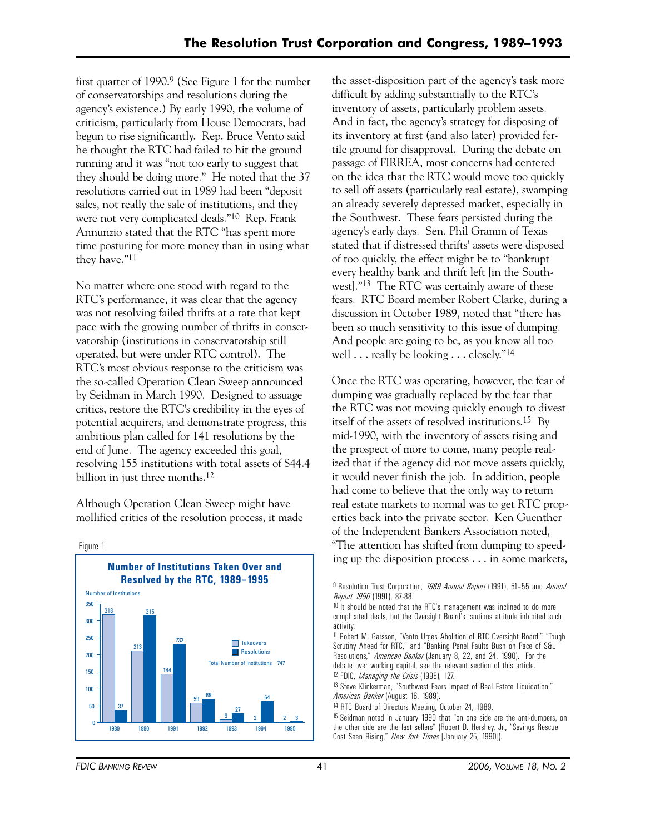first quarter of 1990.9 (See Figure 1 for the number of conservatorships and resolutions during the agency's existence.) By early 1990, the volume of criticism, particularly from House Democrats, had begun to rise significantly. Rep. Bruce Vento said he thought the RTC had failed to hit the ground running and it was "not too early to suggest that they should be doing more." He noted that the 37 resolutions carried out in 1989 had been "deposit sales, not really the sale of institutions, and they were not very complicated deals."10 Rep. Frank Annunzio stated that the RTC "has spent more time posturing for more money than in using what they have."11

No matter where one stood with regard to the RTC's performance, it was clear that the agency was not resolving failed thrifts at a rate that kept pace with the growing number of thrifts in conservatorship (institutions in conservatorship still operated, but were under RTC control). The RTC's most obvious response to the criticism was the so-called Operation Clean Sweep announced by Seidman in March 1990. Designed to assuage critics, restore the RTC's credibility in the eyes of potential acquirers, and demonstrate progress, this ambitious plan called for 141 resolutions by the end of June. The agency exceeded this goal, resolving 155 institutions with total assets of \$44.4 billion in just three months.<sup>12</sup>

Although Operation Clean Sweep might have mollified critics of the resolution process, it made



the asset-disposition part of the agency's task more difficult by adding substantially to the RTC's inventory of assets, particularly problem assets. And in fact, the agency's strategy for disposing of its inventory at first (and also later) provided fertile ground for disapproval. During the debate on passage of FIRREA, most concerns had centered on the idea that the RTC would move too quickly to sell off assets (particularly real estate), swamping an already severely depressed market, especially in the Southwest. These fears persisted during the agency's early days. Sen. Phil Gramm of Texas stated that if distressed thrifts' assets were disposed of too quickly, the effect might be to "bankrupt every healthy bank and thrift left [in the Southwest]."13 The RTC was certainly aware of these fears. RTC Board member Robert Clarke, during a discussion in October 1989, noted that "there has been so much sensitivity to this issue of dumping. And people are going to be, as you know all too well . . . really be looking . . . closely."<sup>14</sup>

Once the RTC was operating, however, the fear of dumping was gradually replaced by the fear that the RTC was not moving quickly enough to divest itself of the assets of resolved institutions.15 By mid-1990, with the inventory of assets rising and the prospect of more to come, many people realized that if the agency did not move assets quickly, it would never finish the job. In addition, people had come to believe that the only way to return real estate markets to normal was to get RTC properties back into the private sector. Ken Guenther of the Independent Bankers Association noted, "The attention has shifted from dumping to speeding up the disposition process . . . in some markets,

 12 FDIC, *Managing the Crisis* (1998), 127. 11 Robert M. Garsson, "Vento Urges Abolition of RTC Oversight Board," "Tough Scrutiny Ahead for RTC," and "Banking Panel Faults Bush on Pace of S&L Resolutions," *American Banker* (January 8, 22, and 24, 1990). For the debate over working capital, see the relevant section of this article.

13 Steve Klinkerman, "Southwest Fears Impact of Real Estate Liquidation," *American Banker* (August 16, 1989).

14 RTC Board of Directors Meeting, October 24, 1989.

15 Seidman noted in January 1990 that "on one side are the anti-dumpers, on the other side are the fast sellers" (Robert D. Hershey, Jr., "Savings Rescue Cost Seen Rising," *New York Times* [January 25, 1990]).

<sup>9</sup> Resolution Trust Corporation, *1989 Annual Report* (1991), 51–55 and *Annual Report 1990* (1991), 87-88.

<sup>&</sup>lt;sup>10</sup> It should be noted that the RTC's management was inclined to do more complicated deals, but the Oversight Board's cautious attitude inhibited such activity.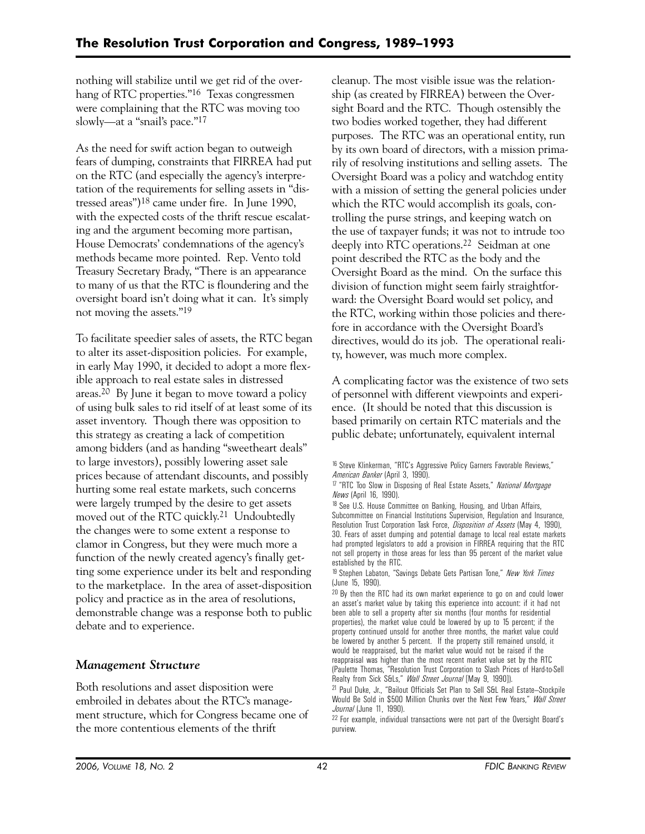nothing will stabilize until we get rid of the overhang of RTC properties."16 Texas congressmen were complaining that the RTC was moving too slowly—at a "snail's pace."17

As the need for swift action began to outweigh fears of dumping, constraints that FIRREA had put on the RTC (and especially the agency's interpretation of the requirements for selling assets in "distressed areas")18 came under fire. In June 1990, with the expected costs of the thrift rescue escalating and the argument becoming more partisan, House Democrats' condemnations of the agency's methods became more pointed. Rep. Vento told Treasury Secretary Brady, "There is an appearance to many of us that the RTC is floundering and the oversight board isn't doing what it can. It's simply not moving the assets."19

To facilitate speedier sales of assets, the RTC began to alter its asset-disposition policies. For example, in early May 1990, it decided to adopt a more flexible approach to real estate sales in distressed areas.20 By June it began to move toward a policy of using bulk sales to rid itself of at least some of its asset inventory. Though there was opposition to this strategy as creating a lack of competition among bidders (and as handing "sweetheart deals" to large investors), possibly lowering asset sale prices because of attendant discounts, and possibly hurting some real estate markets, such concerns were largely trumped by the desire to get assets moved out of the RTC quickly.21 Undoubtedly the changes were to some extent a response to clamor in Congress, but they were much more a function of the newly created agency's finally getting some experience under its belt and responding to the marketplace. In the area of asset-disposition policy and practice as in the area of resolutions, demonstrable change was a response both to public debate and to experience.

# *Management Structure*

Both resolutions and asset disposition were embroiled in debates about the RTC's management structure, which for Congress became one of the more contentious elements of the thrift

cleanup. The most visible issue was the relationship (as created by FIRREA) between the Oversight Board and the RTC. Though ostensibly the two bodies worked together, they had different purposes. The RTC was an operational entity, run by its own board of directors, with a mission primarily of resolving institutions and selling assets. The Oversight Board was a policy and watchdog entity with a mission of setting the general policies under which the RTC would accomplish its goals, controlling the purse strings, and keeping watch on the use of taxpayer funds; it was not to intrude too deeply into RTC operations.<sup>22</sup> Seidman at one point described the RTC as the body and the Oversight Board as the mind. On the surface this division of function might seem fairly straightforward: the Oversight Board would set policy, and the RTC, working within those policies and therefore in accordance with the Oversight Board's directives, would do its job. The operational reality, however, was much more complex.

A complicating factor was the existence of two sets of personnel with different viewpoints and experience. (It should be noted that this discussion is based primarily on certain RTC materials and the public debate; unfortunately, equivalent internal

<sup>&</sup>lt;sup>16</sup> Steve Klinkerman, "RTC's Aggressive Policy Garners Favorable Reviews," *American Banker* (April 3, 1990).

<sup>17 &</sup>quot;RTC Too Slow in Disposing of Real Estate Assets," *National Mortgage News* (April 16, 1990).

<sup>&</sup>lt;sup>18</sup> See U.S. House Committee on Banking, Housing, and Urban Affairs, Subcommittee on Financial Institutions Supervision, Regulation and Insurance, Resolution Trust Corporation Task Force, *Disposition of Assets* (May 4, 1990), 30. Fears of asset dumping and potential damage to local real estate markets had prompted legislators to add a provision in FIRREA requiring that the RTC not sell property in those areas for less than 95 percent of the market value established by the RTC.

<sup>19</sup> Stephen Labaton, "Savings Debate Gets Partisan Tone," *New York Times*  (June 15, 1990).

<sup>&</sup>lt;sup>20</sup> By then the RTC had its own market experience to go on and could lower an asset's market value by taking this experience into account: if it had not been able to sell a property after six months (four months for residential properties), the market value could be lowered by up to 15 percent; if the property continued unsold for another three months, the market value could be lowered by another 5 percent. If the property still remained unsold, it would be reappraised, but the market value would not be raised if the reappraisal was higher than the most recent market value set by the RTC (Paulette Thomas, "Resolution Trust Corporation to Slash Prices of Hard-to-Sell Realty from Sick S&Ls," *Wall Street Journal* [May 9, 1990]).

<sup>&</sup>lt;sup>21</sup> Paul Duke, Jr., "Bailout Officials Set Plan to Sell S&L Real Estate-Stockpile Would Be Sold in \$500 Million Chunks over the Next Few Years," *Wall Street Journal* (June 11, 1990).

<sup>22</sup> For example, individual transactions were not part of the Oversight Board's purview.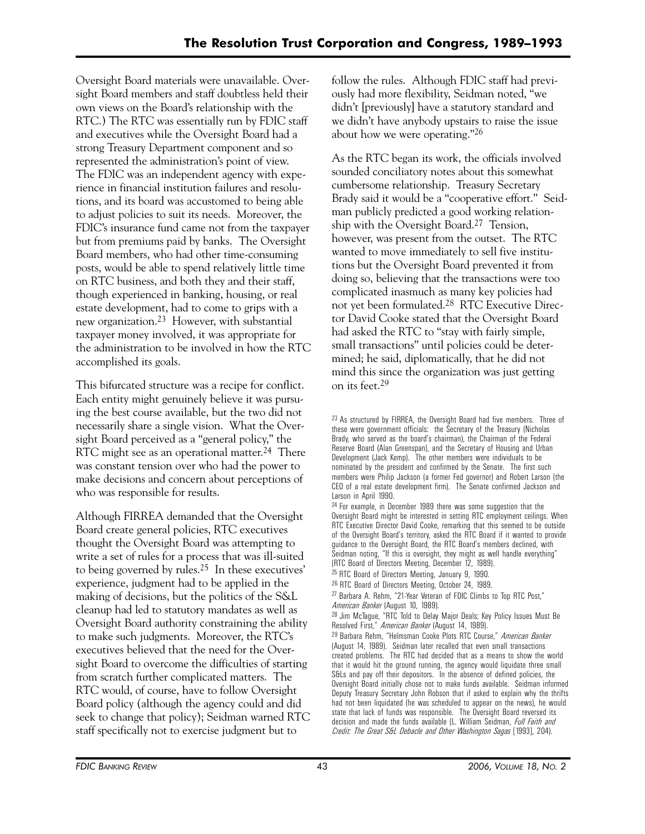Oversight Board materials were unavailable. Oversight Board members and staff doubtless held their own views on the Board's relationship with the RTC.) The RTC was essentially run by FDIC staff and executives while the Oversight Board had a strong Treasury Department component and so represented the administration's point of view. The FDIC was an independent agency with experience in financial institution failures and resolutions, and its board was accustomed to being able to adjust policies to suit its needs. Moreover, the FDIC's insurance fund came not from the taxpayer but from premiums paid by banks. The Oversight Board members, who had other time-consuming posts, would be able to spend relatively little time on RTC business, and both they and their staff, though experienced in banking, housing, or real estate development, had to come to grips with a new organization.23 However, with substantial taxpayer money involved, it was appropriate for the administration to be involved in how the RTC accomplished its goals.

This bifurcated structure was a recipe for conflict. Each entity might genuinely believe it was pursuing the best course available, but the two did not necessarily share a single vision. What the Oversight Board perceived as a "general policy," the RTC might see as an operational matter.<sup>24</sup> There was constant tension over who had the power to make decisions and concern about perceptions of who was responsible for results.

Although FIRREA demanded that the Oversight Board create general policies, RTC executives thought the Oversight Board was attempting to write a set of rules for a process that was ill-suited to being governed by rules.25 In these executives' experience, judgment had to be applied in the making of decisions, but the politics of the S&L cleanup had led to statutory mandates as well as Oversight Board authority constraining the ability to make such judgments. Moreover, the RTC's executives believed that the need for the Oversight Board to overcome the difficulties of starting from scratch further complicated matters. The RTC would, of course, have to follow Oversight Board policy (although the agency could and did seek to change that policy); Seidman warned RTC staff specifically not to exercise judgment but to

follow the rules. Although FDIC staff had previously had more flexibility, Seidman noted, "we didn't [previously] have a statutory standard and we didn't have anybody upstairs to raise the issue about how we were operating."26

As the RTC began its work, the officials involved sounded conciliatory notes about this somewhat cumbersome relationship. Treasury Secretary Brady said it would be a "cooperative effort." Seidman publicly predicted a good working relationship with the Oversight Board.27 Tension, however, was present from the outset. The RTC wanted to move immediately to sell five institutions but the Oversight Board prevented it from doing so, believing that the transactions were too complicated inasmuch as many key policies had not yet been formulated.28 RTC Executive Director David Cooke stated that the Oversight Board had asked the RTC to "stay with fairly simple, small transactions" until policies could be determined; he said, diplomatically, that he did not mind this since the organization was just getting on its feet.29

25 RTC Board of Directors Meeting, January 9, 1990.

27 Barbara A. Rehm, "21-Year Veteran of FDIC Climbs to Top RTC Post," *American Banker* (August 10, 1989).

28 Jim McTague, "RTC Told to Delay Major Deals; Key Policy Issues Must Be Resolved First," *American Banker* (August 14, 1989).

29 Barbara Rehm, "Helmsman Cooke Plots RTC Course," *American Banker* (August 14, 1989). Seidman later recalled that even small transactions created problems. The RTC had decided that as a means to show the world that it would hit the ground running, the agency would liquidate three small S&Ls and pay off their depositors. In the absence of defined policies, the Oversight Board initially chose not to make funds available. Seidman informed Deputy Treasury Secretary John Robson that if asked to explain why the thrifts had not been liquidated (he was scheduled to appear on the news), he would state that lack of funds was responsible. The Oversight Board reversed its decision and made the funds available (L. William Seidman, *Full Faith and Credit: The Great S&L Debacle and Other Washington Sagas* [1993], 204).

<sup>&</sup>lt;sup>23</sup> As structured by FIRREA, the Oversight Board had five members. Three of these were government officials: the Secretary of the Treasury (Nicholas Brady, who served as the board's chairman), the Chairman of the Federal Reserve Board (Alan Greenspan), and the Secretary of Housing and Urban Development (Jack Kemp). The other members were individuals to be nominated by the president and confirmed by the Senate. The first such members were Philip Jackson (a former Fed governor) and Robert Larson (the CEO of a real estate development firm). The Senate confirmed Jackson and Larson in April 1990.

 $24$  For example, in December 1989 there was some suggestion that the Oversight Board might be interested in setting RTC employment ceilings. When RTC Executive Director David Cooke, remarking that this seemed to be outside of the Oversight Board's territory, asked the RTC Board if it wanted to provide guidance to the Oversight Board, the RTC Board's members declined, with Seidman noting, "If this is oversight, they might as well handle everything" (RTC Board of Directors Meeting, December 12, 1989).

<sup>26</sup> RTC Board of Directors Meeting, October 24, 1989.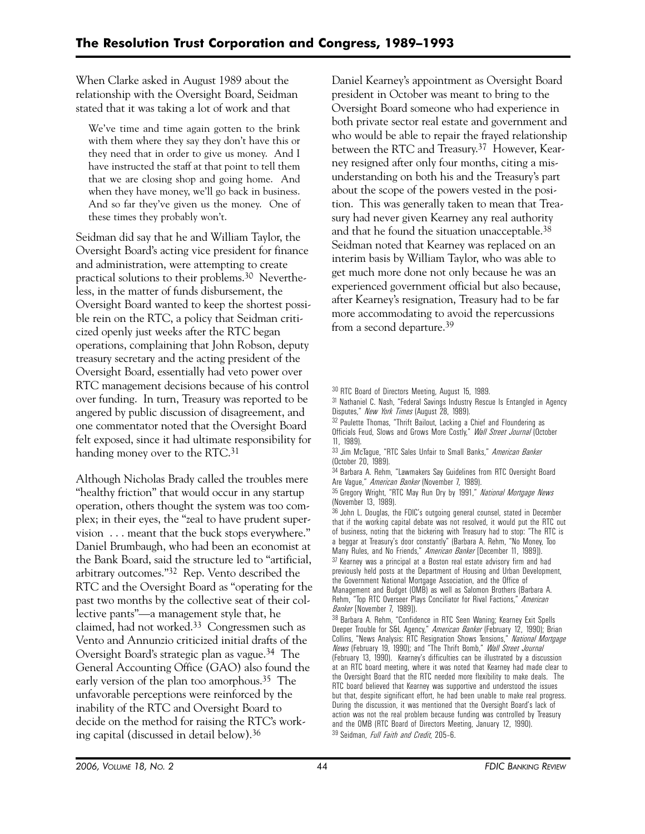When Clarke asked in August 1989 about the relationship with the Oversight Board, Seidman stated that it was taking a lot of work and that

We've time and time again gotten to the brink with them where they say they don't have this or they need that in order to give us money. And I have instructed the staff at that point to tell them that we are closing shop and going home. And when they have money, we'll go back in business. And so far they've given us the money. One of these times they probably won't.

Seidman did say that he and William Taylor, the Oversight Board's acting vice president for finance and administration, were attempting to create practical solutions to their problems.30 Nevertheless, in the matter of funds disbursement, the Oversight Board wanted to keep the shortest possible rein on the RTC, a policy that Seidman criticized openly just weeks after the RTC began operations, complaining that John Robson, deputy treasury secretary and the acting president of the Oversight Board, essentially had veto power over RTC management decisions because of his control over funding. In turn, Treasury was reported to be angered by public discussion of disagreement, and one commentator noted that the Oversight Board felt exposed, since it had ultimate responsibility for handing money over to the RTC.<sup>31</sup>

Although Nicholas Brady called the troubles mere "healthy friction" that would occur in any startup operation, others thought the system was too complex; in their eyes, the "zeal to have prudent supervision . . . meant that the buck stops everywhere." Daniel Brumbaugh, who had been an economist at the Bank Board, said the structure led to "artificial, arbitrary outcomes."32 Rep. Vento described the RTC and the Oversight Board as "operating for the past two months by the collective seat of their collective pants"—a management style that, he claimed, had not worked.33 Congressmen such as Vento and Annunzio criticized initial drafts of the Oversight Board's strategic plan as vague.34 The General Accounting Office (GAO) also found the early version of the plan too amorphous.35 The unfavorable perceptions were reinforced by the inability of the RTC and Oversight Board to decide on the method for raising the RTC's working capital (discussed in detail below).36

Daniel Kearney's appointment as Oversight Board president in October was meant to bring to the Oversight Board someone who had experience in both private sector real estate and government and who would be able to repair the frayed relationship between the RTC and Treasury.37 However, Kearney resigned after only four months, citing a misunderstanding on both his and the Treasury's part about the scope of the powers vested in the position. This was generally taken to mean that Treasury had never given Kearney any real authority and that he found the situation unacceptable.38 Seidman noted that Kearney was replaced on an interim basis by William Taylor, who was able to get much more done not only because he was an experienced government official but also because, after Kearney's resignation, Treasury had to be far more accommodating to avoid the repercussions from a second departure.39

31 Nathaniel C. Nash, "Federal Savings Industry Rescue Is Entangled in Agency Disputes," *New York Times* (August 28, 1989).

32 Paulette Thomas, "Thrift Bailout, Lacking a Chief and Floundering as Officials Feud, Slows and Grows More Costly," *Wall Street Journal* (October 11, 1989).

33 Jim McTague, "RTC Sales Unfair to Small Banks," *American Banker* (October 20, 1989).

34 Barbara A. Rehm, "Lawmakers Say Guidelines from RTC Oversight Board Are Vague," *American Banker* (November 7, 1989).

35 Gregory Wright, "RTC May Run Dry by 1991," *National Mortgage News* (November 13, 1989).

36 John L. Douglas, the FDIC's outgoing general counsel, stated in December that if the working capital debate was not resolved, it would put the RTC out of business, noting that the bickering with Treasury had to stop: "The RTC is a beggar at Treasury's door constantly" (Barbara A. Rehm, "No Money, Too Many Rules, and No Friends," *American Banker* [December 11, 1989]). 37 Kearney was a principal at a Boston real estate advisory firm and had previously held posts at the Department of Housing and Urban Development, the Government National Mortgage Association, and the Office of Management and Budget (OMB) as well as Salomon Brothers (Barbara A.

Rehm, "Top RTC Overseer Plays Conciliator for Rival Factions," *American Banker* [November 7, 1989]). 38 Barbara A. Rehm, "Confidence in RTC Seen Waning; Kearney Exit Spells

Deeper Trouble for S&L Agency," *American Banker* (February 12, 1990); Brian Collins, "News Analysis: RTC Resignation Shows Tensions," *National Mortgage News* (February 19, 1990); and "The Thrift Bomb," *Wall Street Journal* (February 13, 1990). Kearney's difficulties can be illustrated by a discussion at an RTC board meeting, where it was noted that Kearney had made clear to the Oversight Board that the RTC needed more flexibility to make deals. The RTC board believed that Kearney was supportive and understood the issues but that, despite significant effort, he had been unable to make real progress. During the discussion, it was mentioned that the Oversight Board's lack of action was not the real problem because funding was controlled by Treasury and the OMB (RTC Board of Directors Meeting, January 12, 1990). 39 Seidman, *Full Faith and Credit*, 205–6.

<sup>30</sup> RTC Board of Directors Meeting, August 15, 1989.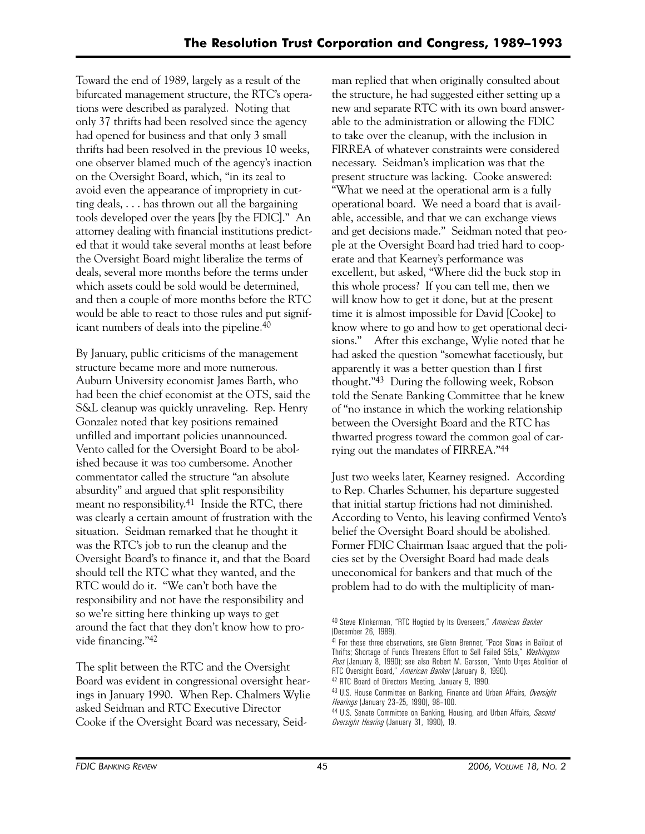Toward the end of 1989, largely as a result of the bifurcated management structure, the RTC's operations were described as paralyzed. Noting that only 37 thrifts had been resolved since the agency had opened for business and that only 3 small thrifts had been resolved in the previous 10 weeks, one observer blamed much of the agency's inaction on the Oversight Board, which, "in its zeal to avoid even the appearance of impropriety in cutting deals, . . . has thrown out all the bargaining tools developed over the years [by the FDIC]." An attorney dealing with financial institutions predicted that it would take several months at least before the Oversight Board might liberalize the terms of deals, several more months before the terms under which assets could be sold would be determined, and then a couple of more months before the RTC would be able to react to those rules and put significant numbers of deals into the pipeline.40

By January, public criticisms of the management structure became more and more numerous. Auburn University economist James Barth, who had been the chief economist at the OTS, said the S&L cleanup was quickly unraveling. Rep. Henry Gonzalez noted that key positions remained unfilled and important policies unannounced. Vento called for the Oversight Board to be abolished because it was too cumbersome. Another commentator called the structure "an absolute absurdity" and argued that split responsibility meant no responsibility.41 Inside the RTC, there was clearly a certain amount of frustration with the situation. Seidman remarked that he thought it was the RTC's job to run the cleanup and the Oversight Board's to finance it, and that the Board should tell the RTC what they wanted, and the RTC would do it. "We can't both have the responsibility and not have the responsibility and so we're sitting here thinking up ways to get around the fact that they don't know how to provide financing."42

The split between the RTC and the Oversight Board was evident in congressional oversight hearings in January 1990. When Rep. Chalmers Wylie asked Seidman and RTC Executive Director Cooke if the Oversight Board was necessary, Seidman replied that when originally consulted about the structure, he had suggested either setting up a new and separate RTC with its own board answerable to the administration or allowing the FDIC to take over the cleanup, with the inclusion in FIRREA of whatever constraints were considered necessary. Seidman's implication was that the present structure was lacking. Cooke answered: "What we need at the operational arm is a fully operational board. We need a board that is available, accessible, and that we can exchange views and get decisions made." Seidman noted that people at the Oversight Board had tried hard to cooperate and that Kearney's performance was excellent, but asked, "Where did the buck stop in this whole process? If you can tell me, then we will know how to get it done, but at the present time it is almost impossible for David [Cooke] to know where to go and how to get operational decisions." After this exchange, Wylie noted that he had asked the question "somewhat facetiously, but apparently it was a better question than I first thought."43 During the following week, Robson told the Senate Banking Committee that he knew of "no instance in which the working relationship between the Oversight Board and the RTC has thwarted progress toward the common goal of carrying out the mandates of FIRREA."44

Just two weeks later, Kearney resigned. According to Rep. Charles Schumer, his departure suggested that initial startup frictions had not diminished. According to Vento, his leaving confirmed Vento's belief the Oversight Board should be abolished. Former FDIC Chairman Isaac argued that the policies set by the Oversight Board had made deals uneconomical for bankers and that much of the problem had to do with the multiplicity of man-

<sup>40</sup> Steve Klinkerman, "RTC Hogtied by Its Overseers," *American Banker* (December 26, 1989).

<sup>41</sup> For these three observations, see Glenn Brenner, "Pace Slows in Bailout of Thrifts; Shortage of Funds Threatens Effort to Sell Failed S&Ls," *Washington Post* (January 8, 1990); see also Robert M. Garsson, "Vento Urges Abolition of RTC Oversight Board," *American Banker* (January 8, 1990).

 42 RTC Board of Directors Meeting, January 9, 1990.

<sup>43</sup> U.S. House Committee on Banking, Finance and Urban Affairs, *Oversight Hearings* (January 23–25, 1990), 98–100.

<sup>44</sup> U.S. Senate Committee on Banking, Housing, and Urban Affairs, *Second Oversight Hearing* (January 31, 1990), 19.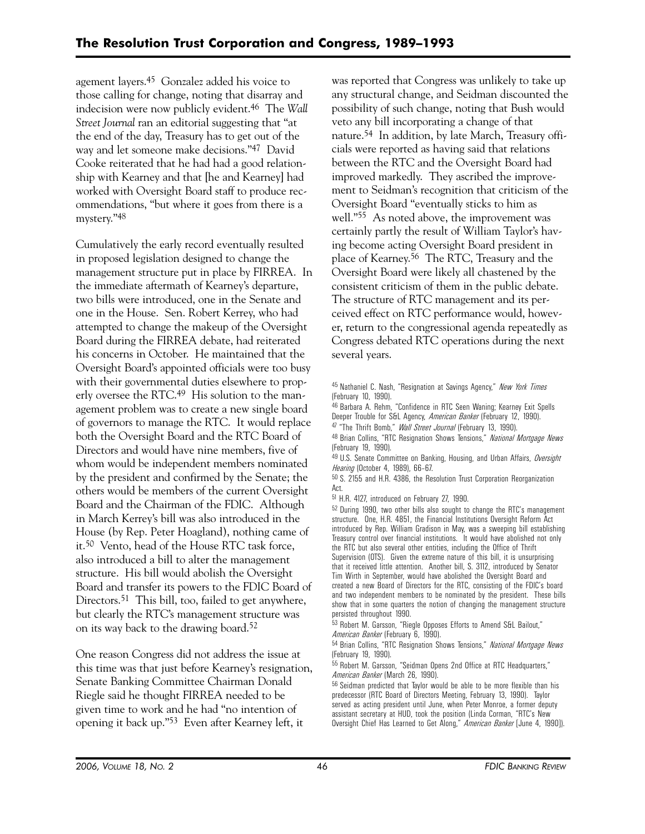agement layers.45 Gonzalez added his voice to those calling for change, noting that disarray and indecision were now publicly evident.46 The *Wall Street Journal* ran an editorial suggesting that "at the end of the day, Treasury has to get out of the way and let someone make decisions."47 David Cooke reiterated that he had had a good relationship with Kearney and that [he and Kearney] had worked with Oversight Board staff to produce recommendations, "but where it goes from there is a mystery."48

Cumulatively the early record eventually resulted in proposed legislation designed to change the management structure put in place by FIRREA. In the immediate aftermath of Kearney's departure, two bills were introduced, one in the Senate and one in the House. Sen. Robert Kerrey, who had attempted to change the makeup of the Oversight Board during the FIRREA debate, had reiterated his concerns in October. He maintained that the Oversight Board's appointed officials were too busy with their governmental duties elsewhere to properly oversee the RTC.49 His solution to the management problem was to create a new single board of governors to manage the RTC. It would replace both the Oversight Board and the RTC Board of Directors and would have nine members, five of whom would be independent members nominated by the president and confirmed by the Senate; the others would be members of the current Oversight Board and the Chairman of the FDIC. Although in March Kerrey's bill was also introduced in the House (by Rep. Peter Hoagland), nothing came of it.50 Vento, head of the House RTC task force, also introduced a bill to alter the management structure. His bill would abolish the Oversight Board and transfer its powers to the FDIC Board of Directors.<sup>51</sup> This bill, too, failed to get anywhere, but clearly the RTC's management structure was on its way back to the drawing board.52

One reason Congress did not address the issue at this time was that just before Kearney's resignation, Senate Banking Committee Chairman Donald Riegle said he thought FIRREA needed to be given time to work and he had "no intention of opening it back up."53 Even after Kearney left, it

was reported that Congress was unlikely to take up any structural change, and Seidman discounted the possibility of such change, noting that Bush would veto any bill incorporating a change of that nature.54 In addition, by late March, Treasury officials were reported as having said that relations between the RTC and the Oversight Board had improved markedly. They ascribed the improvement to Seidman's recognition that criticism of the Oversight Board "eventually sticks to him as well."<sup>55</sup> As noted above, the improvement was certainly partly the result of William Taylor's having become acting Oversight Board president in place of Kearney.56 The RTC, Treasury and the Oversight Board were likely all chastened by the consistent criticism of them in the public debate. The structure of RTC management and its perceived effect on RTC performance would, however, return to the congressional agenda repeatedly as Congress debated RTC operations during the next several years.

45 Nathaniel C. Nash, "Resignation at Savings Agency," *New York Times*  (February 10, 1990).

46 Barbara A. Rehm, "Confidence in RTC Seen Waning; Kearney Exit Spells Deeper Trouble for S&L Agency, *American Banker* (February 12, 1990).

47 "The Thrift Bomb," *Wall Street Journal* (February 13, 1990).

48 Brian Collins, "RTC Resignation Shows Tensions," *National Mortgage News* (February 19, 1990).

49 U.S. Senate Committee on Banking, Housing, and Urban Affairs, *Oversight Hearing* (October 4, 1989), 66–67.

50 S. 2155 and H.R. 4386, the Resolution Trust Corporation Reorganization Act.

51 H.R. 4127, introduced on February 27, 1990.

52 During 1990, two other bills also sought to change the RTC's management structure. One, H.R. 4851, the Financial Institutions Oversight Reform Act introduced by Rep. William Gradison in May, was a sweeping bill establishing Treasury control over financial institutions. It would have abolished not only the RTC but also several other entities, including the Office of Thrift Supervision (OTS). Given the extreme nature of this bill, it is unsurprising that it received little attention. Another bill, S. 3112, introduced by Senator Tim Wirth in September, would have abolished the Oversight Board and created a new Board of Directors for the RTC, consisting of the FDIC's board and two independent members to be nominated by the president. These bills show that in some quarters the notion of changing the management structure persisted throughout 1990.

53 Robert M. Garsson, "Riegle Opposes Efforts to Amend S&L Bailout," *American Banker* (February 6, 1990).

54 Brian Collins, "RTC Resignation Shows Tensions," *National Mortgage News* (February 19, 1990).

55 Robert M. Garsson, "Seidman Opens 2nd Office at RTC Headquarters," *American Banker* (March 26, 1990).

56 Seidman predicted that Taylor would be able to be more flexible than his predecessor (RTC Board of Directors Meeting, February 13, 1990). Taylor served as acting president until June, when Peter Monroe, a former deputy assistant secretary at HUD, took the position (Linda Corman, "RTC's New Oversight Chief Has Learned to Get Along," *American Banker* [June 4, 1990]).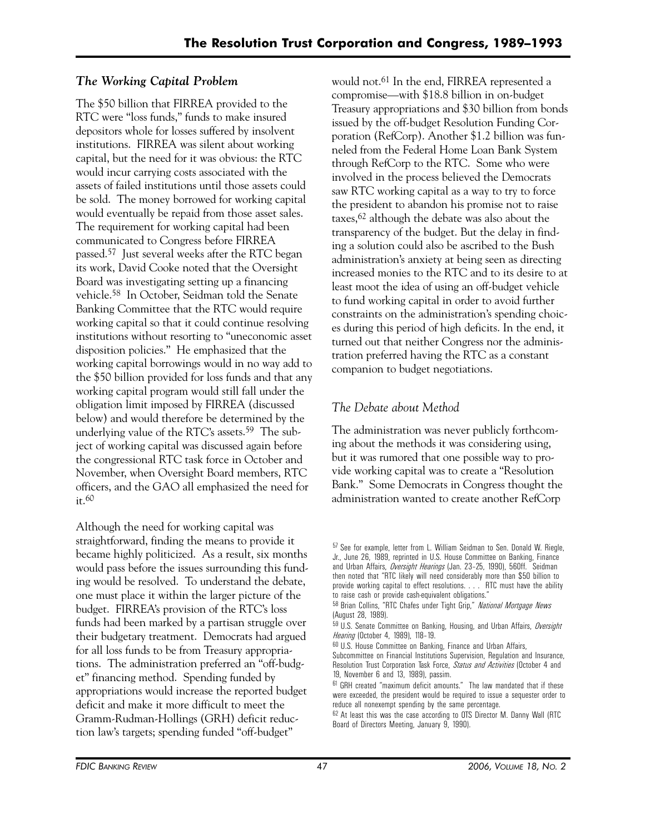# *The Working Capital Problem*

The \$50 billion that FIRREA provided to the RTC were "loss funds," funds to make insured depositors whole for losses suffered by insolvent institutions. FIRREA was silent about working capital, but the need for it was obvious: the RTC would incur carrying costs associated with the assets of failed institutions until those assets could be sold. The money borrowed for working capital would eventually be repaid from those asset sales. The requirement for working capital had been communicated to Congress before FIRREA passed.57 Just several weeks after the RTC began its work, David Cooke noted that the Oversight Board was investigating setting up a financing vehicle.58 In October, Seidman told the Senate Banking Committee that the RTC would require working capital so that it could continue resolving institutions without resorting to "uneconomic asset disposition policies." He emphasized that the working capital borrowings would in no way add to the \$50 billion provided for loss funds and that any working capital program would still fall under the obligation limit imposed by FIRREA (discussed below) and would therefore be determined by the underlying value of the RTC's assets.<sup>59</sup> The subject of working capital was discussed again before the congressional RTC task force in October and November, when Oversight Board members, RTC officers, and the GAO all emphasized the need for  $it.60$ 

Although the need for working capital was straightforward, finding the means to provide it became highly politicized. As a result, six months would pass before the issues surrounding this funding would be resolved. To understand the debate, one must place it within the larger picture of the budget. FIRREA's provision of the RTC's loss funds had been marked by a partisan struggle over their budgetary treatment. Democrats had argued for all loss funds to be from Treasury appropriations. The administration preferred an "off-budget" financing method. Spending funded by appropriations would increase the reported budget deficit and make it more difficult to meet the Gramm-Rudman-Hollings (GRH) deficit reduction law's targets; spending funded "off-budget"

would not.61 In the end, FIRREA represented a compromise—with \$18.8 billion in on-budget Treasury appropriations and \$30 billion from bonds issued by the off-budget Resolution Funding Corporation (RefCorp). Another \$1.2 billion was funneled from the Federal Home Loan Bank System through RefCorp to the RTC. Some who were involved in the process believed the Democrats saw RTC working capital as a way to try to force the president to abandon his promise not to raise taxes,62 although the debate was also about the transparency of the budget. But the delay in finding a solution could also be ascribed to the Bush administration's anxiety at being seen as directing increased monies to the RTC and to its desire to at least moot the idea of using an off-budget vehicle to fund working capital in order to avoid further constraints on the administration's spending choices during this period of high deficits. In the end, it turned out that neither Congress nor the administration preferred having the RTC as a constant companion to budget negotiations.

# *The Debate about Method*

The administration was never publicly forthcoming about the methods it was considering using, but it was rumored that one possible way to provide working capital was to create a "Resolution Bank." Some Democrats in Congress thought the administration wanted to create another RefCorp

<sup>57</sup> See for example, letter from L. William Seidman to Sen. Donald W. Riegle, Jr., June 26, 1989, reprinted in U.S. House Committee on Banking, Finance and Urban Affairs, *Oversight Hearings* (Jan. 23–25, 1990), 560ff. Seidman then noted that "RTC likely will need considerably more than \$50 billion to provide working capital to effect resolutions. . . . RTC must have the ability to raise cash or provide cash-equivalent obligations."

<sup>58</sup> Brian Collins, "RTC Chafes under Tight Grip," *National Mortgage News* (August 28, 1989).

<sup>59</sup> U.S. Senate Committee on Banking, Housing, and Urban Affairs, *Oversight Hearing* (October 4, 1989), 118–19.

<sup>60</sup> U.S. House Committee on Banking, Finance and Urban Affairs,

Subcommittee on Financial Institutions Supervision, Regulation and Insurance, Resolution Trust Corporation Task Force, *Status and Activities* (October 4 and 19, November 6 and 13, 1989), passim.

<sup>61</sup> GRH created "maximum deficit amounts." The law mandated that if these were exceeded, the president would be required to issue a sequester order to reduce all nonexempt spending by the same percentage.

<sup>62</sup> At least this was the case according to OTS Director M. Danny Wall (RTC Board of Directors Meeting, January 9, 1990).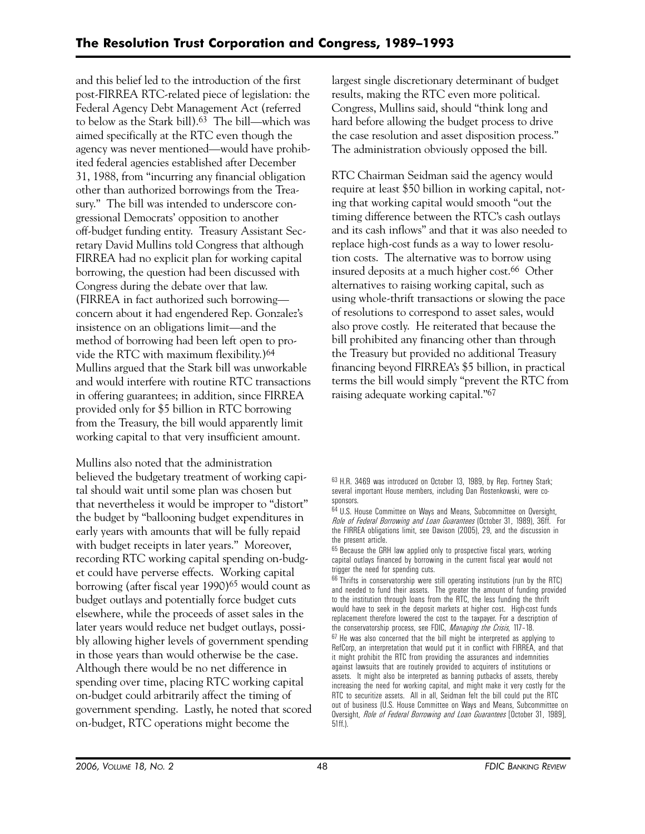and this belief led to the introduction of the first post-FIRREA RTC-related piece of legislation: the Federal Agency Debt Management Act (referred to below as the Stark bill).63 The bill—which was aimed specifically at the RTC even though the agency was never mentioned—would have prohibited federal agencies established after December 31, 1988, from "incurring any financial obligation other than authorized borrowings from the Treasury." The bill was intended to underscore congressional Democrats' opposition to another off-budget funding entity. Treasury Assistant Secretary David Mullins told Congress that although FIRREA had no explicit plan for working capital borrowing, the question had been discussed with Congress during the debate over that law. (FIRREA in fact authorized such borrowing concern about it had engendered Rep. Gonzalez's insistence on an obligations limit—and the method of borrowing had been left open to provide the RTC with maximum flexibility.)64 Mullins argued that the Stark bill was unworkable and would interfere with routine RTC transactions in offering guarantees; in addition, since FIRREA provided only for \$5 billion in RTC borrowing from the Treasury, the bill would apparently limit working capital to that very insufficient amount.

Mullins also noted that the administration believed the budgetary treatment of working capital should wait until some plan was chosen but that nevertheless it would be improper to "distort" the budget by "ballooning budget expenditures in early years with amounts that will be fully repaid with budget receipts in later years." Moreover, recording RTC working capital spending on-budget could have perverse effects. Working capital borrowing (after fiscal year 1990)65 would count as budget outlays and potentially force budget cuts elsewhere, while the proceeds of asset sales in the later years would reduce net budget outlays, possibly allowing higher levels of government spending in those years than would otherwise be the case. Although there would be no net difference in spending over time, placing RTC working capital on-budget could arbitrarily affect the timing of government spending. Lastly, he noted that scored on-budget, RTC operations might become the

largest single discretionary determinant of budget results, making the RTC even more political. Congress, Mullins said, should "think long and hard before allowing the budget process to drive the case resolution and asset disposition process." The administration obviously opposed the bill.

RTC Chairman Seidman said the agency would require at least \$50 billion in working capital, noting that working capital would smooth "out the timing difference between the RTC's cash outlays and its cash inflows" and that it was also needed to replace high-cost funds as a way to lower resolution costs. The alternative was to borrow using insured deposits at a much higher cost.66 Other alternatives to raising working capital, such as using whole-thrift transactions or slowing the pace of resolutions to correspond to asset sales, would also prove costly. He reiterated that because the bill prohibited any financing other than through the Treasury but provided no additional Treasury financing beyond FIRREA's \$5 billion, in practical terms the bill would simply "prevent the RTC from raising adequate working capital."67

66 Thrifts in conservatorship were still operating institutions (run by the RTC) and needed to fund their assets. The greater the amount of funding provided to the institution through loans from the RTC, the less funding the thrift would have to seek in the deposit markets at higher cost. High-cost funds replacement therefore lowered the cost to the taxpayer. For a description of the conservatorship process, see FDIC, *Managing the Crisis*, 117–18. 67 He was also concerned that the bill might be interpreted as applying to RefCorp, an interpretation that would put it in conflict with FIRREA, and that it might prohibit the RTC from providing the assurances and indemnities against lawsuits that are routinely provided to acquirers of institutions or assets. It might also be interpreted as banning putbacks of assets, thereby increasing the need for working capital, and might make it very costly for the RTC to securitize assets. All in all, Seidman felt the bill could put the RTC out of business (U.S. House Committee on Ways and Means, Subcommittee on Oversight, *Role of Federal Borrowing and Loan Guarantees* [October 31, 1989], 51ff.).

<sup>63</sup> H.R. 3469 was introduced on October 13, 1989, by Rep. Fortney Stark; several important House members, including Dan Rostenkowski, were cosponsors.

<sup>64</sup> U.S. House Committee on Ways and Means, Subcommittee on Oversight, *Role of Federal Borrowing and Loan Guarantees* (October 31, 1989), 36ff. For the FIRREA obligations limit, see Davison (2005), 29, and the discussion in the present article.

<sup>&</sup>lt;sup>65</sup> Because the GRH law applied only to prospective fiscal years, working capital outlays financed by borrowing in the current fiscal year would not trigger the need for spending cuts.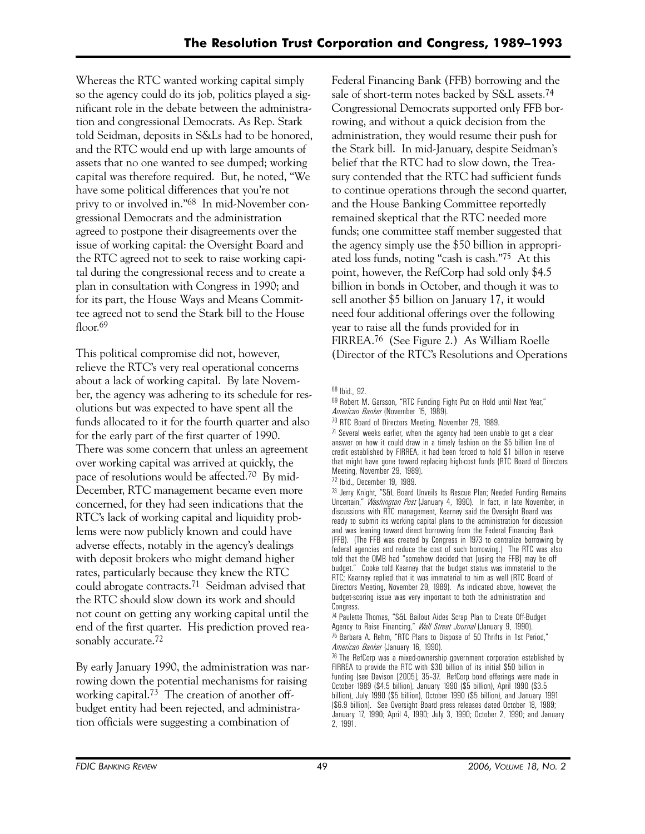Whereas the RTC wanted working capital simply so the agency could do its job, politics played a significant role in the debate between the administration and congressional Democrats. As Rep. Stark told Seidman, deposits in S&Ls had to be honored, and the RTC would end up with large amounts of assets that no one wanted to see dumped; working capital was therefore required. But, he noted, "We have some political differences that you're not privy to or involved in."68 In mid-November congressional Democrats and the administration agreed to postpone their disagreements over the issue of working capital: the Oversight Board and the RTC agreed not to seek to raise working capital during the congressional recess and to create a plan in consultation with Congress in 1990; and for its part, the House Ways and Means Committee agreed not to send the Stark bill to the House floor.<sup>69</sup>

This political compromise did not, however, relieve the RTC's very real operational concerns about a lack of working capital. By late November, the agency was adhering to its schedule for resolutions but was expected to have spent all the funds allocated to it for the fourth quarter and also for the early part of the first quarter of 1990. There was some concern that unless an agreement over working capital was arrived at quickly, the pace of resolutions would be affected.70 By mid-December, RTC management became even more concerned, for they had seen indications that the RTC's lack of working capital and liquidity problems were now publicly known and could have adverse effects, notably in the agency's dealings with deposit brokers who might demand higher rates, particularly because they knew the RTC could abrogate contracts.71 Seidman advised that the RTC should slow down its work and should not count on getting any working capital until the end of the first quarter. His prediction proved reasonably accurate.<sup>72</sup>

By early January 1990, the administration was narrowing down the potential mechanisms for raising working capital.73 The creation of another offbudget entity had been rejected, and administration officials were suggesting a combination of

Federal Financing Bank (FFB) borrowing and the sale of short-term notes backed by S&L assets.74 Congressional Democrats supported only FFB borrowing, and without a quick decision from the administration, they would resume their push for the Stark bill. In mid-January, despite Seidman's belief that the RTC had to slow down, the Treasury contended that the RTC had sufficient funds to continue operations through the second quarter, and the House Banking Committee reportedly remained skeptical that the RTC needed more funds; one committee staff member suggested that the agency simply use the \$50 billion in appropriated loss funds, noting "cash is cash."75 At this point, however, the RefCorp had sold only \$4.5 billion in bonds in October, and though it was to sell another \$5 billion on January 17, it would need four additional offerings over the following year to raise all the funds provided for in FIRREA.76 (See Figure 2.) As William Roelle (Director of the RTC's Resolutions and Operations

70 RTC Board of Directors Meeting, November 29, 1989.

 $71$  Several weeks earlier, when the agency had been unable to get a clear answer on how it could draw in a timely fashion on the \$5 billion line of credit established by FIRREA, it had been forced to hold \$1 billion in reserve that might have gone toward replacing high-cost funds (RTC Board of Directors Meeting, November 29, 1989).

73 Jerry Knight, "S&L Board Unveils Its Rescue Plan; Needed Funding Remains Uncertain," *Washington Post* (January 4, 1990). In fact, in late November, in discussions with RTC management, Kearney said the Oversight Board was ready to submit its working capital plans to the administration for discussion and was leaning toward direct borrowing from the Federal Financing Bank (FFB). (The FFB was created by Congress in 1973 to centralize borrowing by federal agencies and reduce the cost of such borrowing.) The RTC was also told that the OMB had "somehow decided that [using the FFB] may be off budget." Cooke told Kearney that the budget status was immaterial to the RTC; Kearney replied that it was immaterial to him as well (RTC Board of Directors Meeting, November 29, 1989). As indicated above, however, the budget-scoring issue was very important to both the administration and Congress.

74 Paulette Thomas, "S&L Bailout Aides Scrap Plan to Create Off-Budget Agency to Raise Financing," *Wall Street Journal* (January 9, 1990). 75 Barbara A. Rehm, "RTC Plans to Dispose of 50 Thrifts in 1st Period," *American Banker* (January 16, 1990).

 January 17, 1990; April 4, 1990; July 3, 1990; October 2, 1990; and January  $76$  The RefCorp was a mixed-ownership government corporation established by FIRREA to provide the RTC with \$30 billion of its initial \$50 billion in funding (see Davison [2005], 35–37. RefCorp bond offerings were made in October 1989 (\$4.5 billion), January 1990 (\$5 billion), April 1990 (\$3.5 billion), July 1990 (\$5 billion), October 1990 (\$5 billion), and January 1991 (\$6.9 billion). See Oversight Board press releases dated October 18, 1989; 2, 1991.

<sup>68</sup> Ibid., 92.

<sup>69</sup> Robert M. Garsson, "RTC Funding Fight Put on Hold until Next Year," *American Banker* (November 15, 1989).

<sup>72</sup> Ibid., December 19, 1989.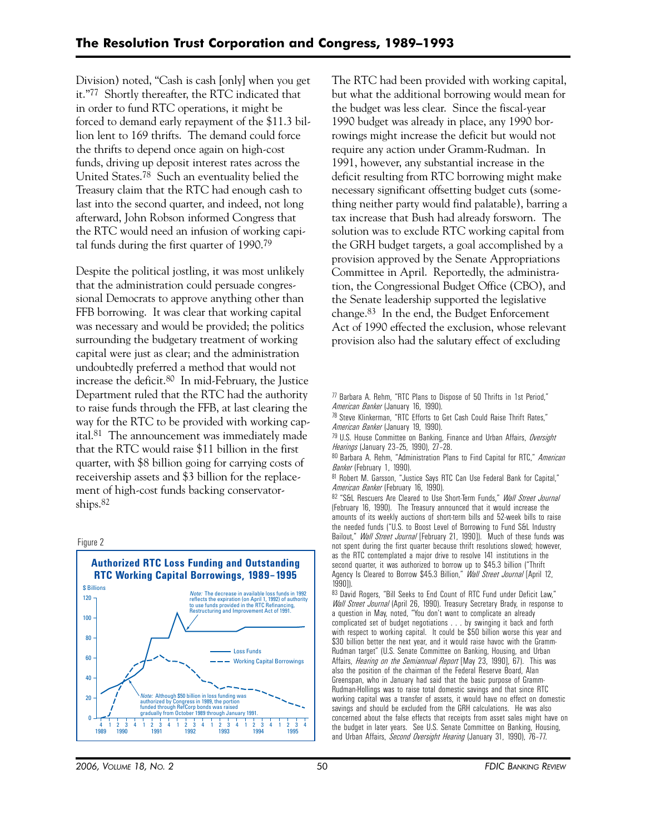Division) noted, "Cash is cash [only] when you get it."77 Shortly thereafter, the RTC indicated that in order to fund RTC operations, it might be forced to demand early repayment of the \$11.3 billion lent to 169 thrifts. The demand could force the thrifts to depend once again on high-cost funds, driving up deposit interest rates across the United States.78 Such an eventuality belied the Treasury claim that the RTC had enough cash to last into the second quarter, and indeed, not long afterward, John Robson informed Congress that the RTC would need an infusion of working capital funds during the first quarter of 1990.79

Despite the political jostling, it was most unlikely that the administration could persuade congressional Democrats to approve anything other than FFB borrowing. It was clear that working capital was necessary and would be provided; the politics surrounding the budgetary treatment of working capital were just as clear; and the administration undoubtedly preferred a method that would not increase the deficit.80 In mid-February, the Justice Department ruled that the RTC had the authority to raise funds through the FFB, at last clearing the way for the RTC to be provided with working capital.81 The announcement was immediately made that the RTC would raise \$11 billion in the first quarter, with \$8 billion going for carrying costs of receivership assets and \$3 billion for the replacement of high-cost funds backing conservatorships.82

#### Figure 2



The RTC had been provided with working capital, but what the additional borrowing would mean for the budget was less clear. Since the fiscal-year 1990 budget was already in place, any 1990 borrowings might increase the deficit but would not require any action under Gramm-Rudman. In 1991, however, any substantial increase in the deficit resulting from RTC borrowing might make necessary significant offsetting budget cuts (something neither party would find palatable), barring a tax increase that Bush had already forsworn. The solution was to exclude RTC working capital from the GRH budget targets, a goal accomplished by a provision approved by the Senate Appropriations Committee in April. Reportedly, the administration, the Congressional Budget Office (CBO), and the Senate leadership supported the legislative change.83 In the end, the Budget Enforcement Act of 1990 effected the exclusion, whose relevant provision also had the salutary effect of excluding

77 Barbara A. Rehm, "RTC Plans to Dispose of 50 Thrifts in 1st Period," *American Banker* (January 16, 1990).

78 Steve Klinkerman, "RTC Efforts to Get Cash Could Raise Thrift Rates," *American Banker* (January 19, 1990).

79 U.S. House Committee on Banking, Finance and Urban Affairs, *Oversight Hearings* (January 23–25, 1990), 27–28.

80 Barbara A. Rehm, "Administration Plans to Find Capital for RTC," *American Banker* (February 1, 1990).

81 Robert M. Garsson, "Justice Says RTC Can Use Federal Bank for Capital," *American Banker* (February 16, 1990).

82 "S&L Rescuers Are Cleared to Use Short-Term Funds," *Wall Street Journal* (February 16, 1990). The Treasury announced that it would increase the amounts of its weekly auctions of short-term bills and 52-week bills to raise the needed funds ("U.S. to Boost Level of Borrowing to Fund S&L Industry Bailout," *Wall Street Journal* [February 21, 1990]). Much of these funds was not spent during the first quarter because thrift resolutions slowed; however, as the RTC contemplated a major drive to resolve 141 institutions in the second quarter, it was authorized to borrow up to \$45.3 billion ("Thrift Agency Is Cleared to Borrow \$45.3 Billion," *Wall Street Journal* [April 12, 1990]).

83 David Rogers, "Bill Seeks to End Count of RTC Fund under Deficit Law," *Wall Street Journal* (April 26, 1990). Treasury Secretary Brady, in response to a question in May, noted, "You don't want to complicate an already complicated set of budget negotiations . . . by swinging it back and forth with respect to working capital. It could be \$50 billion worse this year and \$30 billion better the next year, and it would raise havoc with the Gramm-Rudman target" (U.S. Senate Committee on Banking, Housing, and Urban Affairs, *Hearing on the Semiannual Report* [May 23, 1990], 67). This was also the position of the chairman of the Federal Reserve Board, Alan Greenspan, who in January had said that the basic purpose of Gramm-Rudman-Hollings was to raise total domestic savings and that since RTC working capital was a transfer of assets, it would have no effect on domestic savings and should be excluded from the GRH calculations. He was also concerned about the false effects that receipts from asset sales might have on the budget in later years. See U.S. Senate Committee on Banking, Housing, and Urban Affairs, *Second Oversight Hearing* (January 31, 1990), 76–77.

*2006, VOLUME 18, NO. 2* 50 *FDIC BANKING REVIEW*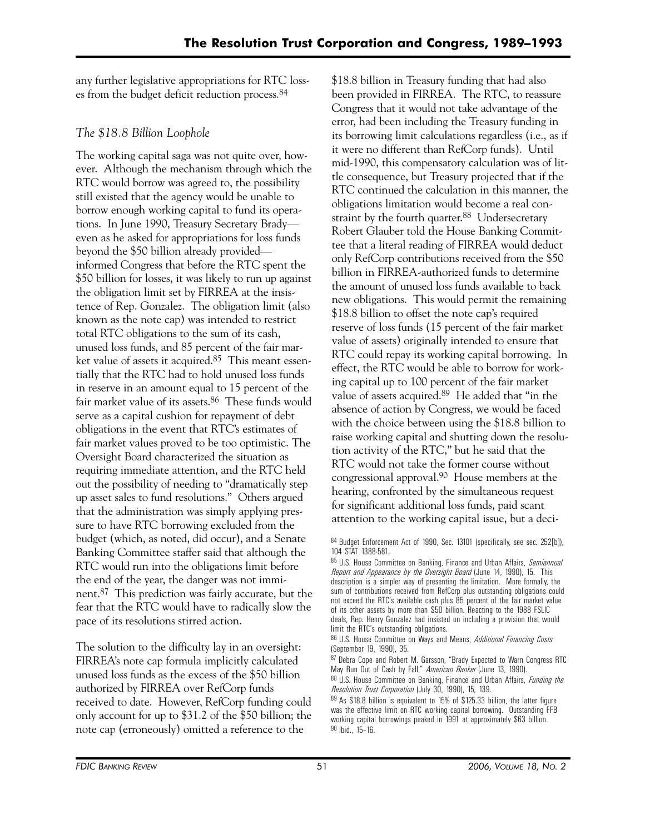any further legislative appropriations for RTC losses from the budget deficit reduction process.84

# *The \$18.8 Billion Loophole*

The working capital saga was not quite over, however. Although the mechanism through which the RTC would borrow was agreed to, the possibility still existed that the agency would be unable to borrow enough working capital to fund its operations. In June 1990, Treasury Secretary Brady even as he asked for appropriations for loss funds beyond the \$50 billion already provided informed Congress that before the RTC spent the \$50 billion for losses, it was likely to run up against the obligation limit set by FIRREA at the insistence of Rep. Gonzalez. The obligation limit (also known as the note cap) was intended to restrict total RTC obligations to the sum of its cash, unused loss funds, and 85 percent of the fair market value of assets it acquired.85 This meant essentially that the RTC had to hold unused loss funds in reserve in an amount equal to 15 percent of the fair market value of its assets.<sup>86</sup> These funds would serve as a capital cushion for repayment of debt obligations in the event that RTC's estimates of fair market values proved to be too optimistic. The Oversight Board characterized the situation as requiring immediate attention, and the RTC held out the possibility of needing to "dramatically step up asset sales to fund resolutions." Others argued that the administration was simply applying pressure to have RTC borrowing excluded from the budget (which, as noted, did occur), and a Senate Banking Committee staffer said that although the RTC would run into the obligations limit before the end of the year, the danger was not imminent.87 This prediction was fairly accurate, but the fear that the RTC would have to radically slow the pace of its resolutions stirred action.

The solution to the difficulty lay in an oversight: FIRREA's note cap formula implicitly calculated unused loss funds as the excess of the \$50 billion authorized by FIRREA over RefCorp funds received to date. However, RefCorp funding could only account for up to \$31.2 of the \$50 billion; the note cap (erroneously) omitted a reference to the

\$18.8 billion in Treasury funding that had also been provided in FIRREA. The RTC, to reassure Congress that it would not take advantage of the error, had been including the Treasury funding in its borrowing limit calculations regardless (i.e., as if it were no different than RefCorp funds). Until mid-1990, this compensatory calculation was of little consequence, but Treasury projected that if the RTC continued the calculation in this manner, the obligations limitation would become a real constraint by the fourth quarter.<sup>88</sup> Undersecretary Robert Glauber told the House Banking Committee that a literal reading of FIRREA would deduct only RefCorp contributions received from the \$50 billion in FIRREA-authorized funds to determine the amount of unused loss funds available to back new obligations. This would permit the remaining \$18.8 billion to offset the note cap's required reserve of loss funds (15 percent of the fair market value of assets) originally intended to ensure that RTC could repay its working capital borrowing. In effect, the RTC would be able to borrow for working capital up to 100 percent of the fair market value of assets acquired.89 He added that "in the absence of action by Congress, we would be faced with the choice between using the \$18.8 billion to raise working capital and shutting down the resolution activity of the RTC," but he said that the RTC would not take the former course without congressional approval.90 House members at the hearing, confronted by the simultaneous request for significant additional loss funds, paid scant attention to the working capital issue, but a deci-

<sup>84</sup> Budget Enforcement Act of 1990, Sec. 13101 (specifically, see sec. 252[b]), 104 STAT 1388-581.

<sup>85</sup> U.S. House Committee on Banking, Finance and Urban Affairs, *Semiannual Report and Appearance by the Oversight Board* (June 14, 1990), 15. This description is a simpler way of presenting the limitation. More formally, the sum of contributions received from RefCorp plus outstanding obligations could not exceed the RTC's available cash plus 85 percent of the fair market value of its other assets by more than \$50 billion. Reacting to the 1988 FSLIC deals, Rep. Henry Gonzalez had insisted on including a provision that would limit the RTC's outstanding obligations.

<sup>86</sup> U.S. House Committee on Ways and Means, *Additional Financing Costs*  (September 19, 1990), 35.

<sup>87</sup> Debra Cope and Robert M. Garsson, "Brady Expected to Warn Congress RTC May Run Out of Cash by Fall," *American Banker* (June 13, 1990).

<sup>88</sup> U.S. House Committee on Banking, Finance and Urban Affairs, *Funding the Resolution Trust Corporation* (July 30, 1990), 15, 139.

<sup>89</sup> As \$18.8 billion is equivalent to 15% of \$125.33 billion, the latter figure was the effective limit on RTC working capital borrowing. Outstanding FFB working capital borrowings peaked in 1991 at approximately \$63 billion. 90 Ibid., 15–16.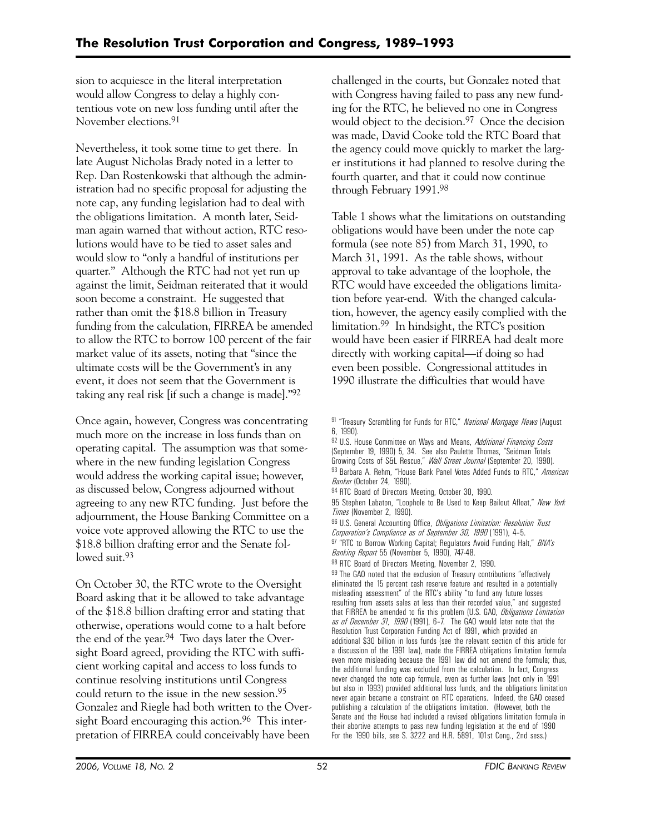sion to acquiesce in the literal interpretation would allow Congress to delay a highly contentious vote on new loss funding until after the November elections.91

Nevertheless, it took some time to get there. In late August Nicholas Brady noted in a letter to Rep. Dan Rostenkowski that although the administration had no specific proposal for adjusting the note cap, any funding legislation had to deal with the obligations limitation. A month later, Seidman again warned that without action, RTC resolutions would have to be tied to asset sales and would slow to "only a handful of institutions per quarter." Although the RTC had not yet run up against the limit, Seidman reiterated that it would soon become a constraint. He suggested that rather than omit the \$18.8 billion in Treasury funding from the calculation, FIRREA be amended to allow the RTC to borrow 100 percent of the fair market value of its assets, noting that "since the ultimate costs will be the Government's in any event, it does not seem that the Government is taking any real risk [if such a change is made]."92

Once again, however, Congress was concentrating much more on the increase in loss funds than on operating capital. The assumption was that somewhere in the new funding legislation Congress would address the working capital issue; however, as discussed below, Congress adjourned without agreeing to any new RTC funding. Just before the adjournment, the House Banking Committee on a voice vote approved allowing the RTC to use the \$18.8 billion drafting error and the Senate followed suit.<sup>93</sup>

On October 30, the RTC wrote to the Oversight Board asking that it be allowed to take advantage of the \$18.8 billion drafting error and stating that otherwise, operations would come to a halt before the end of the year.94 Two days later the Oversight Board agreed, providing the RTC with sufficient working capital and access to loss funds to continue resolving institutions until Congress could return to the issue in the new session.95 Gonzalez and Riegle had both written to the Oversight Board encouraging this action.<sup>96</sup> This interpretation of FIRREA could conceivably have been

challenged in the courts, but Gonzalez noted that with Congress having failed to pass any new funding for the RTC, he believed no one in Congress would object to the decision.<sup>97</sup> Once the decision was made, David Cooke told the RTC Board that the agency could move quickly to market the larger institutions it had planned to resolve during the fourth quarter, and that it could now continue through February 1991.98

Table 1 shows what the limitations on outstanding obligations would have been under the note cap formula (see note 85) from March 31, 1990, to March 31, 1991. As the table shows, without approval to take advantage of the loophole, the RTC would have exceeded the obligations limitation before year-end. With the changed calculation, however, the agency easily complied with the limitation.99 In hindsight, the RTC's position would have been easier if FIRREA had dealt more directly with working capital—if doing so had even been possible. Congressional attitudes in 1990 illustrate the difficulties that would have

95 Stephen Labaton, "Loophole to Be Used to Keep Bailout Afloat," *New York Times* (November 2, 1990).

96 U.S. General Accounting Office, *Obligations Limitation: Resolution Trust Corporation's Compliance as of September 30, 1990* (1991), 4–5.

97 "RTC to Borrow Working Capital; Regulators Avoid Funding Halt," *BNA's Banking Report* 55 (November 5, 1990), 747-48.

98 RTC Board of Directors Meeting, November 2, 1990.

99 The GAO noted that the exclusion of Treasury contributions "effectively eliminated the 15 percent cash reserve feature and resulted in a potentially misleading assessment" of the RTC's ability "to fund any future losses resulting from assets sales at less than their recorded value," and suggested that FIRREA be amended to fix this problem (U.S. GAO, *Obligations Limitation as of December 31, 1990* (1991), 6–7. The GAO would later note that the Resolution Trust Corporation Funding Act of 1991, which provided an additional \$30 billion in loss funds (see the relevant section of this article for a discussion of the 1991 law), made the FIRREA obligations limitation formula even more misleading because the 1991 law did not amend the formula; thus, the additional funding was excluded from the calculation. In fact, Congress never changed the note cap formula, even as further laws (not only in 1991 but also in 1993) provided additional loss funds, and the obligations limitation never again became a constraint on RTC operations. Indeed, the GAO ceased publishing a calculation of the obligations limitation. (However, both the Senate and the House had included a revised obligations limitation formula in their abortive attempts to pass new funding legislation at the end of 1990 For the 1990 bills, see S. 3222 and H.R. 5891, 101st Cong., 2nd sess.)

<sup>91 &</sup>quot;Treasury Scrambling for Funds for RTC," *National Mortgage News* (August 6, 1990).

<sup>92</sup> U.S. House Committee on Ways and Means, *Additional Financing Costs* (September 19, 1990) 5, 34. See also Paulette Thomas, "Seidman Totals Growing Costs of S&L Rescue," *Wall Street Journal* (September 20, 1990). 93 Barbara A. Rehm, "House Bank Panel Votes Added Funds to RTC," *American Banker* (October 24, 1990).

<sup>94</sup> RTC Board of Directors Meeting, October 30, 1990.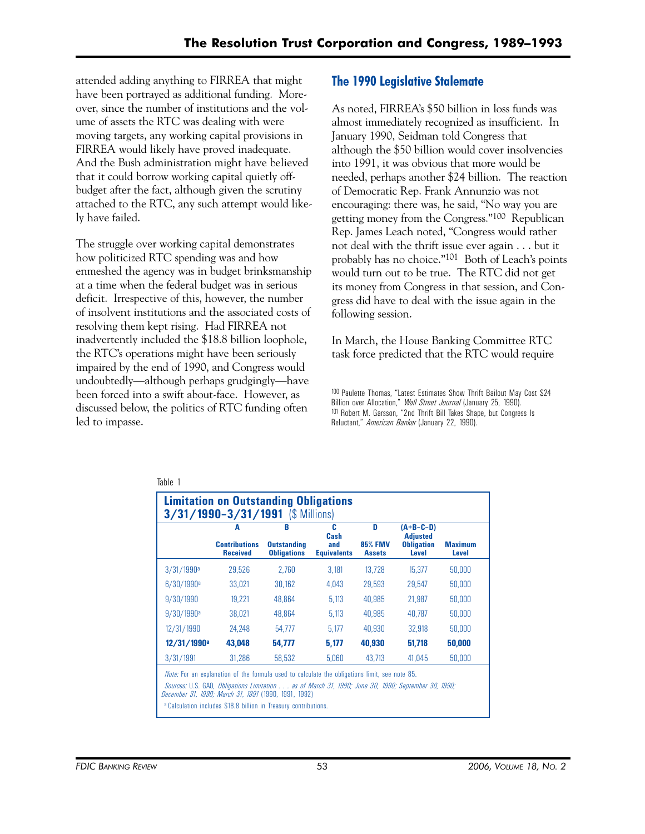attended adding anything to FIRREA that might have been portrayed as additional funding. Moreover, since the number of institutions and the volume of assets the RTC was dealing with were moving targets, any working capital provisions in FIRREA would likely have proved inadequate. And the Bush administration might have believed that it could borrow working capital quietly offbudget after the fact, although given the scrutiny attached to the RTC, any such attempt would likely have failed.

The struggle over working capital demonstrates how politicized RTC spending was and how enmeshed the agency was in budget brinksmanship at a time when the federal budget was in serious deficit. Irrespective of this, however, the number of insolvent institutions and the associated costs of resolving them kept rising. Had FIRREA not inadvertently included the \$18.8 billion loophole, the RTC's operations might have been seriously impaired by the end of 1990, and Congress would undoubtedly—although perhaps grudgingly—have been forced into a swift about-face. However, as discussed below, the politics of RTC funding often led to impasse.

# **The 1990 Legislative Stalemate**

As noted, FIRREA's \$50 billion in loss funds was almost immediately recognized as insufficient. In January 1990, Seidman told Congress that although the \$50 billion would cover insolvencies into 1991, it was obvious that more would be needed, perhaps another \$24 billion. The reaction of Democratic Rep. Frank Annunzio was not encouraging: there was, he said, "No way you are getting money from the Congress."100 Republican Rep. James Leach noted, "Congress would rather not deal with the thrift issue ever again . . . but it probably has no choice."101 Both of Leach's points would turn out to be true. The RTC did not get its money from Congress in that session, and Congress did have to deal with the issue again in the following session.

In March, the House Banking Committee RTC task force predicted that the RTC would require

100 Paulette Thomas, "Latest Estimates Show Thrift Bailout May Cost \$24 Billion over Allocation," *Wall Street Journal* (January 25, 1990). 101 Robert M. Garsson, "2nd Thrift Bill Takes Shape, but Congress Is Reluctant," *American Banker* (January 22, 1990).

|                          | A<br><b>Contributions</b><br><b>Received</b> | B<br><b>Outstanding</b><br><b>Obligations</b> | c<br>Cash<br>and<br><b>Equivalents</b> | D<br><b>85% FMV</b><br><b>Assets</b> | $(A+B-C-D)$<br><b>Adjusted</b><br><b>Obligation</b><br>Level | <b>Maximum</b><br>Level |
|--------------------------|----------------------------------------------|-----------------------------------------------|----------------------------------------|--------------------------------------|--------------------------------------------------------------|-------------------------|
|                          |                                              |                                               |                                        |                                      |                                                              |                         |
| 3/31/1990 <sup>a</sup>   | 29,526                                       | 2.760                                         | 3.181                                  | 13.728                               | 15,377                                                       | 50,000                  |
| 6/30/1990 <sup>a</sup>   | 33,021                                       | 30.162                                        | 4.043                                  | 29.593                               | 29.547                                                       | 50,000                  |
| 9/30/1990                | 19.221                                       | 48.864                                        | 5.113                                  | 40.985                               | 21,987                                                       | 50,000                  |
| $9/30/1990$ <sup>a</sup> | 38.021                                       | 48.864                                        | 5.113                                  | 40.985                               | 40.787                                                       | 50.000                  |
| 12/31/1990               | 24.248                                       | 54.777                                        | 5.177                                  | 40.930                               | 32,918                                                       | 50,000                  |
| 12/31/1990 <sup>a</sup>  | 43,048                                       | 54,777                                        | 5,177                                  | 40,930                               | 51,718                                                       | 50,000                  |
| 3/31/1991                | 31,286                                       | 58,532                                        | 5,060                                  | 43.713                               | 41,045                                                       | 50,000                  |

**Calculation includes \$18.8 billion in Treasury contributions.**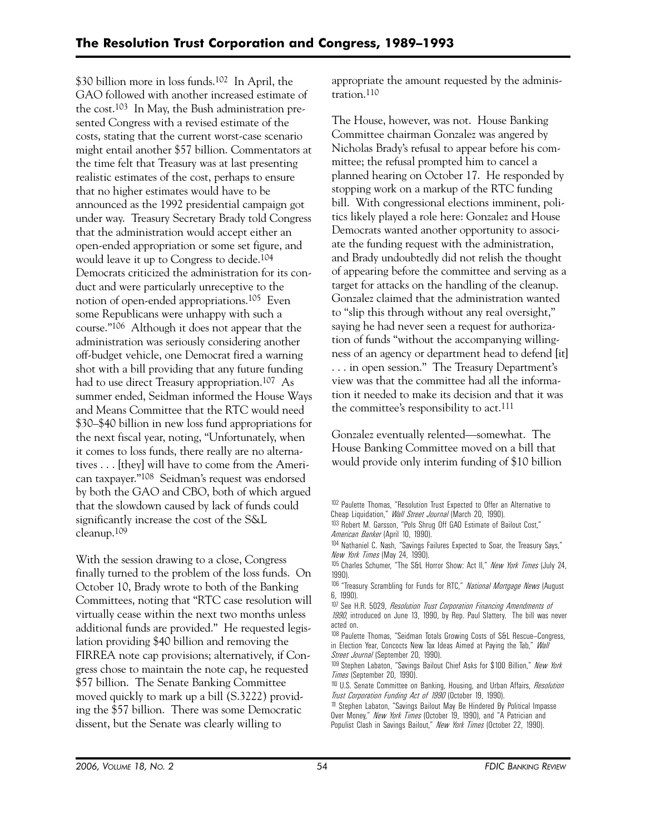\$30 billion more in loss funds.102 In April, the GAO followed with another increased estimate of the cost.103 In May, the Bush administration presented Congress with a revised estimate of the costs, stating that the current worst-case scenario might entail another \$57 billion. Commentators at the time felt that Treasury was at last presenting realistic estimates of the cost, perhaps to ensure that no higher estimates would have to be announced as the 1992 presidential campaign got under way. Treasury Secretary Brady told Congress that the administration would accept either an open-ended appropriation or some set figure, and would leave it up to Congress to decide.104 Democrats criticized the administration for its conduct and were particularly unreceptive to the notion of open-ended appropriations.105 Even some Republicans were unhappy with such a course."106 Although it does not appear that the administration was seriously considering another off-budget vehicle, one Democrat fired a warning shot with a bill providing that any future funding had to use direct Treasury appropriation.<sup>107</sup> As summer ended, Seidman informed the House Ways and Means Committee that the RTC would need \$30–\$40 billion in new loss fund appropriations for the next fiscal year, noting, "Unfortunately, when it comes to loss funds, there really are no alternatives . . . [they] will have to come from the American taxpayer."108 Seidman's request was endorsed by both the GAO and CBO, both of which argued that the slowdown caused by lack of funds could significantly increase the cost of the S&L cleanup.109

With the session drawing to a close, Congress finally turned to the problem of the loss funds. On October 10, Brady wrote to both of the Banking Committees, noting that "RTC case resolution will virtually cease within the next two months unless additional funds are provided." He requested legislation providing \$40 billion and removing the FIRREA note cap provisions; alternatively, if Congress chose to maintain the note cap, he requested \$57 billion. The Senate Banking Committee moved quickly to mark up a bill (S.3222) providing the \$57 billion. There was some Democratic dissent, but the Senate was clearly willing to

appropriate the amount requested by the administration.110

The House, however, was not. House Banking Committee chairman Gonzalez was angered by Nicholas Brady's refusal to appear before his committee; the refusal prompted him to cancel a planned hearing on October 17. He responded by stopping work on a markup of the RTC funding bill. With congressional elections imminent, politics likely played a role here: Gonzalez and House Democrats wanted another opportunity to associate the funding request with the administration, and Brady undoubtedly did not relish the thought of appearing before the committee and serving as a target for attacks on the handling of the cleanup. Gonzalez claimed that the administration wanted to "slip this through without any real oversight," saying he had never seen a request for authorization of funds "without the accompanying willingness of an agency or department head to defend [it] . . . in open session." The Treasury Department's view was that the committee had all the information it needed to make its decision and that it was the committee's responsibility to act.111

Gonzalez eventually relented—somewhat. The House Banking Committee moved on a bill that would provide only interim funding of \$10 billion

105 Charles Schumer, "The S&L Horror Show: Act II," *New York Times* (July 24, 1990).

106 "Treasury Scrambling for Funds for RTC," *National Mortgage News* (August 6, 1990).

<sup>102</sup> Paulette Thomas, "Resolution Trust Expected to Offer an Alternative to Cheap Liquidation," *Wall Street Journal* (March 20, 1990).

<sup>103</sup> Robert M. Garsson, "Pols Shrug Off GAO Estimate of Bailout Cost," *American Banker* (April 10, 1990).

<sup>104</sup> Nathaniel C. Nash, "Savings Failures Expected to Soar, the Treasury Says," *New York Times* (May 24, 1990).

<sup>107</sup> See H.R. 5029, *Resolution Trust Corporation Financing Amendments of* 

*<sup>1990</sup>*, introduced on June 13, 1990, by Rep. Paul Slattery. The bill was never acted on.

<sup>108</sup> Paulette Thomas, "Seidman Totals Growing Costs of S&L Rescue-Congress, in Election Year, Concocts New Tax Ideas Aimed at Paying the Tab," *Wall Street Journal* (September 20, 1990).

<sup>109</sup> Stephen Labaton, "Savings Bailout Chief Asks for \$100 Billion," *New York Times* (September 20, 1990).

<sup>110</sup> U.S. Senate Committee on Banking, Housing, and Urban Affairs, *Resolution Trust Corporation Funding Act of 1990* (October 19, 1990).

<sup>111</sup> Stephen Labaton, "Savings Bailout May Be Hindered By Political Impasse Over Money," *New York Times* (October 19, 1990), and "A Patrician and Populist Clash in Savings Bailout," *New York Times* (October 22, 1990).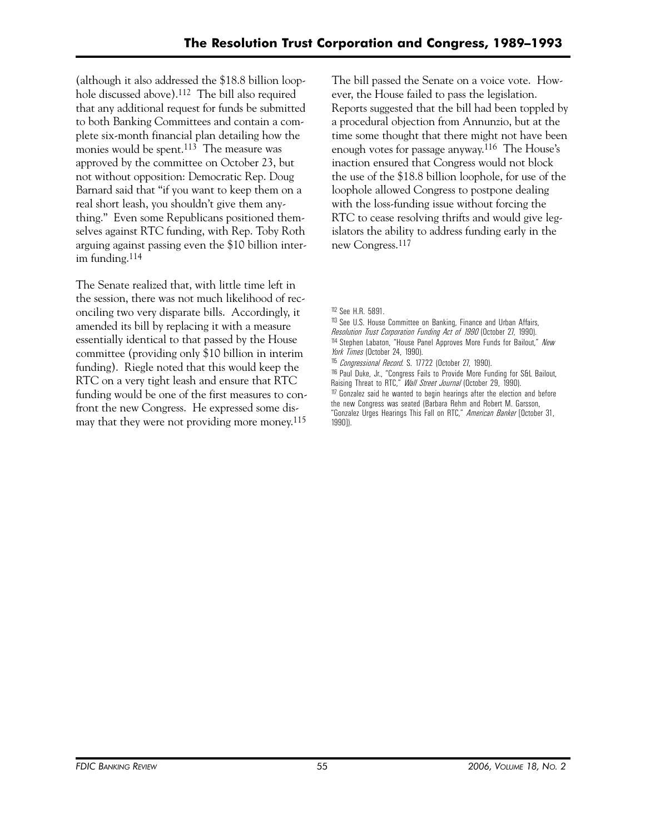(although it also addressed the \$18.8 billion loophole discussed above).112 The bill also required that any additional request for funds be submitted to both Banking Committees and contain a complete six-month financial plan detailing how the monies would be spent.<sup>113</sup> The measure was approved by the committee on October 23, but not without opposition: Democratic Rep. Doug Barnard said that "if you want to keep them on a real short leash, you shouldn't give them anything." Even some Republicans positioned themselves against RTC funding, with Rep. Toby Roth arguing against passing even the \$10 billion interim funding.114

The Senate realized that, with little time left in the session, there was not much likelihood of reconciling two very disparate bills. Accordingly, it amended its bill by replacing it with a measure essentially identical to that passed by the House committee (providing only \$10 billion in interim funding). Riegle noted that this would keep the RTC on a very tight leash and ensure that RTC funding would be one of the first measures to confront the new Congress. He expressed some dismay that they were not providing more money.115

The bill passed the Senate on a voice vote. However, the House failed to pass the legislation. Reports suggested that the bill had been toppled by a procedural objection from Annunzio, but at the time some thought that there might not have been enough votes for passage anyway.116 The House's inaction ensured that Congress would not block the use of the \$18.8 billion loophole, for use of the loophole allowed Congress to postpone dealing with the loss-funding issue without forcing the RTC to cease resolving thrifts and would give legislators the ability to address funding early in the new Congress.117

112 See H.R. 5891.

- 113 See U.S. House Committee on Banking, Finance and Urban Affairs,
- *Resolution Trust Corporation Funding Act of 1990* (October 27, 1990).
- 114 Stephen Labaton, "House Panel Approves More Funds for Bailout," *New York Times* (October 24, 1990).
- 115 *Congressional Record*. S. 17722 (October 27, 1990).
- 116 Paul Duke, Jr., "Congress Fails to Provide More Funding for S&L Bailout, Raising Threat to RTC," *Wall Street Journal* (October 29, 1990).
- 117 Gonzalez said he wanted to begin hearings after the election and before the new Congress was seated (Barbara Rehm and Robert M. Garsson, "Gonzalez Urges Hearings This Fall on RTC," *American Banker* [October 31, 1990]).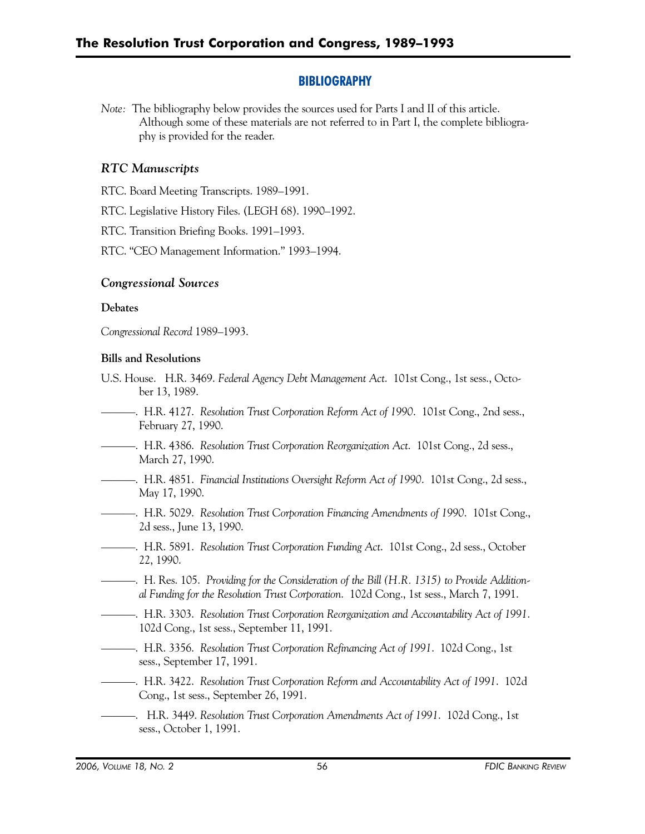# **BIBLIOGRAPHY**

*Note:* The bibliography below provides the sources used for Parts I and II of this article. Although some of these materials are not referred to in Part I, the complete bibliography is provided for the reader.

# *RTC Manuscripts*

RTC. Board Meeting Transcripts. 1989–1991.

RTC. Legislative History Files. (LEGH 68). 1990–1992.

RTC. Transition Briefing Books. 1991–1993.

RTC. "CEO Management Information." 1993–1994.

# *Congressional Sources*

## **Debates**

*Congressional Record* 1989–1993.

## **Bills and Resolutions**

- U.S. House. H.R. 3469. *Federal Agency Debt Management Act*. 101st Cong., 1st sess., October 13, 1989.
- ———. H.R. 4127. *Resolution Trust Corporation Reform Act of 1990*. 101st Cong., 2nd sess., February 27, 1990.
- ———. H.R. 4386. *Resolution Trust Corporation Reorganization Act*. 101st Cong., 2d sess., March 27, 1990.
- ———. H.R. 4851. *Financial Institutions Oversight Reform Act of 1990*. 101st Cong., 2d sess., May 17, 1990.
- ———. H.R. 5029. *Resolution Trust Corporation Financing Amendments of 1990*. 101st Cong., 2d sess., June 13, 1990.
- ———. H.R. 5891. *Resolution Trust Corporation Funding Act*. 101st Cong., 2d sess., October 22, 1990.
- ———. H. Res. 105. *Providing for the Consideration of the Bill (H.R. 1315) to Provide Additional Funding for the Resolution Trust Corporation*. 102d Cong., 1st sess., March 7, 1991.
- ———. H.R. 3303. *Resolution Trust Corporation Reorganization and Accountability Act of 1991*. 102d Cong., 1st sess., September 11, 1991.
- ———. H.R. 3356. *Resolution Trust Corporation Refinancing Act of 1991*. 102d Cong., 1st sess., September 17, 1991.
- ———. H.R. 3422. *Resolution Trust Corporation Reform and Accountability Act of 1991*. 102d Cong., 1st sess., September 26, 1991.
- ———. H.R. 3449. *Resolution Trust Corporation Amendments Act of 1991*. 102d Cong., 1st sess., October 1, 1991.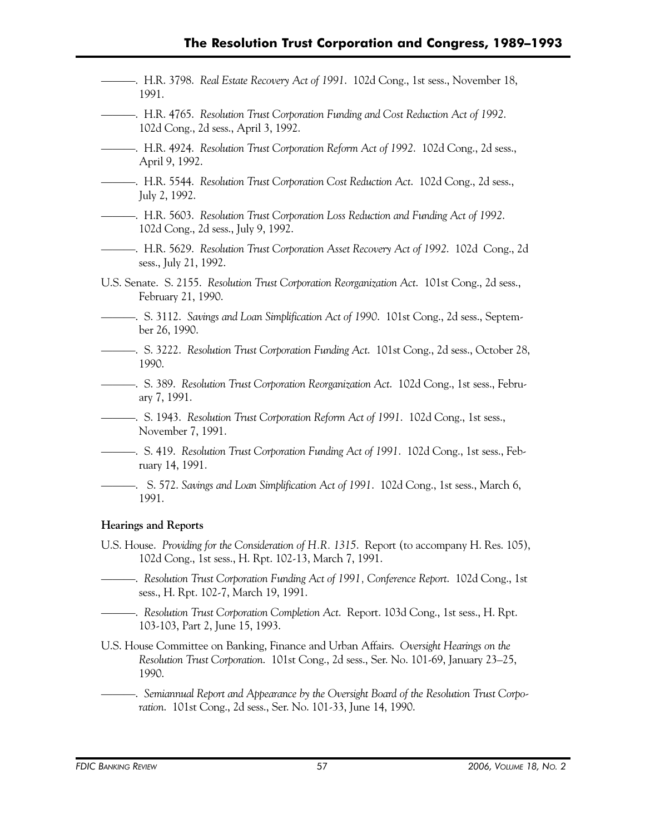- ———. H.R. 3798. *Real Estate Recovery Act of 1991*. 102d Cong., 1st sess., November 18, 1991.
- ———. H.R. 4765. *Resolution Trust Corporation Funding and Cost Reduction Act of 1992*. 102d Cong., 2d sess., April 3, 1992.
- ———. H.R. 4924. *Resolution Trust Corporation Reform Act of 1992*. 102d Cong., 2d sess., April 9, 1992.
- ———. H.R. 5544. *Resolution Trust Corporation Cost Reduction Act*. 102d Cong., 2d sess., July 2, 1992.
- ———. H.R. 5603. *Resolution Trust Corporation Loss Reduction and Funding Act of 1992*. 102d Cong., 2d sess., July 9, 1992.
- ———. H.R. 5629. *Resolution Trust Corporation Asset Recovery Act of 1992*. 102d Cong., 2d sess., July 21, 1992.
- U.S. Senate. S. 2155. *Resolution Trust Corporation Reorganization Act*. 101st Cong., 2d sess., February 21, 1990.
- ———. S. 3112. *Savings and Loan Simplification Act of 1990*. 101st Cong., 2d sess., September 26, 1990.
- ———. S. 3222. *Resolution Trust Corporation Funding Act*. 101st Cong., 2d sess., October 28, 1990.
- ———. S. 389. *Resolution Trust Corporation Reorganization Act*. 102d Cong., 1st sess., February 7, 1991.
- ———. S. 1943. *Resolution Trust Corporation Reform Act of 1991*. 102d Cong., 1st sess., November 7, 1991.
- ———. S. 419. *Resolution Trust Corporation Funding Act of 1991*. 102d Cong., 1st sess., February 14, 1991.
	- ———. S. 572. *Savings and Loan Simplification Act of 1991*. 102d Cong., 1st sess., March 6, 1991.

#### **Hearings and Reports**

- U.S. House. *Providing for the Consideration of H.R. 1315*. Report (to accompany H. Res. 105), 102d Cong., 1st sess., H. Rpt. 102-13, March 7, 1991.
- ———. *Resolution Trust Corporation Funding Act of 1991, Conference Report*. 102d Cong., 1st sess., H. Rpt. 102-7, March 19, 1991.
- ———. *Resolution Trust Corporation Completion Act*. Report. 103d Cong., 1st sess., H. Rpt. 103-103, Part 2, June 15, 1993.
- U.S. House Committee on Banking, Finance and Urban Affairs. *Oversight Hearings on the Resolution Trust Corporation*. 101st Cong., 2d sess., Ser. No. 101-69, January 23–25, 1990.
- ———. *Semiannual Report and Appearance by the Oversight Board of the Resolution Trust Corporation*. 101st Cong., 2d sess., Ser. No. 101-33, June 14, 1990.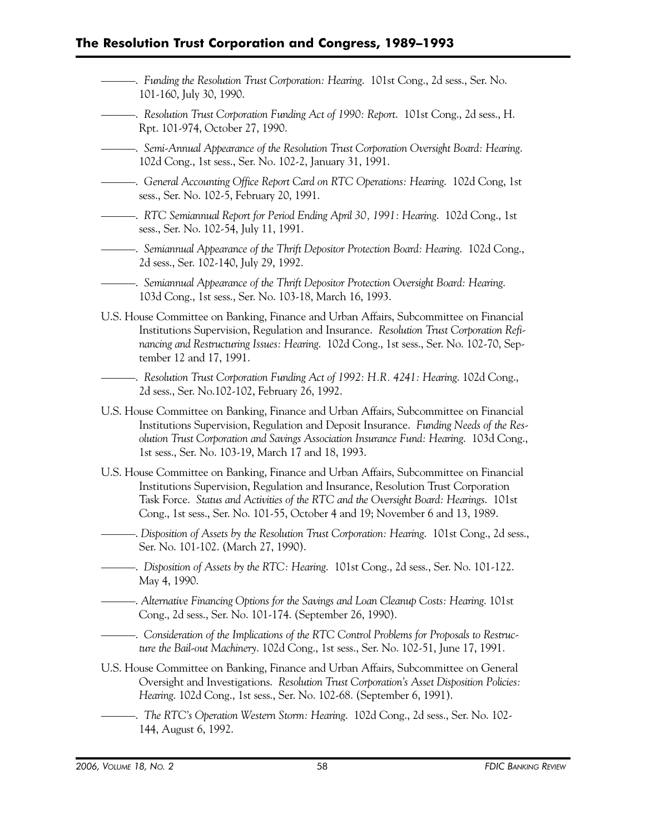- ———. *Funding the Resolution Trust Corporation: Hearing*. 101st Cong., 2d sess., Ser. No. 101-160, July 30, 1990.
- ———. *Resolution Trust Corporation Funding Act of 1990: Report*. 101st Cong., 2d sess., H. Rpt. 101-974, October 27, 1990.
- ———. *Semi-Annual Appearance of the Resolution Trust Corporation Oversight Board: Hearing*. 102d Cong., 1st sess., Ser. No. 102-2, January 31, 1991.
- ———. *General Accounting Office Report Card on RTC Operations: Hearing*. 102d Cong, 1st sess., Ser. No. 102-5, February 20, 1991.
- ———. *RTC Semiannual Report for Period Ending April 30, 1991: Hearing*. 102d Cong., 1st sess., Ser. No. 102-54, July 11, 1991.
- ———. *Semiannual Appearance of the Thrift Depositor Protection Board: Hearing*. 102d Cong., 2d sess., Ser. 102-140, July 29, 1992.
- ———. *Semiannual Appearance of the Thrift Depositor Protection Oversight Board: Hearing*. 103d Cong., 1st sess., Ser. No. 103-18, March 16, 1993.
- U.S. House Committee on Banking, Finance and Urban Affairs, Subcommittee on Financial Institutions Supervision, Regulation and Insurance. *Resolution Trust Corporation Refinancing and Restructuring Issues: Hearing*. 102d Cong., 1st sess., Ser. No. 102-70, September 12 and 17, 1991.
- ———. *Resolution Trust Corporation Funding Act of 1992: H.R. 4241: Hearing*. 102d Cong., 2d sess., Ser. No.102-102, February 26, 1992.
- U.S. House Committee on Banking, Finance and Urban Affairs, Subcommittee on Financial Institutions Supervision, Regulation and Deposit Insurance. *Funding Needs of the Resolution Trust Corporation and Savings Association Insurance Fund: Hearing*. 103d Cong., 1st sess., Ser. No. 103-19, March 17 and 18, 1993.
- U.S. House Committee on Banking, Finance and Urban Affairs, Subcommittee on Financial Institutions Supervision, Regulation and Insurance, Resolution Trust Corporation Task Force. *Status and Activities of the RTC and the Oversight Board: Hearings*. 101st Cong., 1st sess., Ser. No. 101-55, October 4 and 19; November 6 and 13, 1989.
- ———. *Disposition of Assets by the Resolution Trust Corporation: Hearing*. 101st Cong., 2d sess., Ser. No. 101-102. (March 27, 1990).
- ———. *Disposition of Assets by the RTC: Hearing*. 101st Cong., 2d sess., Ser. No. 101-122. May 4, 1990.
- ———. *Alternative Financing Options for the Savings and Loan Cleanup Costs: Hearing*. 101st Cong., 2d sess., Ser. No. 101-174. (September 26, 1990).
- -. Consideration of the Implications of the RTC Control Problems for Proposals to Restruc*ture the Bail-out Machinery*. 102d Cong., 1st sess., Ser. No. 102-51, June 17, 1991.
- U.S. House Committee on Banking, Finance and Urban Affairs, Subcommittee on General Oversight and Investigations. *Resolution Trust Corporation's Asset Disposition Policies: Hearing*. 102d Cong., 1st sess., Ser. No. 102-68. (September 6, 1991).
- ———. *The RTC's Operation Western Storm: Hearing*. 102d Cong., 2d sess., Ser. No. 102 144, August 6, 1992.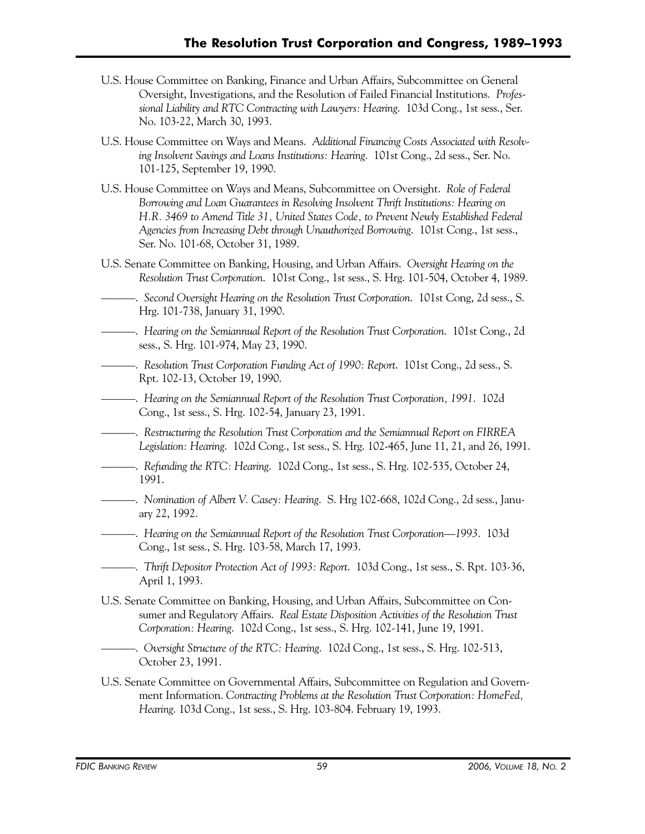- U.S. House Committee on Banking, Finance and Urban Affairs, Subcommittee on General Oversight, Investigations, and the Resolution of Failed Financial Institutions. *Professional Liability and RTC Contracting with Lawyers: Hearing*. 103d Cong., 1st sess., Ser. No. 103-22, March 30, 1993.
- U.S. House Committee on Ways and Means. *Additional Financing Costs Associated with Resolving Insolvent Savings and Loans Institutions: Hearing*. 101st Cong., 2d sess., Ser. No. 101-125, September 19, 1990.
- U.S. House Committee on Ways and Means, Subcommittee on Oversight. *Role of Federal Borrowing and Loan Guarantees in Resolving Insolvent Thrift Institutions: Hearing on H.R. 3469 to Amend Title 31, United States Code, to Prevent Newly Established Federal Agencies from Increasing Debt through Unauthorized Borrowing*. 101st Cong., 1st sess., Ser. No. 101-68, October 31, 1989.
- U.S. Senate Committee on Banking, Housing, and Urban Affairs. *Oversight Hearing on the Resolution Trust Corporation*. 101st Cong., 1st sess., S. Hrg. 101-504, October 4, 1989.
- ———. *Second Oversight Hearing on the Resolution Trust Corporation*. 101st Cong, 2d sess., S. Hrg. 101-738, January 31, 1990.
- ———. *Hearing on the Semiannual Report of the Resolution Trust Corporation*. 101st Cong., 2d sess., S. Hrg. 101-974, May 23, 1990.
- ———. *Resolution Trust Corporation Funding Act of 1990: Report*. 101st Cong., 2d sess., S. Rpt. 102-13, October 19, 1990.
- ———. *Hearing on the Semiannual Report of the Resolution Trust Corporation, 1991*. 102d Cong., 1st sess., S. Hrg. 102-54, January 23, 1991.
- ———. *Restructuring the Resolution Trust Corporation and the Semiannual Report on FIRREA Legislation: Hearing*. 102d Cong., 1st sess., S. Hrg. 102-465, June 11, 21, and 26, 1991.
- ———. *Refunding the RTC: Hearing*. 102d Cong., 1st sess., S. Hrg. 102-535, October 24, 1991.
- ———. *Nomination of Albert V. Casey: Hearing*. S. Hrg 102-668, 102d Cong., 2d sess., January 22, 1992.
- ———. *Hearing on the Semiannual Report of the Resolution Trust Corporation—1993*. 103d Cong., 1st sess., S. Hrg. 103-58, March 17, 1993.
- ———. *Thrift Depositor Protection Act of 1993: Report*. 103d Cong., 1st sess., S. Rpt. 103-36, April 1, 1993.
- U.S. Senate Committee on Banking, Housing, and Urban Affairs, Subcommittee on Consumer and Regulatory Affairs. *Real Estate Disposition Activities of the Resolution Trust Corporation: Hearing*. 102d Cong., 1st sess., S. Hrg. 102-141, June 19, 1991.
- ———. *Oversight Structure of the RTC: Hearing*. 102d Cong., 1st sess., S. Hrg. 102-513, October 23, 1991.
- U.S. Senate Committee on Governmental Affairs, Subcommittee on Regulation and Government Information. *Contracting Problems at the Resolution Trust Corporation: HomeFed, Hearing*. 103d Cong., 1st sess., S. Hrg. 103-804. February 19, 1993.